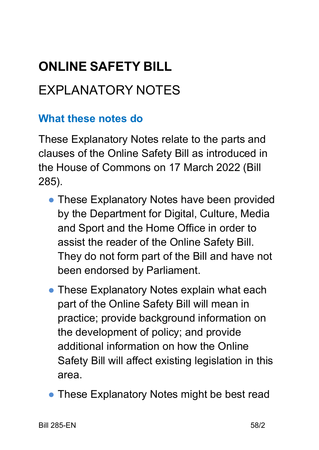# **ONLINE SAFETY BILL**

## EXPLANATORY NOTES

#### **What these notes do**

These Explanatory Notes relate to the parts and clauses of the Online Safety Bill as introduced in the House of Commons on 17 March 2022 (Bill 285).

- These Explanatory Notes have been provided by the Department for Digital, Culture, Media and Sport and the Home Office in order to assist the reader of the Online Safety Bill. They do not form part of the Bill and have not been endorsed by Parliament.
- These Explanatory Notes explain what each part of the Online Safety Bill will mean in practice; provide background information on the development of policy; and provide additional information on how the Online Safety Bill will affect existing legislation in this area.
- These Explanatory Notes might be best read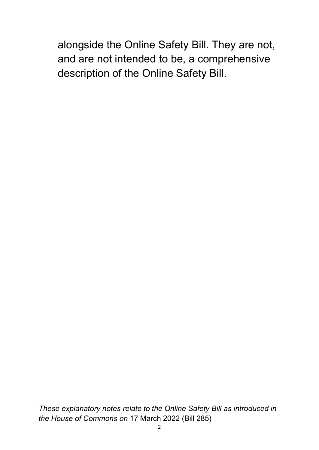alongside the Online Safety Bill. They are not, and are not intended to be, a comprehensive description of the Online Safety Bill.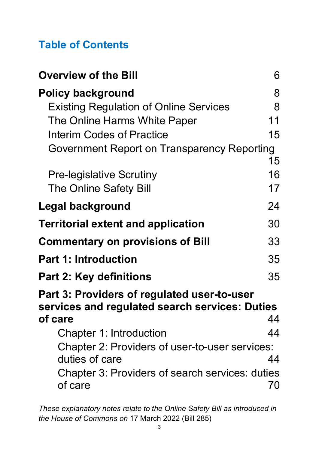## **Table of Contents**

| <b>Overview of the Bill</b>                                | 6  |
|------------------------------------------------------------|----|
| <b>Policy background</b>                                   | 8  |
| <b>Existing Regulation of Online Services</b>              | 8  |
| The Online Harms White Paper                               | 11 |
| <b>Interim Codes of Practice</b>                           | 15 |
| <b>Government Report on Transparency Reporting</b>         |    |
|                                                            | 15 |
| <b>Pre-legislative Scrutiny</b>                            | 16 |
| <b>The Online Safety Bill</b>                              | 17 |
| <b>Legal background</b>                                    | 24 |
| <b>Territorial extent and application</b>                  | 30 |
| <b>Commentary on provisions of Bill</b>                    | 33 |
| <b>Part 1: Introduction</b>                                | 35 |
| <b>Part 2: Key definitions</b>                             | 35 |
| <b>Part 3: Providers of regulated user-to-user</b>         |    |
| services and regulated search services: Duties             |    |
| of care                                                    | 44 |
| Chapter 1: Introduction                                    | 44 |
| Chapter 2: Providers of user-to-user services:             |    |
| duties of care                                             | 44 |
| Chapter 3: Providers of search services: duties<br>of care | 70 |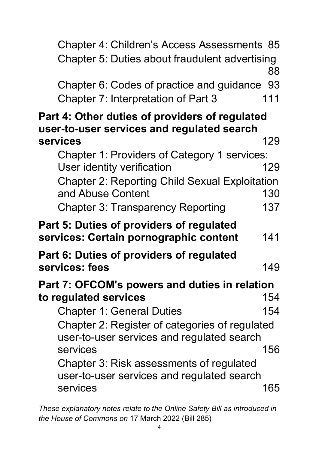| Chapter 4: Children's Access Assessments 85<br>Chapter 5: Duties about fraudulent advertising | 88        |
|-----------------------------------------------------------------------------------------------|-----------|
| Chapter 6: Codes of practice and guidance<br>Chapter 7: Interpretation of Part 3              | 93<br>111 |
| Part 4: Other duties of providers of regulated<br>user-to-user services and regulated search  |           |
| services                                                                                      | 129       |
| Chapter 1: Providers of Category 1 services:                                                  |           |
| User identity verification                                                                    | 129       |
| <b>Chapter 2: Reporting Child Sexual Exploitation</b>                                         |           |
| and Abuse Content                                                                             | 130       |
| <b>Chapter 3: Transparency Reporting</b>                                                      | 137       |
| <b>Part 5: Duties of providers of regulated</b><br>services: Certain pornographic content     | 141       |
| Part 6: Duties of providers of regulated                                                      |           |
| services: fees                                                                                | 149       |
| Part 7: OFCOM's powers and duties in relation                                                 |           |
| to regulated services                                                                         | 154       |
| <b>Chapter 1: General Duties</b>                                                              | 154       |
| Chapter 2: Register of categories of regulated<br>user-to-user services and regulated search  |           |
| services                                                                                      | 156       |
| Chapter 3: Risk assessments of regulated                                                      |           |
| user-to-user services and regulated search<br>services                                        | 165       |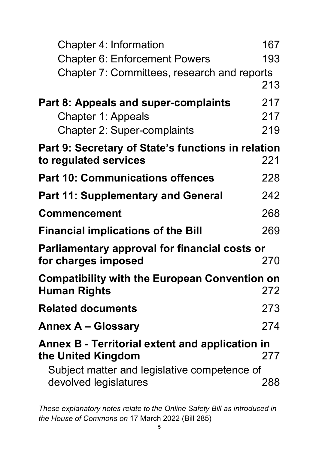| <b>Chapter 4: Information</b>                                         | 167 |
|-----------------------------------------------------------------------|-----|
| <b>Chapter 6: Enforcement Powers</b>                                  | 193 |
| Chapter 7: Committees, research and reports                           |     |
|                                                                       | 213 |
| <b>Part 8: Appeals and super-complaints</b>                           | 217 |
| <b>Chapter 1: Appeals</b>                                             | 217 |
| <b>Chapter 2: Super-complaints</b>                                    | 219 |
| Part 9: Secretary of State's functions in relation                    |     |
| to regulated services                                                 | 221 |
| <b>Part 10: Communications offences</b>                               | 228 |
| <b>Part 11: Supplementary and General</b>                             | 242 |
| <b>Commencement</b>                                                   | 268 |
| <b>Financial implications of the Bill</b>                             | 269 |
| <b>Parliamentary approval for financial costs or</b>                  |     |
| for charges imposed                                                   | 270 |
| <b>Compatibility with the European Convention on</b>                  |     |
| <b>Human Rights</b>                                                   | 272 |
| <b>Related documents</b>                                              | 273 |
| <b>Annex A – Glossary</b>                                             | 274 |
| Annex B - Territorial extent and application in<br>the United Kingdom | 277 |
| Subject matter and legislative competence of                          |     |
| devolved legislatures                                                 | 288 |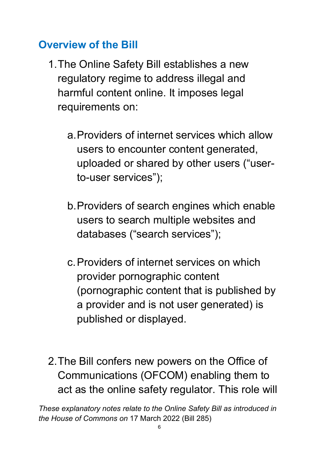### <span id="page-5-0"></span>**Overview of the Bill**

- 1.The Online Safety Bill establishes a new regulatory regime to address illegal and harmful content online. It imposes legal requirements on:
	- a.Providers of internet services which allow users to encounter content generated, uploaded or shared by other users ("userto-user services");
	- b.Providers of search engines which enable users to search multiple websites and databases ("search services");
	- c.Providers of internet services on which provider pornographic content (pornographic content that is published by a provider and is not user generated) is published or displayed.
- 2.The Bill confers new powers on the Office of Communications (OFCOM) enabling them to act as the online safety regulator. This role will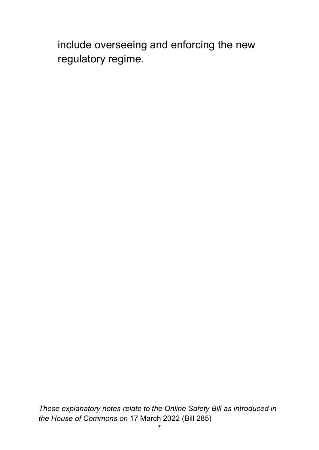include overseeing and enforcing the new regulatory regime.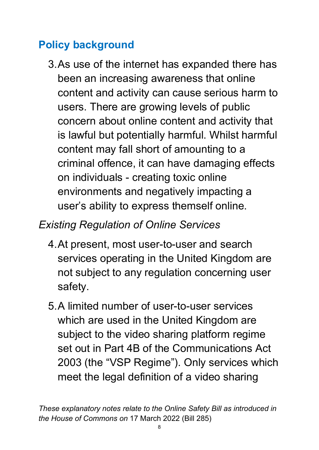## <span id="page-7-0"></span>**Policy background**

3.As use of the internet has expanded there has been an increasing awareness that online content and activity can cause serious harm to users. There are growing levels of public concern about online content and activity that is lawful but potentially harmful. Whilst harmful content may fall short of amounting to a criminal offence, it can have damaging effects on individuals - creating toxic online environments and negatively impacting a user's ability to express themself online.

## <span id="page-7-1"></span>*Existing Regulation of Online Services*

- 4.At present, most user-to-user and search services operating in the United Kingdom are not subject to any regulation concerning user safety.
- 5.A limited number of user-to-user services which are used in the United Kingdom are subject to the video sharing platform regime set out in Part 4B of the Communications Act 2003 (the "VSP Regime"). Only services which meet the legal definition of a video sharing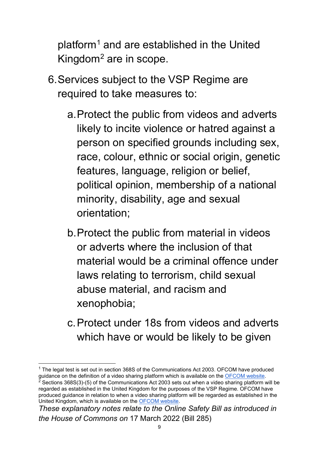platform[1](#page-8-0) and are established in the United Kingdom<sup>2</sup> are in scope.

- 6.Services subject to the VSP Regime are required to take measures to:
	- a.Protect the public from videos and adverts likely to incite violence or hatred against a person on specified grounds including sex, race, colour, ethnic or social origin, genetic features, language, religion or belief, political opinion, membership of a national minority, disability, age and sexual orientation;
	- b.Protect the public from material in videos or adverts where the inclusion of that material would be a criminal offence under laws relating to terrorism, child sexual abuse material, and racism and xenophobia;
	- c.Protect under 18s from videos and adverts which have or would be likely to be given

<span id="page-8-1"></span><span id="page-8-0"></span><sup>&</sup>lt;sup>1</sup> The legal test is set out in section 368S of the Communications Act 2003. OFCOM have produced guidance on the definition of a video sharing platform which is available on the [OFCOM website.](https://www.ofcom.org.uk/__data/assets/pdf_file/0015/226302/vsp-harms-guidance.pdf) Sections 368S(3)-(5) of the Communications Act 2003 sets out when a video sharing platform will be regarded as established in the United Kingdom for the purposes of the VSP Regime. OFCOM have produced guidance in relation to when a video sharing platform will be regarded as established in the United Kingdom, which is available on the [OFCOM website.](https://www.ofcom.org.uk/__data/assets/pdf_file/0015/226302/vsp-harms-guidance.pdf)

*These explanatory notes relate to the Online Safety Bill as introduced in the House of Commons on* 17 March 2022 (Bill 285)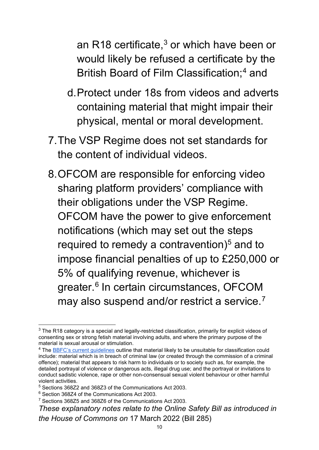an R18 certificate, $3$  or which have been or would likely be refused a certificate by the British Board of Film Classification;<sup>4</sup> and

- d.Protect under 18s from videos and adverts containing material that might impair their physical, mental or moral development.
- 7.The VSP Regime does not set standards for the content of individual videos.
- 8.OFCOM are responsible for enforcing video sharing platform providers' compliance with their obligations under the VSP Regime. OFCOM have the power to give enforcement notifications (which may set out the steps required to remedy a contravention) $5$  and to impose financial penalties of up to £250,000 or 5% of qualifying revenue, whichever is greater.<sup>6</sup> In certain circumstances, OFCOM may also suspend and/or restrict a service.<sup>[7](#page-9-4)</sup>

<span id="page-9-0"></span><sup>&</sup>lt;sup>3</sup> The R18 category is a special and legally-restricted classification, primarily for explicit videos of consenting sex or strong fetish material involving adults, and where the primary purpose of the material is sexual arousal or stimulation.

<span id="page-9-1"></span><sup>&</sup>lt;sup>4</sup> The [BBFC's current guidelines](https://www.bbfc.co.uk/about-classification/classification-guidelines) outline that material likely to be unsuitable for classification could include: material which is in breach of criminal law (or created through the commission of a criminal offence); material that appears to risk harm to individuals or to society such as, for example, the detailed portrayal of violence or dangerous acts, illegal drug use; and the portrayal or invitations to conduct sadistic violence, rape or other non-consensual sexual violent behaviour or other harmful violent activities.

<span id="page-9-2"></span><sup>5</sup> Sections 368Z2 and 368Z3 of the Communications Act 2003.

<span id="page-9-3"></span><sup>6</sup> Section 368Z4 of the Communications Act 2003.

<span id="page-9-4"></span><sup>7</sup> Sections 368Z5 and 368Z6 of the Communications Act 2003.

*These explanatory notes relate to the Online Safety Bill as introduced in the House of Commons on* 17 March 2022 (Bill 285)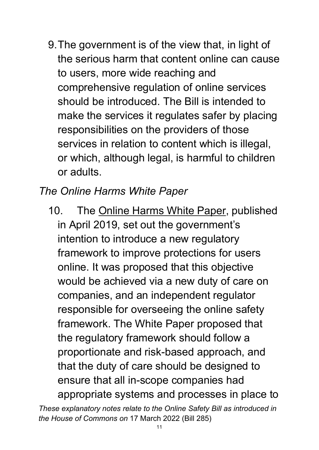9.The government is of the view that, in light of the serious harm that content online can cause to users, more wide reaching and comprehensive regulation of online services should be introduced. The Bill is intended to make the services it regulates safer by placing responsibilities on the providers of those services in relation to content which is illegal, or which, although legal, is harmful to children or adults.

#### <span id="page-10-0"></span>*The Online Harms White Paper*

10. The [Online Harms White Paper,](https://www.gov.uk/government/consultations/online-harms-white-paper/online-harms-white-paper) published in April 2019, set out the government's intention to introduce a new regulatory framework to improve protections for users online. It was proposed that this objective would be achieved via a new duty of care on companies, and an independent regulator responsible for overseeing the online safety framework. The White Paper proposed that the regulatory framework should follow a proportionate and risk-based approach, and that the duty of care should be designed to ensure that all in-scope companies had appropriate systems and processes in place to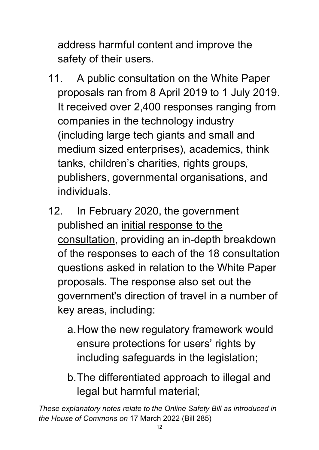address harmful content and improve the safety of their users.

- 11. A public consultation on the White Paper proposals ran from 8 April 2019 to 1 July 2019. It received over 2,400 responses ranging from companies in the technology industry (including large tech giants and small and medium sized enterprises), academics, think tanks, children's charities, rights groups, publishers, governmental organisations, and individuals.
- 12. In February 2020, the government published an [initial response to the](https://www.gov.uk/government/consultations/online-harms-white-paper/public-feedback/online-harms-white-paper-initial-consultation-response)  [consultation,](https://www.gov.uk/government/consultations/online-harms-white-paper/public-feedback/online-harms-white-paper-initial-consultation-response) providing an in-depth breakdown of the responses to each of the 18 consultation questions asked in relation to the White Paper proposals. The response also set out the government's direction of travel in a number of key areas, including:
	- a.How the new regulatory framework would ensure protections for users' rights by including safeguards in the legislation;
	- b.The differentiated approach to illegal and legal but harmful material;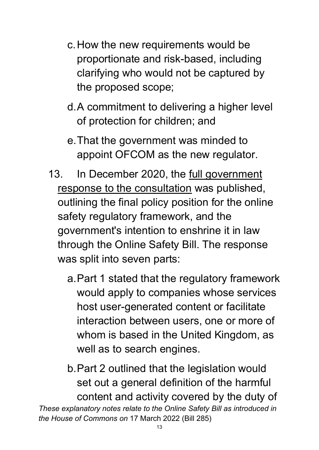- c.How the new requirements would be proportionate and risk-based, including clarifying who would not be captured by the proposed scope;
- d.A commitment to delivering a higher level of protection for children; and
- e.That the government was minded to appoint OFCOM as the new regulator.
- 13. In December 2020, the <u>full government</u> [response to the consultation](https://www.gov.uk/government/consultations/online-harms-white-paper/outcome/online-harms-white-paper-full-government-response) was published, outlining the final policy position for the online safety regulatory framework, and the government's intention to enshrine it in law through the Online Safety Bill. The response was split into seven parts:
	- a.Part 1 stated that the regulatory framework would apply to companies whose services host user-generated content or facilitate interaction between users, one or more of whom is based in the United Kingdom, as well as to search engines.
- *These explanatory notes relate to the Online Safety Bill as introduced in the House of Commons on* 17 March 2022 (Bill 285) b.Part 2 outlined that the legislation would set out a general definition of the harmful content and activity covered by the duty of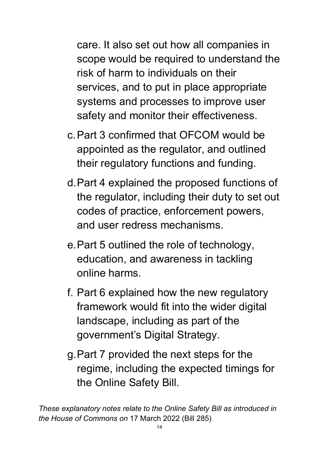care. It also set out how all companies in scope would be required to understand the risk of harm to individuals on their services, and to put in place appropriate systems and processes to improve user safety and monitor their effectiveness.

- c.Part 3 confirmed that OFCOM would be appointed as the regulator, and outlined their regulatory functions and funding.
- d.Part 4 explained the proposed functions of the regulator, including their duty to set out codes of practice, enforcement powers, and user redress mechanisms.
- e.Part 5 outlined the role of technology, education, and awareness in tackling online harms.
- f. Part 6 explained how the new regulatory framework would fit into the wider digital landscape, including as part of the government's Digital Strategy.
- g.Part 7 provided the next steps for the regime, including the expected timings for the Online Safety Bill.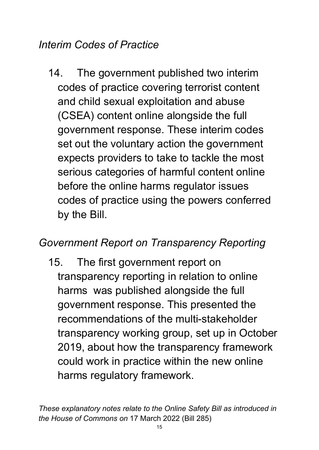#### <span id="page-14-0"></span>*Interim Codes of Practice*

14. The government published two interim codes of practice covering terrorist content and child sexual exploitation and abuse (CSEA) content online alongside the full government response. These interim codes set out the voluntary action the government expects providers to take to tackle the most serious categories of harmful content online before the online harms regulator issues codes of practice using the powers conferred by the Bill.

#### <span id="page-14-1"></span>*Government Report on Transparency Reporting*

15. The first government report on transparency reporting in relation to online harms was published alongside the full government response. This presented the recommendations of the multi-stakeholder transparency working group, set up in October 2019, about how the transparency framework could work in practice within the new online harms regulatory framework.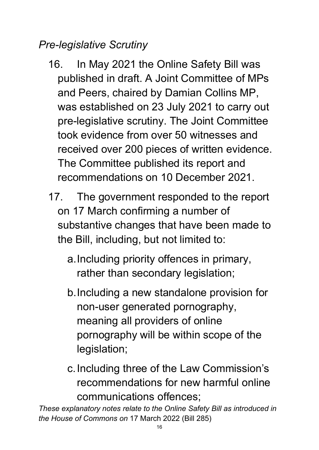## <span id="page-15-0"></span>*Pre-legislative Scrutiny*

- 16. In May 2021 the Online Safety Bill was published in draft. A Joint Committee of MPs and Peers, chaired by Damian Collins MP, was established on 23 July 2021 to carry out pre-legislative scrutiny. The Joint Committee took evidence from over 50 witnesses and received over 200 pieces of written evidence. The Committee published its report and recommendations on 10 December 2021.
- 17. The government responded to the report on 17 March confirming a number of substantive changes that have been made to the Bill, including, but not limited to:
	- a.Including priority offences in primary, rather than secondary legislation;
	- b.Including a new standalone provision for non-user generated pornography, meaning all providers of online pornography will be within scope of the legislation;
	- c.Including three of the Law Commission's recommendations for new harmful online communications offences;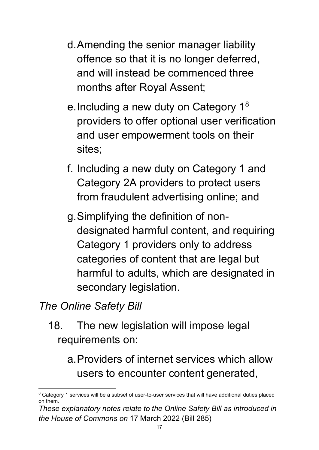- d.Amending the senior manager liability offence so that it is no longer deferred, and will instead be commenced three months after Royal Assent;
- e.Including a new duty on Category 1[8](#page-16-1) providers to offer optional user verification and user empowerment tools on their sites;
- f. Including a new duty on Category 1 and Category 2A providers to protect users from fraudulent advertising online; and
- g.Simplifying the definition of nondesignated harmful content, and requiring Category 1 providers only to address categories of content that are legal but harmful to adults, which are designated in secondary legislation.

#### <span id="page-16-0"></span>*The Online Safety Bill*

18. The new legislation will impose legal requirements on:

a.Providers of internet services which allow users to encounter content generated,

<span id="page-16-1"></span> $8$  Category 1 services will be a subset of user-to-user services that will have additional duties placed on them.

*These explanatory notes relate to the Online Safety Bill as introduced in the House of Commons on* 17 March 2022 (Bill 285)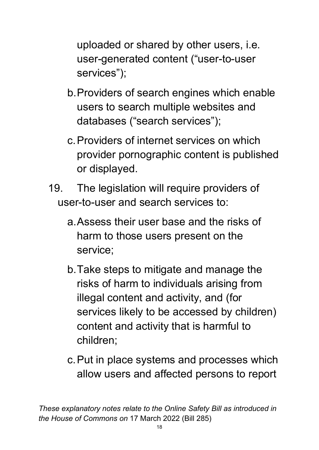uploaded or shared by other users, i.e. user-generated content ("user-to-user services");

- b.Providers of search engines which enable users to search multiple websites and databases ("search services");
- c.Providers of internet services on which provider pornographic content is published or displayed.
- 19. The legislation will require providers of user-to-user and search services to:
	- a.Assess their user base and the risks of harm to those users present on the service;
	- b.Take steps to mitigate and manage the risks of harm to individuals arising from illegal content and activity, and (for services likely to be accessed by children) content and activity that is harmful to children;
	- c.Put in place systems and processes which allow users and affected persons to report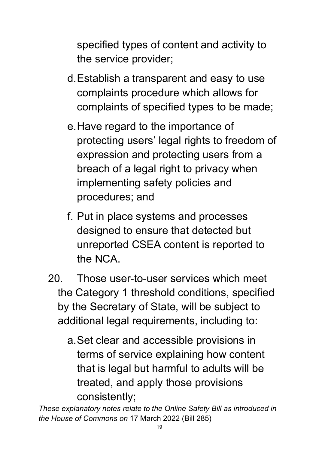specified types of content and activity to the service provider;

- d.Establish a transparent and easy to use complaints procedure which allows for complaints of specified types to be made;
- e.Have regard to the importance of protecting users' legal rights to freedom of expression and protecting users from a breach of a legal right to privacy when implementing safety policies and procedures; and
- f. Put in place systems and processes designed to ensure that detected but unreported CSEA content is reported to the NCA.
- 20. Those user-to-user services which meet the Category 1 threshold conditions, specified by the Secretary of State, will be subject to additional legal requirements, including to:
	- a.Set clear and accessible provisions in terms of service explaining how content that is legal but harmful to adults will be treated, and apply those provisions consistently;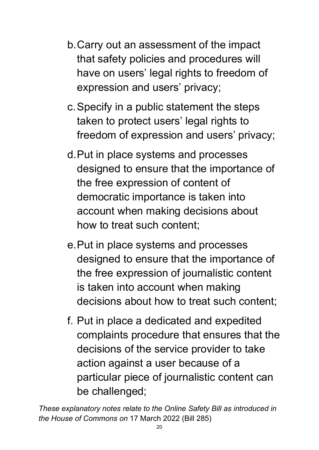- b.Carry out an assessment of the impact that safety policies and procedures will have on users' legal rights to freedom of expression and users' privacy;
- c.Specify in a public statement the steps taken to protect users' legal rights to freedom of expression and users' privacy;
- d.Put in place systems and processes designed to ensure that the importance of the free expression of content of democratic importance is taken into account when making decisions about how to treat such content;
- e.Put in place systems and processes designed to ensure that the importance of the free expression of journalistic content is taken into account when making decisions about how to treat such content;
- f. Put in place a dedicated and expedited complaints procedure that ensures that the decisions of the service provider to take action against a user because of a particular piece of journalistic content can be challenged;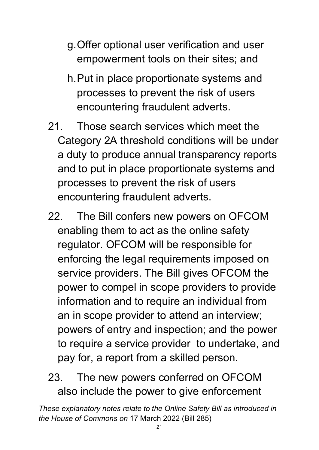- g.Offer optional user verification and user empowerment tools on their sites; and
- h.Put in place proportionate systems and processes to prevent the risk of users encountering fraudulent adverts.
- 21. Those search services which meet the Category 2A threshold conditions will be under a duty to produce annual transparency reports and to put in place proportionate systems and processes to prevent the risk of users encountering fraudulent adverts.
- 22. The Bill confers new powers on OFCOM enabling them to act as the online safety regulator. OFCOM will be responsible for enforcing the legal requirements imposed on service providers. The Bill gives OFCOM the power to compel in scope providers to provide information and to require an individual from an in scope provider to attend an interview; powers of entry and inspection; and the power to require a service provider to undertake, and pay for, a report from a skilled person.
- 23. The new powers conferred on OFCOM also include the power to give enforcement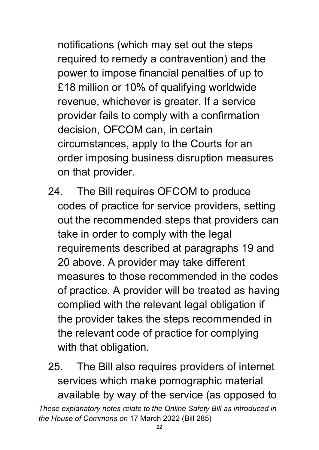notifications (which may set out the steps required to remedy a contravention) and the power to impose financial penalties of up to £18 million or 10% of qualifying worldwide revenue, whichever is greater. If a service provider fails to comply with a confirmation decision, OFCOM can, in certain circumstances, apply to the Courts for an order imposing business disruption measures on that provider.

- 24. The Bill requires OFCOM to produce codes of practice for service providers, setting out the recommended steps that providers can take in order to comply with the legal requirements described at paragraphs 19 and 20 above. A provider may take different measures to those recommended in the codes of practice. A provider will be treated as having complied with the relevant legal obligation if the provider takes the steps recommended in the relevant code of practice for complying with that obligation.
- *These explanatory notes relate to the Online Safety Bill as introduced in the House of Commons on* 17 March 2022 (Bill 285) 25. The Bill also requires providers of internet services which make pornographic material available by way of the service (as opposed to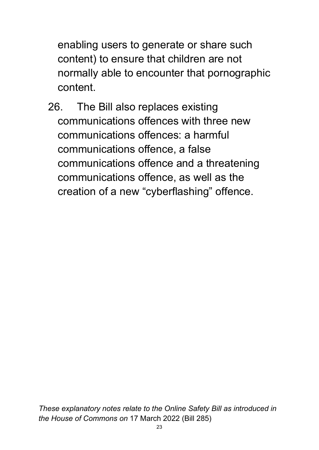enabling users to generate or share such content) to ensure that children are not normally able to encounter that pornographic content.

26. The Bill also replaces existing communications offences with three new communications offences: a harmful communications offence, a false communications offence and a threatening communications offence, as well as the creation of a new "cyberflashing" offence.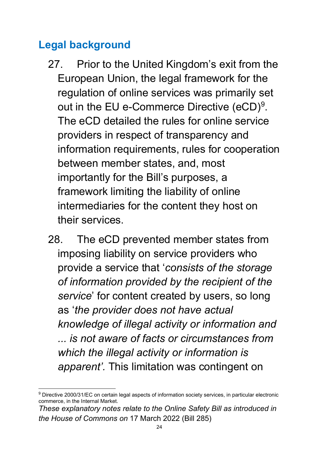## <span id="page-23-0"></span>**Legal background**

- 27. Prior to the United Kingdom's exit from the European Union, the legal framework for the regulation of online services was primarily set out in the EU e-Commerce Directive (eCD)<sup>9</sup>. The eCD detailed the rules for online service providers in respect of transparency and information requirements, rules for cooperation between member states, and, most importantly for the Bill's purposes, a framework limiting the liability of online intermediaries for the content they host on their services.
- 28. The eCD prevented member states from imposing liability on service providers who provide a service that '*consists of the storage of information provided by the recipient of the service*' for content created by users, so long as '*the provider does not have actual knowledge of illegal activity or information and ... is not aware of facts or circumstances from which the illegal activity or information is apparent'.* This limitation was contingent on

<span id="page-23-1"></span><sup>&</sup>lt;sup>9</sup> Directive 2000/31/EC on certain legal aspects of information society services, in particular electronic commerce, in the Internal Market.

*These explanatory notes relate to the Online Safety Bill as introduced in the House of Commons on* 17 March 2022 (Bill 285)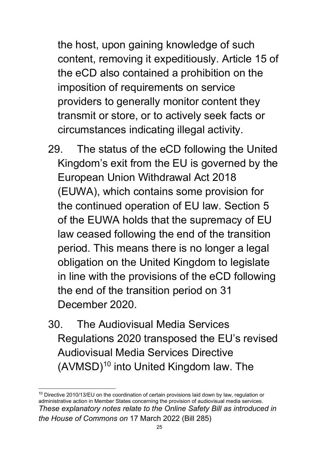the host, upon gaining knowledge of such content, removing it expeditiously. Article 15 of the eCD also contained a prohibition on the imposition of requirements on service providers to generally monitor content they transmit or store, or to actively seek facts or circumstances indicating illegal activity.

- 29. The status of the eCD following the United Kingdom's exit from the EU is governed by the European Union Withdrawal Act 2018 (EUWA), which contains some provision for the continued operation of EU law. Section 5 of the EUWA holds that the supremacy of EU law ceased following the end of the transition period. This means there is no longer a legal obligation on the United Kingdom to legislate in line with the provisions of the eCD following the end of the transition period on 31 December 2020.
- 30. The Audiovisual Media Services Regulations 2020 transposed the EU's revised Audiovisual Media Services Directive  $(AVMSD)<sup>10</sup>$  $(AVMSD)<sup>10</sup>$  $(AVMSD)<sup>10</sup>$  into United Kingdom law. The

<span id="page-24-0"></span>*These explanatory notes relate to the Online Safety Bill as introduced in the House of Commons on* 17 March 2022 (Bill 285)  $10$  Directive 2010/13/EU on the coordination of certain provisions laid down by law, regulation or administrative action in Member States concerning the provision of audiovisual media services.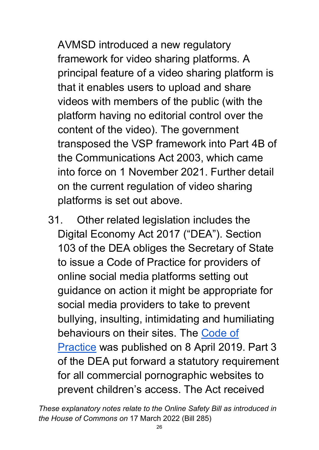AVMSD introduced a new regulatory framework for video sharing platforms. A principal feature of a video sharing platform is that it enables users to upload and share videos with members of the public (with the platform having no editorial control over the content of the video). The government transposed the VSP framework into Part 4B of the Communications Act 2003, which came into force on 1 November 2021. Further detail on the current regulation of video sharing platforms is set out above.

31. Other related legislation includes the Digital Economy Act 2017 ("DEA"). Section 103 of the DEA obliges the Secretary of State to issue a Code of Practice for providers of online social media platforms setting out guidance on action it might be appropriate for social media providers to take to prevent bullying, insulting, intimidating and humiliating behaviours on their sites. The [Code of](https://www.gov.uk/government/publications/code-of-practice-for-providers-of-online-social-media-platforms)  [Practice](https://www.gov.uk/government/publications/code-of-practice-for-providers-of-online-social-media-platforms) was published on 8 April 2019. Part 3 of the DEA put forward a statutory requirement for all commercial pornographic websites to prevent children's access. The Act received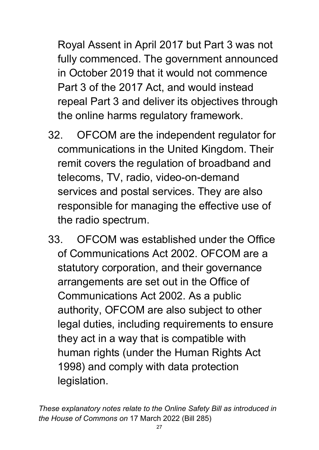Royal Assent in April 2017 but Part 3 was not fully commenced. The government announced in October 2019 that it would not commence Part 3 of the 2017 Act, and would instead repeal Part 3 and deliver its objectives through the online harms regulatory framework.

- 32. OFCOM are the independent regulator for communications in the United Kingdom. Their remit covers the regulation of broadband and telecoms, TV, radio, video-on-demand services and postal services. They are also responsible for managing the effective use of the radio spectrum.
- 33. OFCOM was established under the Office of Communications Act 2002. OFCOM are a statutory corporation, and their governance arrangements are set out in the Office of Communications Act 2002. As a public authority, OFCOM are also subject to other legal duties, including requirements to ensure they act in a way that is compatible with human rights (under the Human Rights Act 1998) and comply with data protection legislation.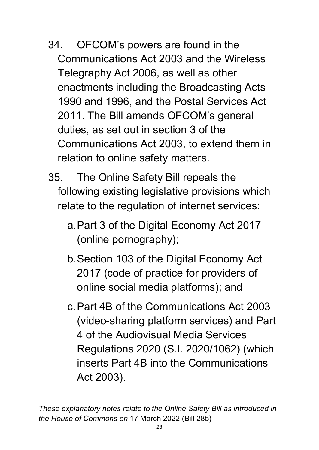- 34. OFCOM's powers are found in the Communications Act 2003 and the Wireless Telegraphy Act 2006, as well as other enactments including the Broadcasting Acts 1990 and 1996, and the Postal Services Act 2011. The Bill amends OFCOM's general duties, as set out in section 3 of the Communications Act 2003, to extend them in relation to online safety matters.
- 35. The Online Safety Bill repeals the following existing legislative provisions which relate to the regulation of internet services:
	- a.Part 3 of the Digital Economy Act 2017 (online pornography);
	- b.Section 103 of the Digital Economy Act 2017 (code of practice for providers of online social media platforms); and
	- c.Part 4B of the Communications Act 2003 (video-sharing platform services) and Part 4 of the Audiovisual Media Services Regulations 2020 (S.I. 2020/1062) (which inserts Part 4B into the Communications Act 2003).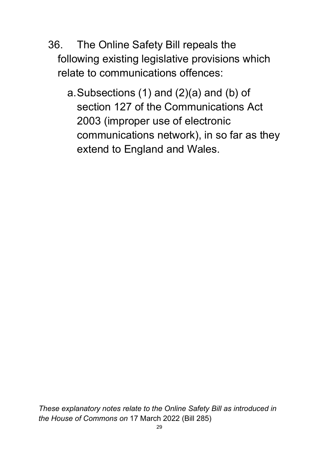- 36. The Online Safety Bill repeals the following existing legislative provisions which relate to communications offences:
	- a.Subsections (1) and (2)(a) and (b) of section 127 of the Communications Act 2003 (improper use of electronic communications network), in so far as they extend to England and Wales.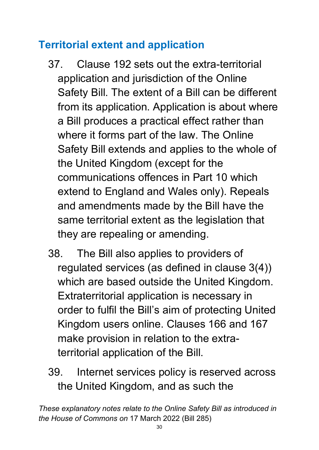## <span id="page-29-0"></span>**Territorial extent and application**

- 37. Clause 192 sets out the extra-territorial application and jurisdiction of the Online Safety Bill. The extent of a Bill can be different from its application. Application is about where a Bill produces a practical effect rather than where it forms part of the law. The Online Safety Bill extends and applies to the whole of the United Kingdom (except for the communications offences in Part 10 which extend to England and Wales only). Repeals and amendments made by the Bill have the same territorial extent as the legislation that they are repealing or amending.
- 38. The Bill also applies to providers of regulated services (as defined in clause 3(4)) which are based outside the United Kingdom. Extraterritorial application is necessary in order to fulfil the Bill's aim of protecting United Kingdom users online. Clauses 166 and 167 make provision in relation to the extraterritorial application of the Bill.
- 39. Internet services policy is reserved across the United Kingdom, and as such the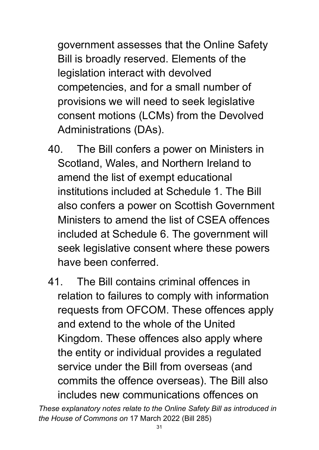government assesses that the Online Safety Bill is broadly reserved. Elements of the legislation interact with devolved competencies, and for a small number of provisions we will need to seek legislative consent motions (LCMs) from the Devolved Administrations (DAs).

- 40. The Bill confers a power on Ministers in Scotland, Wales, and Northern Ireland to amend the list of exempt educational institutions included at Schedule 1. The Bill also confers a power on Scottish Government Ministers to amend the list of CSEA offences included at Schedule 6. The government will seek legislative consent where these powers have been conferred.
- 41. The Bill contains criminal offences in relation to failures to comply with information requests from OFCOM. These offences apply and extend to the whole of the United Kingdom. These offences also apply where the entity or individual provides a regulated service under the Bill from overseas (and commits the offence overseas). The Bill also includes new communications offences on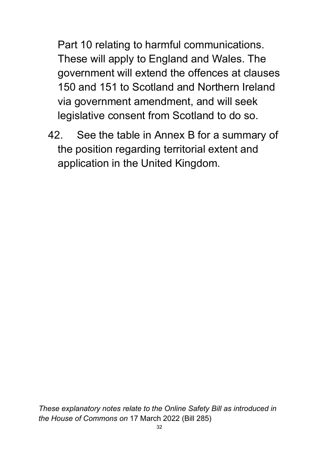Part 10 relating to harmful communications. These will apply to England and Wales. The government will extend the offences at clauses 150 and 151 to Scotland and Northern Ireland via government amendment, and will seek legislative consent from Scotland to do so.

42. See the table in Annex B for a summary of the position regarding territorial extent and application in the United Kingdom.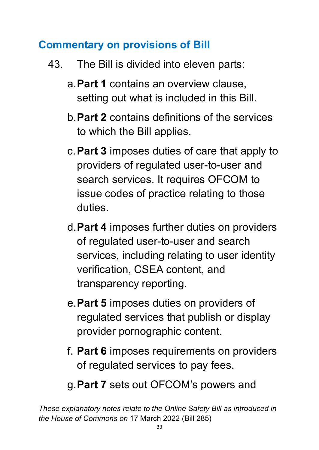#### <span id="page-32-0"></span>**Commentary on provisions of Bill**

- 43. The Bill is divided into eleven parts:
	- a.**Part 1** contains an overview clause, setting out what is included in this Bill.
	- b.**Part 2** contains definitions of the services to which the Bill applies.
	- c.**Part 3** imposes duties of care that apply to providers of regulated user-to-user and search services. It requires OFCOM to issue codes of practice relating to those duties.
	- d.**Part 4** imposes further duties on providers of regulated user-to-user and search services, including relating to user identity verification, CSEA content, and transparency reporting.
	- e.**Part 5** imposes duties on providers of regulated services that publish or display provider pornographic content.
	- f. **Part 6** imposes requirements on providers of regulated services to pay fees.
	- g.**Part 7** sets out OFCOM's powers and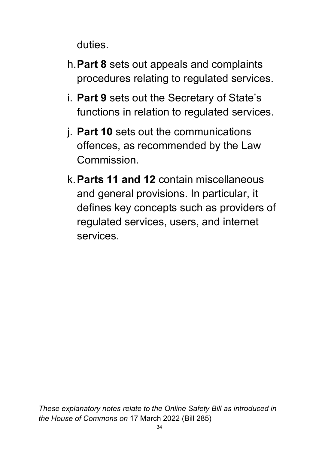duties.

- h.**Part 8** sets out appeals and complaints procedures relating to regulated services.
- i. **Part 9** sets out the Secretary of State's functions in relation to regulated services.
- j. **Part 10** sets out the communications offences, as recommended by the Law Commission.
- k.**Parts 11 and 12** contain miscellaneous and general provisions. In particular, it defines key concepts such as providers of regulated services, users, and internet services.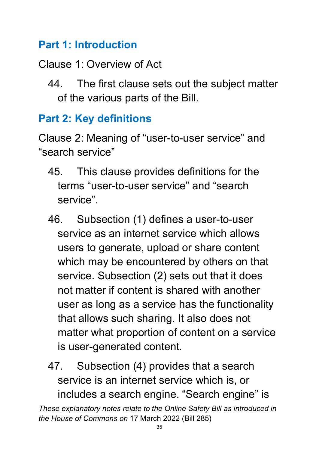#### <span id="page-34-0"></span>**Part 1: Introduction**

## Clause 1: Overview of Act

44. The first clause sets out the subject matter of the various parts of the Bill.

## <span id="page-34-1"></span>**Part 2: Key definitions**

Clause 2: Meaning of "user-to-user service" and "search service"

- 45. This clause provides definitions for the terms "user-to-user service" and "search service".
- 46. Subsection (1) defines a user-to-user service as an internet service which allows users to generate, upload or share content which may be encountered by others on that service. Subsection (2) sets out that it does not matter if content is shared with another user as long as a service has the functionality that allows such sharing. It also does not matter what proportion of content on a service is user-generated content.
- 47. Subsection (4) provides that a search service is an internet service which is, or includes a search engine. "Search engine" is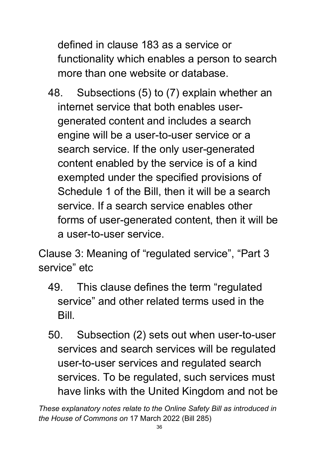defined in clause 183 as a service or functionality which enables a person to search more than one website or database.

48. Subsections (5) to (7) explain whether an internet service that both enables usergenerated content and includes a search engine will be a user-to-user service or a search service. If the only user-generated content enabled by the service is of a kind exempted under the specified provisions of Schedule 1 of the Bill, then it will be a search service. If a search service enables other forms of user-generated content, then it will be a user-to-user service.

Clause 3: Meaning of "regulated service", "Part 3 service" etc

- 49. This clause defines the term "regulated service" and other related terms used in the Bill.
- 50. Subsection (2) sets out when user-to-user services and search services will be regulated user-to-user services and regulated search services. To be regulated, such services must have links with the United Kingdom and not be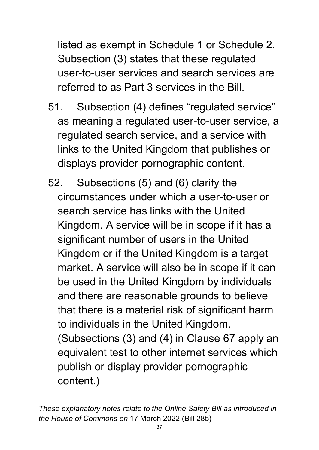listed as exempt in Schedule 1 or Schedule 2. Subsection (3) states that these regulated user-to-user services and search services are referred to as Part 3 services in the Bill.

- 51. Subsection (4) defines "regulated service" as meaning a regulated user-to-user service, a regulated search service, and a service with links to the United Kingdom that publishes or displays provider pornographic content.
- 52. Subsections (5) and (6) clarify the circumstances under which a user-to-user or search service has links with the United Kingdom. A service will be in scope if it has a significant number of users in the United Kingdom or if the United Kingdom is a target market. A service will also be in scope if it can be used in the United Kingdom by individuals and there are reasonable grounds to believe that there is a material risk of significant harm to individuals in the United Kingdom. (Subsections (3) and (4) in Clause 67 apply an

equivalent test to other internet services which publish or display provider pornographic content.)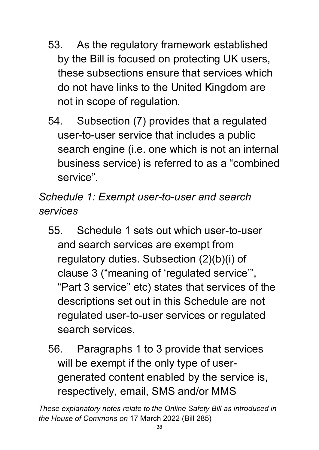- 53. As the regulatory framework established by the Bill is focused on protecting UK users, these subsections ensure that services which do not have links to the United Kingdom are not in scope of regulation.
- 54. Subsection (7) provides that a regulated user-to-user service that includes a public search engine (i.e. one which is not an internal business service) is referred to as a "combined service".

*Schedule 1: Exempt user-to-user and search services* 

- 55. Schedule 1 sets out which user-to-user and search services are exempt from regulatory duties. Subsection (2)(b)(i) of clause 3 ("meaning of 'regulated service'", "Part 3 service" etc) states that services of the descriptions set out in this Schedule are not regulated user-to-user services or regulated search services.
- 56. Paragraphs 1 to 3 provide that services will be exempt if the only type of usergenerated content enabled by the service is, respectively, email, SMS and/or MMS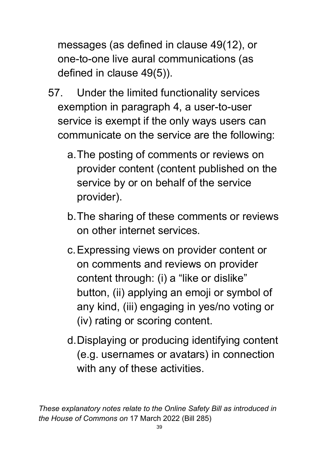messages (as defined in clause 49(12), or one-to-one live aural communications (as defined in clause 49(5)).

- 57. Under the limited functionality services exemption in paragraph 4, a user-to-user service is exempt if the only ways users can communicate on the service are the following:
	- a.The posting of comments or reviews on provider content (content published on the service by or on behalf of the service provider).
	- b.The sharing of these comments or reviews on other internet services.
	- c.Expressing views on provider content or on comments and reviews on provider content through: (i) a "like or dislike" button, (ii) applying an emoji or symbol of any kind, (iii) engaging in yes/no voting or (iv) rating or scoring content.
	- d.Displaying or producing identifying content (e.g. usernames or avatars) in connection with any of these activities.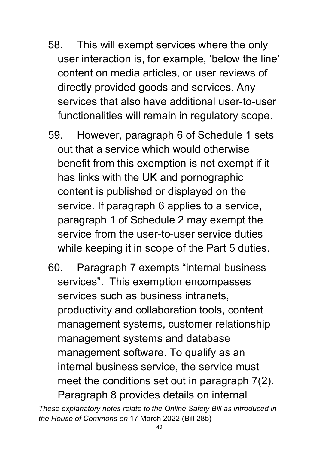- 58. This will exempt services where the only user interaction is, for example, 'below the line' content on media articles, or user reviews of directly provided goods and services. Any services that also have additional user-to-user functionalities will remain in regulatory scope.
- 59. However, paragraph 6 of Schedule 1 sets out that a service which would otherwise benefit from this exemption is not exempt if it has links with the UK and pornographic content is published or displayed on the service. If paragraph 6 applies to a service, paragraph 1 of Schedule 2 may exempt the service from the user-to-user service duties while keeping it in scope of the Part 5 duties.
- 60. Paragraph 7 exempts "internal business services". This exemption encompasses services such as business intranets, productivity and collaboration tools, content management systems, customer relationship management systems and database management software. To qualify as an internal business service, the service must meet the conditions set out in paragraph 7(2). Paragraph 8 provides details on internal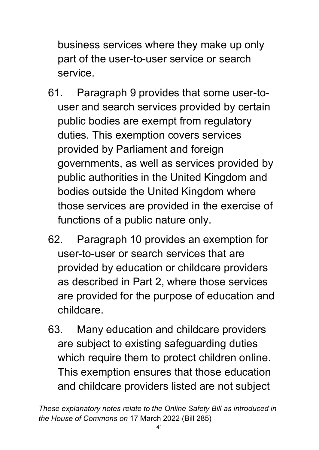business services where they make up only part of the user-to-user service or search service.

- 61. Paragraph 9 provides that some user-touser and search services provided by certain public bodies are exempt from regulatory duties. This exemption covers services provided by Parliament and foreign governments, as well as services provided by public authorities in the United Kingdom and bodies outside the United Kingdom where those services are provided in the exercise of functions of a public nature only.
- 62. Paragraph 10 provides an exemption for user-to-user or search services that are provided by education or childcare providers as described in Part 2, where those services are provided for the purpose of education and childcare.
- 63. Many education and childcare providers are subject to existing safeguarding duties which require them to protect children online. This exemption ensures that those education and childcare providers listed are not subject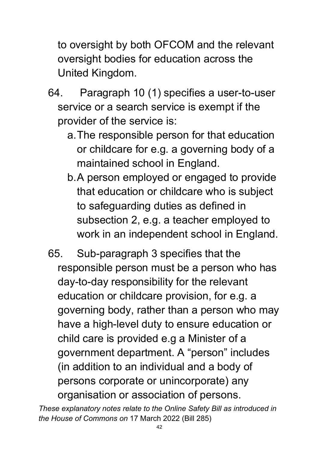to oversight by both OFCOM and the relevant oversight bodies for education across the United Kingdom.

- 64. Paragraph 10 (1) specifies a user-to-user service or a search service is exempt if the provider of the service is:
	- a.The responsible person for that education or childcare for e.g. a governing body of a maintained school in England.
	- b.A person employed or engaged to provide that education or childcare who is subject to safeguarding duties as defined in subsection 2, e.g. a teacher employed to work in an independent school in England.
- 65. Sub-paragraph 3 specifies that the responsible person must be a person who has day-to-day responsibility for the relevant education or childcare provision, for e.g. a governing body, rather than a person who may have a high-level duty to ensure education or child care is provided e.g a Minister of a government department. A "person" includes (in addition to an individual and a body of persons corporate or unincorporate) any organisation or association of persons.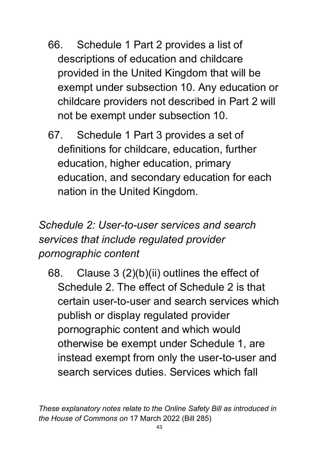- 66. Schedule 1 Part 2 provides a list of descriptions of education and childcare provided in the United Kingdom that will be exempt under subsection 10. Any education or childcare providers not described in Part 2 will not be exempt under subsection 10.
- 67. Schedule 1 Part 3 provides a set of definitions for childcare, education, further education, higher education, primary education, and secondary education for each nation in the United Kingdom.

# *Schedule 2: User-to-user services and search services that include regulated provider pornographic content*

68. Clause 3 (2)(b)(ii) outlines the effect of Schedule 2. The effect of Schedule 2 is that certain user-to-user and search services which publish or display regulated provider pornographic content and which would otherwise be exempt under Schedule 1, are instead exempt from only the user-to-user and search services duties. Services which fall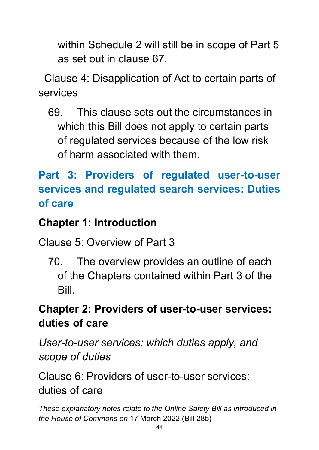within Schedule 2 will still be in scope of Part 5 as set out in clause 67.

 Clause 4: Disapplication of Act to certain parts of services

69. This clause sets out the circumstances in which this Bill does not apply to certain parts of regulated services because of the low risk of harm associated with them.

# **Part 3: Providers of regulated user-to-user services and regulated search services: Duties of care**

# **Chapter 1: Introduction**

Clause 5: Overview of Part 3

70. The overview provides an outline of each of the Chapters contained within Part 3 of the Bill.

# **Chapter 2: Providers of user-to-user services: duties of care**

*User-to-user services: which duties apply, and scope of duties*

Clause 6: Providers of user-to-user services: duties of care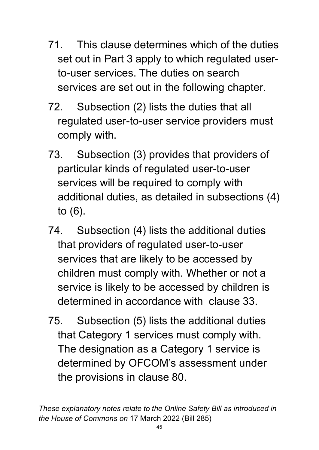- 71. This clause determines which of the duties set out in Part 3 apply to which regulated userto-user services. The duties on search services are set out in the following chapter.
- 72. Subsection (2) lists the duties that all regulated user-to-user service providers must comply with.
- 73. Subsection (3) provides that providers of particular kinds of regulated user-to-user services will be required to comply with additional duties, as detailed in subsections (4) to (6).
- 74. Subsection (4) lists the additional duties that providers of regulated user-to-user services that are likely to be accessed by children must comply with. Whether or not a service is likely to be accessed by children is determined in accordance with clause 33.
- 75. Subsection (5) lists the additional duties that Category 1 services must comply with. The designation as a Category 1 service is determined by OFCOM's assessment under the provisions in clause 80.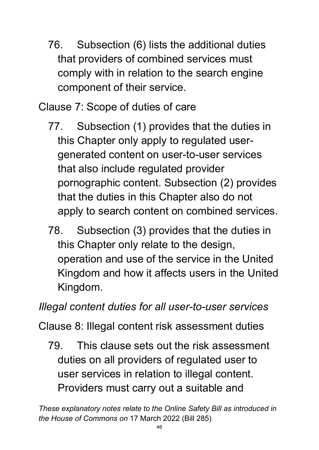76. Subsection (6) lists the additional duties that providers of combined services must comply with in relation to the search engine component of their service.

Clause 7: Scope of duties of care

- 77. Subsection (1) provides that the duties in this Chapter only apply to regulated usergenerated content on user-to-user services that also include regulated provider pornographic content. Subsection (2) provides that the duties in this Chapter also do not apply to search content on combined services.
- 78. Subsection (3) provides that the duties in this Chapter only relate to the design, operation and use of the service in the United Kingdom and how it affects users in the United Kingdom.

*Illegal content duties for all user-to-user services*

Clause 8: Illegal content risk assessment duties

79. This clause sets out the risk assessment duties on all providers of regulated user to user services in relation to illegal content. Providers must carry out a suitable and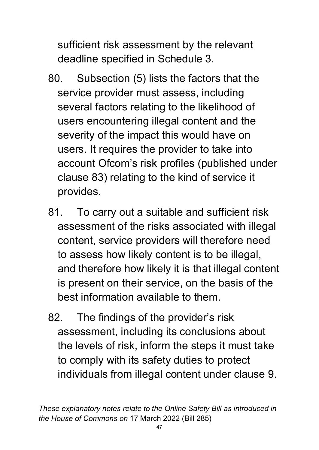sufficient risk assessment by the relevant deadline specified in Schedule 3.

- 80. Subsection (5) lists the factors that the service provider must assess, including several factors relating to the likelihood of users encountering illegal content and the severity of the impact this would have on users. It requires the provider to take into account Ofcom's risk profiles (published under clause 83) relating to the kind of service it provides.
- 81. To carry out a suitable and sufficient risk assessment of the risks associated with illegal content, service providers will therefore need to assess how likely content is to be illegal, and therefore how likely it is that illegal content is present on their service, on the basis of the best information available to them.
- 82. The findings of the provider's risk assessment, including its conclusions about the levels of risk, inform the steps it must take to comply with its safety duties to protect individuals from illegal content under clause 9.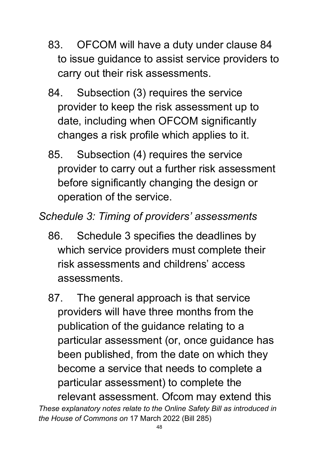- 83. OFCOM will have a duty under clause 84 to issue guidance to assist service providers to carry out their risk assessments.
- 84. Subsection (3) requires the service provider to keep the risk assessment up to date, including when OFCOM significantly changes a risk profile which applies to it.
- 85. Subsection (4) requires the service provider to carry out a further risk assessment before significantly changing the design or operation of the service.
- *Schedule 3: Timing of providers' assessments*
	- 86. Schedule 3 specifies the deadlines by which service providers must complete their risk assessments and childrens' access assessments.
	- 87. The general approach is that service providers will have three months from the publication of the guidance relating to a particular assessment (or, once guidance has been published, from the date on which they become a service that needs to complete a particular assessment) to complete the relevant assessment. Ofcom may extend this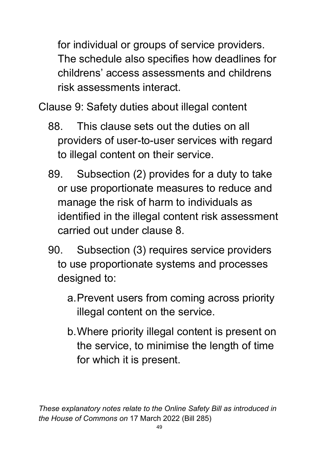for individual or groups of service providers. The schedule also specifies how deadlines for childrens' access assessments and childrens risk assessments interact.

Clause 9: Safety duties about illegal content

- 88. This clause sets out the duties on all providers of user-to-user services with regard to illegal content on their service.
- 89. Subsection (2) provides for a duty to take or use proportionate measures to reduce and manage the risk of harm to individuals as identified in the illegal content risk assessment carried out under clause 8.
- 90. Subsection (3) requires service providers to use proportionate systems and processes designed to:
	- a.Prevent users from coming across priority illegal content on the service.
	- b.Where priority illegal content is present on the service, to minimise the length of time for which it is present.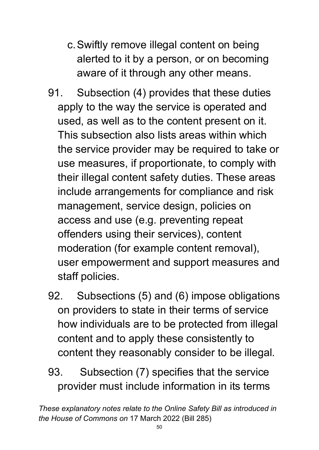- c.Swiftly remove illegal content on being alerted to it by a person, or on becoming aware of it through any other means.
- 91. Subsection (4) provides that these duties apply to the way the service is operated and used, as well as to the content present on it. This subsection also lists areas within which the service provider may be required to take or use measures, if proportionate, to comply with their illegal content safety duties. These areas include arrangements for compliance and risk management, service design, policies on access and use (e.g. preventing repeat offenders using their services), content moderation (for example content removal), user empowerment and support measures and staff policies.
- 92. Subsections (5) and (6) impose obligations on providers to state in their terms of service how individuals are to be protected from illegal content and to apply these consistently to content they reasonably consider to be illegal.
- 93. Subsection (7) specifies that the service provider must include information in its terms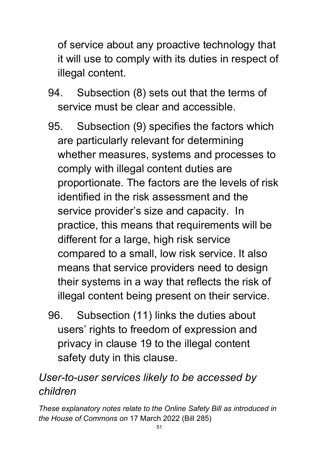of service about any proactive technology that it will use to comply with its duties in respect of illegal content.

- 94. Subsection (8) sets out that the terms of service must be clear and accessible.
- 95. Subsection (9) specifies the factors which are particularly relevant for determining whether measures, systems and processes to comply with illegal content duties are proportionate. The factors are the levels of risk identified in the risk assessment and the service provider's size and capacity. In practice, this means that requirements will be different for a large, high risk service compared to a small, low risk service. It also means that service providers need to design their systems in a way that reflects the risk of illegal content being present on their service.
- 96. Subsection (11) links the duties about users' rights to freedom of expression and privacy in clause 19 to the illegal content safety duty in this clause.

# *User-to-user services likely to be accessed by children*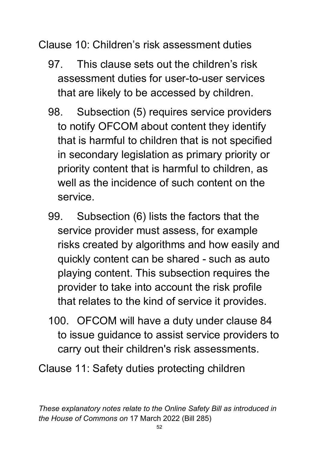Clause 10: Children's risk assessment duties

- 97. This clause sets out the children's risk assessment duties for user-to-user services that are likely to be accessed by children.
- 98. Subsection (5) requires service providers to notify OFCOM about content they identify that is harmful to children that is not specified in secondary legislation as primary priority or priority content that is harmful to children, as well as the incidence of such content on the service.
- 99. Subsection (6) lists the factors that the service provider must assess, for example risks created by algorithms and how easily and quickly content can be shared - such as auto playing content. This subsection requires the provider to take into account the risk profile that relates to the kind of service it provides.
- 100. OFCOM will have a duty under clause 84 to issue guidance to assist service providers to carry out their children's risk assessments.

Clause 11: Safety duties protecting children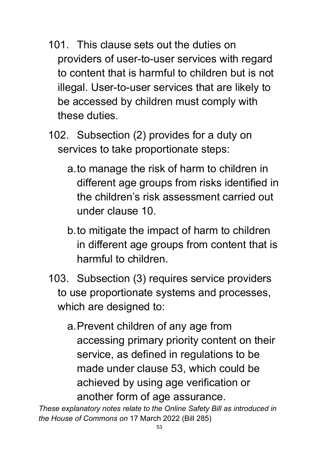- 101. This clause sets out the duties on providers of user-to-user services with regard to content that is harmful to children but is not illegal. User-to-user services that are likely to be accessed by children must comply with these duties.
- 102. Subsection (2) provides for a duty on services to take proportionate steps:
	- a.to manage the risk of harm to children in different age groups from risks identified in the children's risk assessment carried out under clause 10.
	- b.to mitigate the impact of harm to children in different age groups from content that is harmful to children.
- 103. Subsection (3) requires service providers to use proportionate systems and processes, which are designed to:
	- a.Prevent children of any age from accessing primary priority content on their service, as defined in regulations to be made under clause 53, which could be achieved by using age verification or another form of age assurance.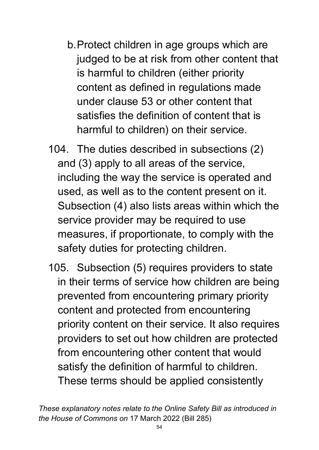- b.Protect children in age groups which are judged to be at risk from other content that is harmful to children (either priority content as defined in regulations made under clause 53 or other content that satisfies the definition of content that is harmful to children) on their service.
- 104. The duties described in subsections (2) and (3) apply to all areas of the service, including the way the service is operated and used, as well as to the content present on it. Subsection (4) also lists areas within which the service provider may be required to use measures, if proportionate, to comply with the safety duties for protecting children.
- 105. Subsection (5) requires providers to state in their terms of service how children are being prevented from encountering primary priority content and protected from encountering priority content on their service. It also requires providers to set out how children are protected from encountering other content that would satisfy the definition of harmful to children. These terms should be applied consistently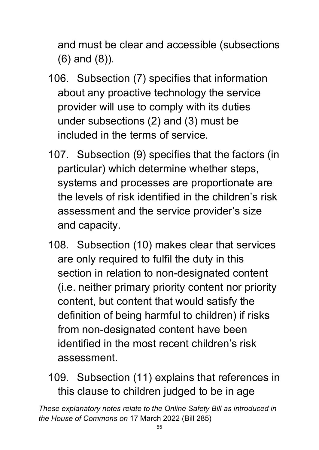and must be clear and accessible (subsections (6) and (8)).

- 106. Subsection (7) specifies that information about any proactive technology the service provider will use to comply with its duties under subsections (2) and (3) must be included in the terms of service.
- 107. Subsection (9) specifies that the factors (in particular) which determine whether steps, systems and processes are proportionate are the levels of risk identified in the children's risk assessment and the service provider's size and capacity.
- 108. Subsection (10) makes clear that services are only required to fulfil the duty in this section in relation to non-designated content (i.e. neither primary priority content nor priority content, but content that would satisfy the definition of being harmful to children) if risks from non-designated content have been identified in the most recent children's risk assessment.
- 109. Subsection (11) explains that references in this clause to children judged to be in age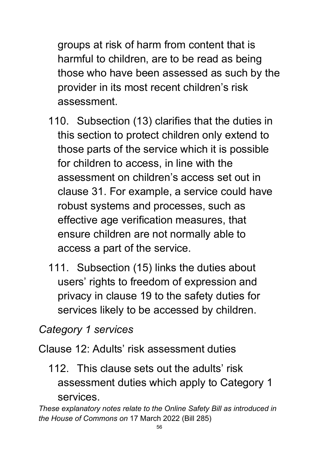groups at risk of harm from content that is harmful to children, are to be read as being those who have been assessed as such by the provider in its most recent children's risk assessment.

- 110. Subsection (13) clarifies that the duties in this section to protect children only extend to those parts of the service which it is possible for children to access, in line with the assessment on children's access set out in clause 31. For example, a service could have robust systems and processes, such as effective age verification measures, that ensure children are not normally able to access a part of the service.
- 111. Subsection (15) links the duties about users' rights to freedom of expression and privacy in clause 19 to the safety duties for services likely to be accessed by children.

#### *Category 1 services*

Clause 12: Adults' risk assessment duties

112. This clause sets out the adults' risk assessment duties which apply to Category 1 services.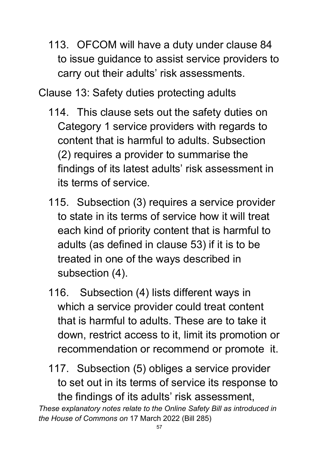113. OFCOM will have a duty under clause 84 to issue guidance to assist service providers to carry out their adults' risk assessments.

Clause 13: Safety duties protecting adults

- 114. This clause sets out the safety duties on Category 1 service providers with regards to content that is harmful to adults. Subsection (2) requires a provider to summarise the findings of its latest adults' risk assessment in its terms of service.
- 115. Subsection (3) requires a service provider to state in its terms of service how it will treat each kind of priority content that is harmful to adults (as defined in clause 53) if it is to be treated in one of the ways described in subsection (4).
- 116. Subsection (4) lists different ways in which a service provider could treat content that is harmful to adults. These are to take it down, restrict access to it, limit its promotion or recommendation or recommend or promote it.
- 117. Subsection (5) obliges a service provider to set out in its terms of service its response to the findings of its adults' risk assessment,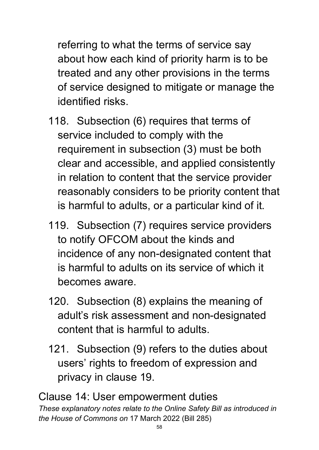referring to what the terms of service say about how each kind of priority harm is to be treated and any other provisions in the terms of service designed to mitigate or manage the identified risks.

- 118. Subsection (6) requires that terms of service included to comply with the requirement in subsection (3) must be both clear and accessible, and applied consistently in relation to content that the service provider reasonably considers to be priority content that is harmful to adults, or a particular kind of it.
- 119. Subsection (7) requires service providers to notify OFCOM about the kinds and incidence of any non-designated content that is harmful to adults on its service of which it becomes aware.
- 120. Subsection (8) explains the meaning of adult's risk assessment and non-designated content that is harmful to adults.
- 121. Subsection (9) refers to the duties about users' rights to freedom of expression and privacy in clause 19.

*These explanatory notes relate to the Online Safety Bill as introduced in the House of Commons on* 17 March 2022 (Bill 285) Clause 14: User empowerment duties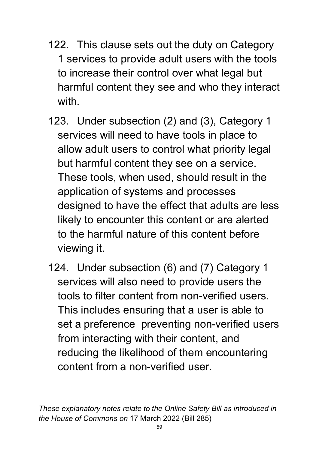- 122. This clause sets out the duty on Category 1 services to provide adult users with the tools to increase their control over what legal but harmful content they see and who they interact with
- 123. Under subsection (2) and (3), Category 1 services will need to have tools in place to allow adult users to control what priority legal but harmful content they see on a service. These tools, when used, should result in the application of systems and processes designed to have the effect that adults are less likely to encounter this content or are alerted to the harmful nature of this content before viewing it.
- 124. Under subsection (6) and (7) Category 1 services will also need to provide users the tools to filter content from non-verified users. This includes ensuring that a user is able to set a preference preventing non-verified users from interacting with their content, and reducing the likelihood of them encountering content from a non-verified user.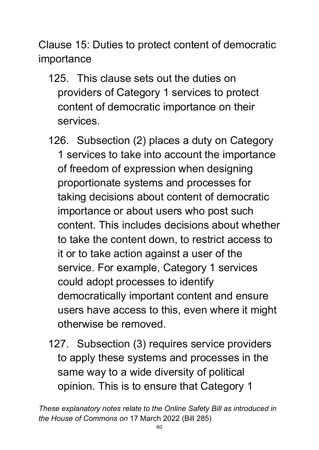Clause 15: Duties to protect content of democratic importance

- 125. This clause sets out the duties on providers of Category 1 services to protect content of democratic importance on their services.
- 126. Subsection (2) places a duty on Category 1 services to take into account the importance of freedom of expression when designing proportionate systems and processes for taking decisions about content of democratic importance or about users who post such content. This includes decisions about whether to take the content down, to restrict access to it or to take action against a user of the service. For example, Category 1 services could adopt processes to identify democratically important content and ensure users have access to this, even where it might otherwise be removed.
- 127. Subsection (3) requires service providers to apply these systems and processes in the same way to a wide diversity of political opinion. This is to ensure that Category 1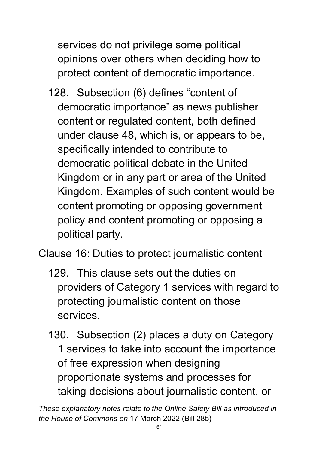services do not privilege some political opinions over others when deciding how to protect content of democratic importance.

128. Subsection (6) defines "content of democratic importance" as news publisher content or regulated content, both defined under clause 48, which is, or appears to be, specifically intended to contribute to democratic political debate in the United Kingdom or in any part or area of the United Kingdom. Examples of such content would be content promoting or opposing government policy and content promoting or opposing a political party.

Clause 16: Duties to protect journalistic content

- 129. This clause sets out the duties on providers of Category 1 services with regard to protecting journalistic content on those services.
- 130. Subsection (2) places a duty on Category 1 services to take into account the importance of free expression when designing proportionate systems and processes for taking decisions about journalistic content, or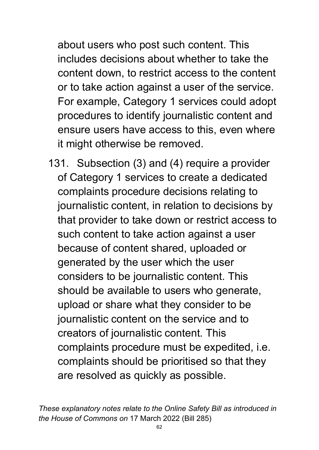about users who post such content. This includes decisions about whether to take the content down, to restrict access to the content or to take action against a user of the service. For example, Category 1 services could adopt procedures to identify journalistic content and ensure users have access to this, even where it might otherwise be removed.

131. Subsection (3) and (4) require a provider of Category 1 services to create a dedicated complaints procedure decisions relating to journalistic content, in relation to decisions by that provider to take down or restrict access to such content to take action against a user because of content shared, uploaded or generated by the user which the user considers to be journalistic content. This should be available to users who generate, upload or share what they consider to be journalistic content on the service and to creators of journalistic content. This complaints procedure must be expedited, i.e. complaints should be prioritised so that they are resolved as quickly as possible.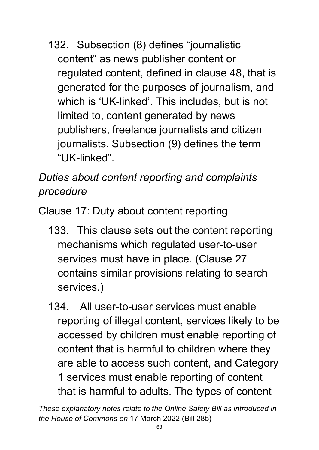132. Subsection (8) defines "journalistic content" as news publisher content or regulated content, defined in clause 48, that is generated for the purposes of journalism, and which is 'UK-linked'. This includes, but is not limited to, content generated by news publishers, freelance journalists and citizen journalists. Subsection (9) defines the term "UK-linked".

# *Duties about content reporting and complaints procedure*

Clause 17: Duty about content reporting

- 133. This clause sets out the content reporting mechanisms which regulated user-to-user services must have in place. (Clause 27 contains similar provisions relating to search services.)
- 134. All user-to-user services must enable reporting of illegal content, services likely to be accessed by children must enable reporting of content that is harmful to children where they are able to access such content, and Category 1 services must enable reporting of content that is harmful to adults. The types of content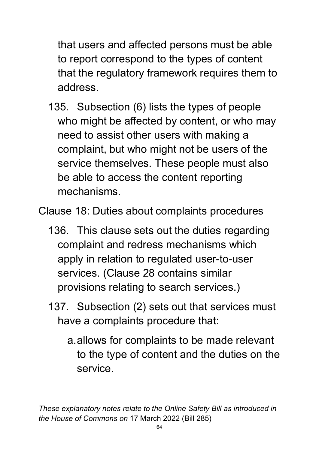that users and affected persons must be able to report correspond to the types of content that the regulatory framework requires them to address.

- 135. Subsection (6) lists the types of people who might be affected by content, or who may need to assist other users with making a complaint, but who might not be users of the service themselves. These people must also be able to access the content reporting mechanisms.
- Clause 18: Duties about complaints procedures
	- 136. This clause sets out the duties regarding complaint and redress mechanisms which apply in relation to regulated user-to-user services. (Clause 28 contains similar provisions relating to search services.)
	- 137. Subsection (2) sets out that services must have a complaints procedure that:
		- a.allows for complaints to be made relevant to the type of content and the duties on the service.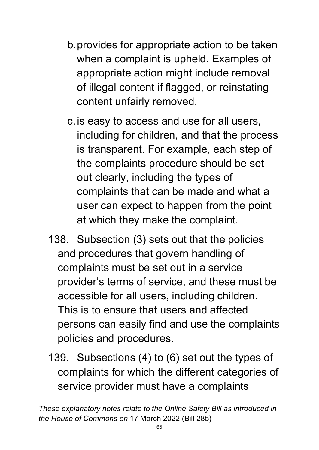- b.provides for appropriate action to be taken when a complaint is upheld. Examples of appropriate action might include removal of illegal content if flagged, or reinstating content unfairly removed.
- c.is easy to access and use for all users, including for children, and that the process is transparent. For example, each step of the complaints procedure should be set out clearly, including the types of complaints that can be made and what a user can expect to happen from the point at which they make the complaint.
- 138. Subsection (3) sets out that the policies and procedures that govern handling of complaints must be set out in a service provider's terms of service, and these must be accessible for all users, including children. This is to ensure that users and affected persons can easily find and use the complaints policies and procedures.
- 139. Subsections (4) to (6) set out the types of complaints for which the different categories of service provider must have a complaints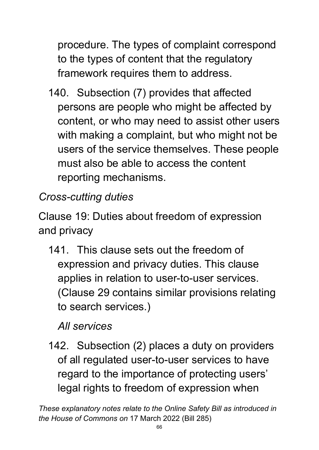procedure. The types of complaint correspond to the types of content that the regulatory framework requires them to address.

140. Subsection (7) provides that affected persons are people who might be affected by content, or who may need to assist other users with making a complaint, but who might not be users of the service themselves. These people must also be able to access the content reporting mechanisms.

# *Cross-cutting duties*

Clause 19: Duties about freedom of expression and privacy

141. This clause sets out the freedom of expression and privacy duties. This clause applies in relation to user-to-user services. (Clause 29 contains similar provisions relating to search services.)

# *All services*

142. Subsection (2) places a duty on providers of all regulated user-to-user services to have regard to the importance of protecting users' legal rights to freedom of expression when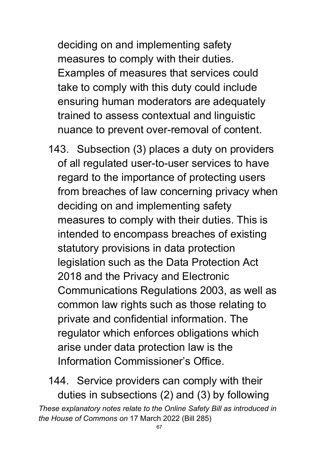deciding on and implementing safety measures to comply with their duties. Examples of measures that services could take to comply with this duty could include ensuring human moderators are adequately trained to assess contextual and linguistic nuance to prevent over-removal of content.

143. Subsection (3) places a duty on providers of all regulated user-to-user services to have regard to the importance of protecting users from breaches of law concerning privacy when deciding on and implementing safety measures to comply with their duties. This is intended to encompass breaches of existing statutory provisions in data protection legislation such as the Data Protection Act 2018 and the Privacy and Electronic Communications Regulations 2003, as well as common law rights such as those relating to private and confidential information. The regulator which enforces obligations which arise under data protection law is the Information Commissioner's Office.

*These explanatory notes relate to the Online Safety Bill as introduced in the House of Commons on* 17 March 2022 (Bill 285) 144. Service providers can comply with their duties in subsections (2) and (3) by following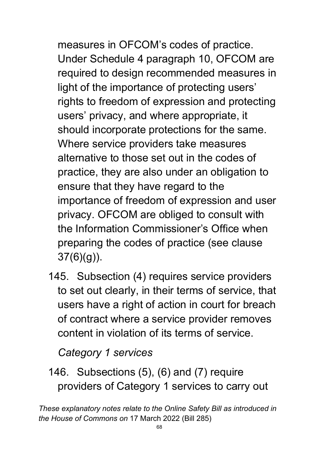measures in OFCOM's codes of practice. Under Schedule 4 paragraph 10, OFCOM are required to design recommended measures in light of the importance of protecting users' rights to freedom of expression and protecting users' privacy, and where appropriate, it should incorporate protections for the same. Where service providers take measures alternative to those set out in the codes of practice, they are also under an obligation to ensure that they have regard to the importance of freedom of expression and user privacy. OFCOM are obliged to consult with the Information Commissioner's Office when preparing the codes of practice (see clause 37(6)(g)).

145. Subsection (4) requires service providers to set out clearly, in their terms of service, that users have a right of action in court for breach of contract where a service provider removes content in violation of its terms of service.

#### *Category 1 services*

146. Subsections (5), (6) and (7) require providers of Category 1 services to carry out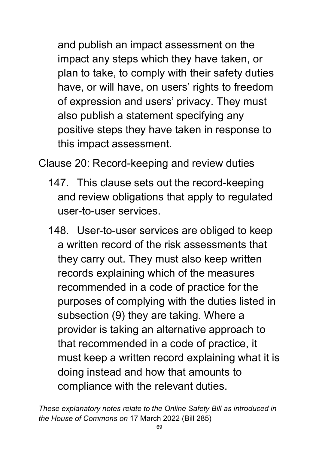and publish an impact assessment on the impact any steps which they have taken, or plan to take, to comply with their safety duties have, or will have, on users' rights to freedom of expression and users' privacy. They must also publish a statement specifying any positive steps they have taken in response to this impact assessment.

Clause 20: Record-keeping and review duties

- 147. This clause sets out the record-keeping and review obligations that apply to regulated user-to-user services.
- 148. User-to-user services are obliged to keep a written record of the risk assessments that they carry out. They must also keep written records explaining which of the measures recommended in a code of practice for the purposes of complying with the duties listed in subsection (9) they are taking. Where a provider is taking an alternative approach to that recommended in a code of practice, it must keep a written record explaining what it is doing instead and how that amounts to compliance with the relevant duties.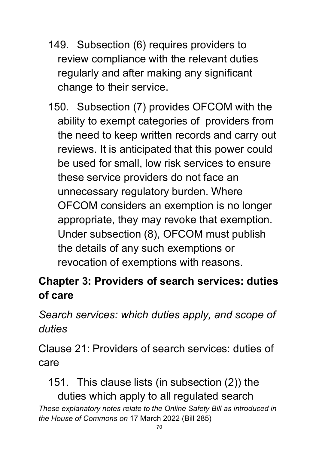- 149. Subsection (6) requires providers to review compliance with the relevant duties regularly and after making any significant change to their service.
- 150. Subsection (7) provides OFCOM with the ability to exempt categories of providers from the need to keep written records and carry out reviews. It is anticipated that this power could be used for small, low risk services to ensure these service providers do not face an unnecessary regulatory burden. Where OFCOM considers an exemption is no longer appropriate, they may revoke that exemption. Under subsection (8), OFCOM must publish the details of any such exemptions or revocation of exemptions with reasons.

# **Chapter 3: Providers of search services: duties of care**

*Search services: which duties apply, and scope of duties*

Clause 21: Providers of search services: duties of care

*These explanatory notes relate to the Online Safety Bill as introduced in the House of Commons on* 17 March 2022 (Bill 285) 151. This clause lists (in subsection (2)) the duties which apply to all regulated search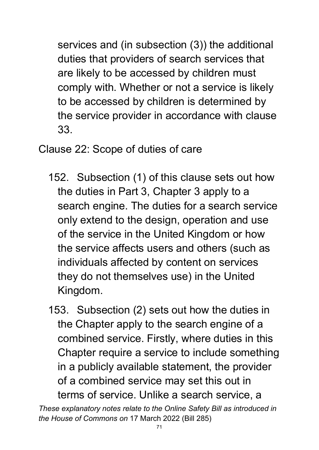services and (in subsection (3)) the additional duties that providers of search services that are likely to be accessed by children must comply with. Whether or not a service is likely to be accessed by children is determined by the service provider in accordance with clause 33.

Clause 22: Scope of duties of care

152. Subsection (1) of this clause sets out how the duties in Part 3, Chapter 3 apply to a search engine. The duties for a search service only extend to the design, operation and use of the service in the United Kingdom or how the service affects users and others (such as individuals affected by content on services they do not themselves use) in the United Kingdom.

153. Subsection (2) sets out how the duties in the Chapter apply to the search engine of a combined service. Firstly, where duties in this Chapter require a service to include something in a publicly available statement, the provider of a combined service may set this out in terms of service. Unlike a search service, a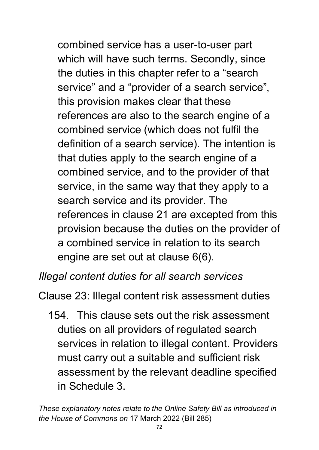combined service has a user-to-user part which will have such terms. Secondly, since the duties in this chapter refer to a "search service" and a "provider of a search service", this provision makes clear that these references are also to the search engine of a combined service (which does not fulfil the definition of a search service). The intention is that duties apply to the search engine of a combined service, and to the provider of that service, in the same way that they apply to a search service and its provider. The references in clause 21 are excepted from this provision because the duties on the provider of a combined service in relation to its search engine are set out at clause 6(6).

#### *Illegal content duties for all search services*

Clause 23: Illegal content risk assessment duties

154. This clause sets out the risk assessment duties on all providers of regulated search services in relation to illegal content. Providers must carry out a suitable and sufficient risk assessment by the relevant deadline specified in Schedule 3.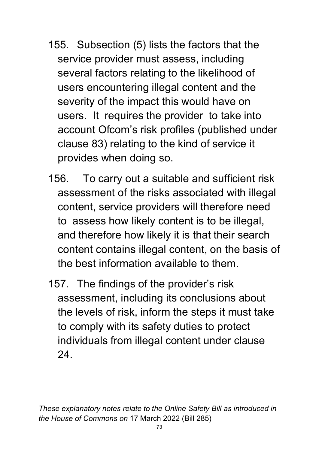- 155. Subsection (5) lists the factors that the service provider must assess, including several factors relating to the likelihood of users encountering illegal content and the severity of the impact this would have on users. It requires the provider to take into account Ofcom's risk profiles (published under clause 83) relating to the kind of service it provides when doing so.
- 156. To carry out a suitable and sufficient risk assessment of the risks associated with illegal content, service providers will therefore need to assess how likely content is to be illegal, and therefore how likely it is that their search content contains illegal content, on the basis of the best information available to them.
- 157. The findings of the provider's risk assessment, including its conclusions about the levels of risk, inform the steps it must take to comply with its safety duties to protect individuals from illegal content under clause 24.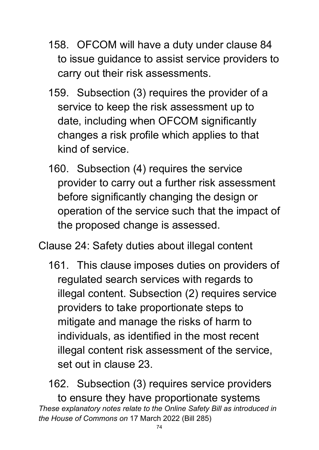- 158. OFCOM will have a duty under clause 84 to issue guidance to assist service providers to carry out their risk assessments.
- 159. Subsection (3) requires the provider of a service to keep the risk assessment up to date, including when OFCOM significantly changes a risk profile which applies to that kind of service.
- 160. Subsection (4) requires the service provider to carry out a further risk assessment before significantly changing the design or operation of the service such that the impact of the proposed change is assessed.
- Clause 24: Safety duties about illegal content
	- 161. This clause imposes duties on providers of regulated search services with regards to illegal content. Subsection (2) requires service providers to take proportionate steps to mitigate and manage the risks of harm to individuals, as identified in the most recent illegal content risk assessment of the service, set out in clause 23.

*These explanatory notes relate to the Online Safety Bill as introduced in the House of Commons on* 17 March 2022 (Bill 285) 162. Subsection (3) requires service providers to ensure they have proportionate systems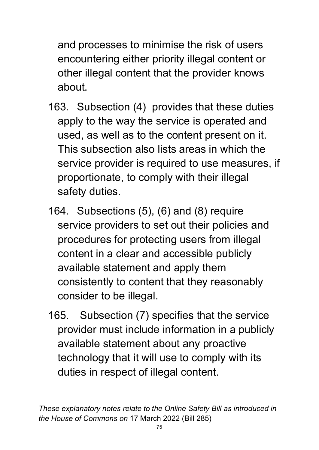and processes to minimise the risk of users encountering either priority illegal content or other illegal content that the provider knows about.

- 163. Subsection (4) provides that these duties apply to the way the service is operated and used, as well as to the content present on it. This subsection also lists areas in which the service provider is required to use measures, if proportionate, to comply with their illegal safety duties.
- 164. Subsections (5), (6) and (8) require service providers to set out their policies and procedures for protecting users from illegal content in a clear and accessible publicly available statement and apply them consistently to content that they reasonably consider to be illegal.
- 165. Subsection (7) specifies that the service provider must include information in a publicly available statement about any proactive technology that it will use to comply with its duties in respect of illegal content.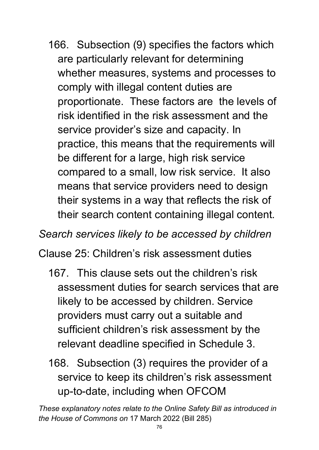166. Subsection (9) specifies the factors which are particularly relevant for determining whether measures, systems and processes to comply with illegal content duties are proportionate. These factors are the levels of risk identified in the risk assessment and the service provider's size and capacity. In practice, this means that the requirements will be different for a large, high risk service compared to a small, low risk service. It also means that service providers need to design their systems in a way that reflects the risk of their search content containing illegal content.

*Search services likely to be accessed by children*

Clause 25: Children's risk assessment duties

- 167. This clause sets out the children's risk assessment duties for search services that are likely to be accessed by children. Service providers must carry out a suitable and sufficient children's risk assessment by the relevant deadline specified in Schedule 3.
- 168. Subsection (3) requires the provider of a service to keep its children's risk assessment up-to-date, including when OFCOM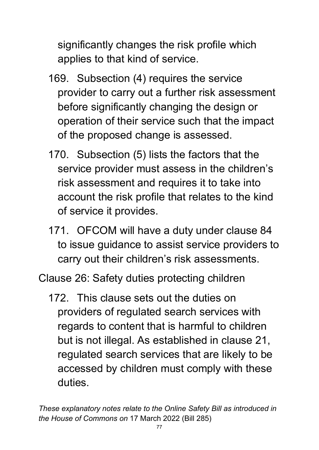significantly changes the risk profile which applies to that kind of service.

- 169. Subsection (4) requires the service provider to carry out a further risk assessment before significantly changing the design or operation of their service such that the impact of the proposed change is assessed.
- 170. Subsection (5) lists the factors that the service provider must assess in the children's risk assessment and requires it to take into account the risk profile that relates to the kind of service it provides.
- 171. OFCOM will have a duty under clause 84 to issue guidance to assist service providers to carry out their children's risk assessments.

Clause 26: Safety duties protecting children

172. This clause sets out the duties on providers of regulated search services with regards to content that is harmful to children but is not illegal. As established in clause 21, regulated search services that are likely to be accessed by children must comply with these duties.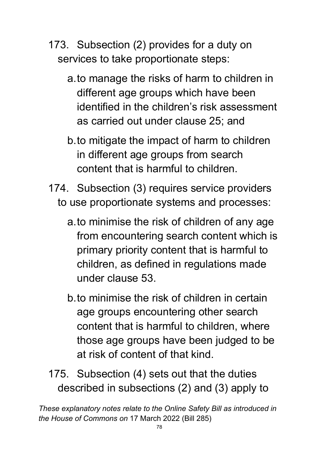- 173. Subsection (2) provides for a duty on services to take proportionate steps:
	- a.to manage the risks of harm to children in different age groups which have been identified in the children's risk assessment as carried out under clause 25; and
	- b.to mitigate the impact of harm to children in different age groups from search content that is harmful to children.
- 174. Subsection (3) requires service providers to use proportionate systems and processes:
	- a.to minimise the risk of children of any age from encountering search content which is primary priority content that is harmful to children, as defined in regulations made under clause 53.
	- b.to minimise the risk of children in certain age groups encountering other search content that is harmful to children, where those age groups have been judged to be at risk of content of that kind.
- 175. Subsection (4) sets out that the duties described in subsections (2) and (3) apply to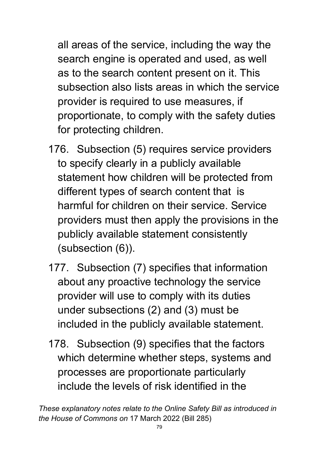all areas of the service, including the way the search engine is operated and used, as well as to the search content present on it. This subsection also lists areas in which the service provider is required to use measures, if proportionate, to comply with the safety duties for protecting children.

- 176. Subsection (5) requires service providers to specify clearly in a publicly available statement how children will be protected from different types of search content that is harmful for children on their service. Service providers must then apply the provisions in the publicly available statement consistently (subsection (6)).
- 177. Subsection (7) specifies that information about any proactive technology the service provider will use to comply with its duties under subsections (2) and (3) must be included in the publicly available statement.
- 178. Subsection (9) specifies that the factors which determine whether steps, systems and processes are proportionate particularly include the levels of risk identified in the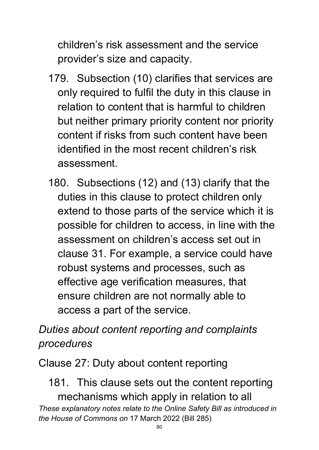children's risk assessment and the service provider's size and capacity.

- 179. Subsection (10) clarifies that services are only required to fulfil the duty in this clause in relation to content that is harmful to children but neither primary priority content nor priority content if risks from such content have been identified in the most recent children's risk assessment.
- 180. Subsections (12) and (13) clarify that the duties in this clause to protect children only extend to those parts of the service which it is possible for children to access, in line with the assessment on children's access set out in clause 31. For example, a service could have robust systems and processes, such as effective age verification measures, that ensure children are not normally able to access a part of the service.

## *Duties about content reporting and complaints procedures*

Clause 27: Duty about content reporting

*These explanatory notes relate to the Online Safety Bill as introduced in the House of Commons on* 17 March 2022 (Bill 285) 181. This clause sets out the content reporting mechanisms which apply in relation to all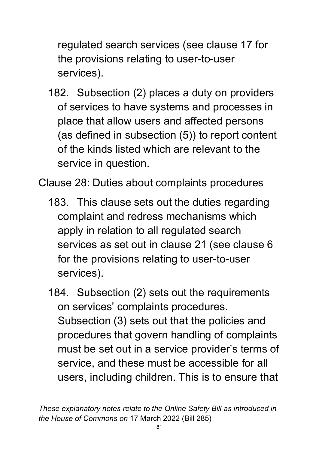regulated search services (see clause 17 for the provisions relating to user-to-user services).

182. Subsection (2) places a duty on providers of services to have systems and processes in place that allow users and affected persons (as defined in subsection (5)) to report content of the kinds listed which are relevant to the service in question.

Clause 28: Duties about complaints procedures

183. This clause sets out the duties regarding complaint and redress mechanisms which apply in relation to all regulated search services as set out in clause 21 (see clause 6 for the provisions relating to user-to-user services).

184. Subsection (2) sets out the requirements on services' complaints procedures. Subsection (3) sets out that the policies and procedures that govern handling of complaints must be set out in a service provider's terms of service, and these must be accessible for all users, including children. This is to ensure that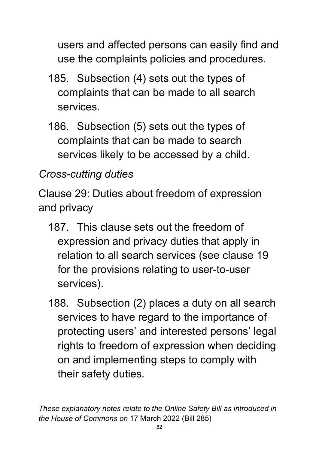users and affected persons can easily find and use the complaints policies and procedures.

- 185. Subsection (4) sets out the types of complaints that can be made to all search services.
- 186. Subsection (5) sets out the types of complaints that can be made to search services likely to be accessed by a child.

# *Cross-cutting duties*

Clause 29: Duties about freedom of expression and privacy

- 187. This clause sets out the freedom of expression and privacy duties that apply in relation to all search services (see clause 19 for the provisions relating to user-to-user services).
- 188. Subsection (2) places a duty on all search services to have regard to the importance of protecting users' and interested persons' legal rights to freedom of expression when deciding on and implementing steps to comply with their safety duties.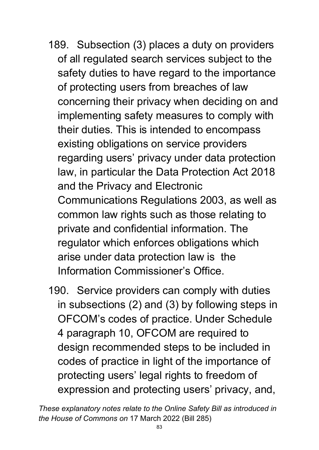- 189. Subsection (3) places a duty on providers of all regulated search services subject to the safety duties to have regard to the importance of protecting users from breaches of law concerning their privacy when deciding on and implementing safety measures to comply with their duties. This is intended to encompass existing obligations on service providers regarding users' privacy under data protection law, in particular the Data Protection Act 2018 and the Privacy and Electronic Communications Regulations 2003, as well as common law rights such as those relating to private and confidential information. The regulator which enforces obligations which arise under data protection law is the Information Commissioner's Office.
- 190. Service providers can comply with duties in subsections (2) and (3) by following steps in OFCOM's codes of practice. Under Schedule 4 paragraph 10, OFCOM are required to design recommended steps to be included in codes of practice in light of the importance of protecting users' legal rights to freedom of expression and protecting users' privacy, and,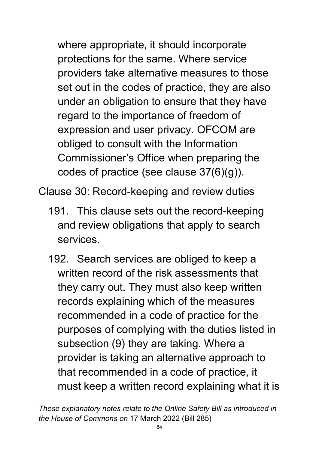where appropriate, it should incorporate protections for the same. Where service providers take alternative measures to those set out in the codes of practice, they are also under an obligation to ensure that they have regard to the importance of freedom of expression and user privacy. OFCOM are obliged to consult with the Information Commissioner's Office when preparing the codes of practice (see clause 37(6)(g)).

Clause 30: Record-keeping and review duties

- 191. This clause sets out the record-keeping and review obligations that apply to search services.
- 192. Search services are obliged to keep a written record of the risk assessments that they carry out. They must also keep written records explaining which of the measures recommended in a code of practice for the purposes of complying with the duties listed in subsection (9) they are taking. Where a provider is taking an alternative approach to that recommended in a code of practice, it must keep a written record explaining what it is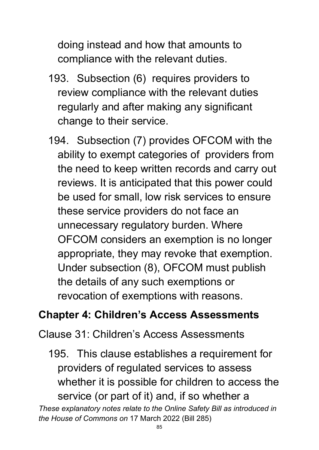doing instead and how that amounts to compliance with the relevant duties.

- 193. Subsection (6) requires providers to review compliance with the relevant duties regularly and after making any significant change to their service.
- 194. Subsection (7) provides OFCOM with the ability to exempt categories of providers from the need to keep written records and carry out reviews. It is anticipated that this power could be used for small, low risk services to ensure these service providers do not face an unnecessary regulatory burden. Where OFCOM considers an exemption is no longer appropriate, they may revoke that exemption. Under subsection (8), OFCOM must publish the details of any such exemptions or revocation of exemptions with reasons.

### **Chapter 4: Children's Access Assessments**

Clause 31: Children's Access Assessments

*These explanatory notes relate to the Online Safety Bill as introduced in the House of Commons on* 17 March 2022 (Bill 285) 195. This clause establishes a requirement for providers of regulated services to assess whether it is possible for children to access the service (or part of it) and, if so whether a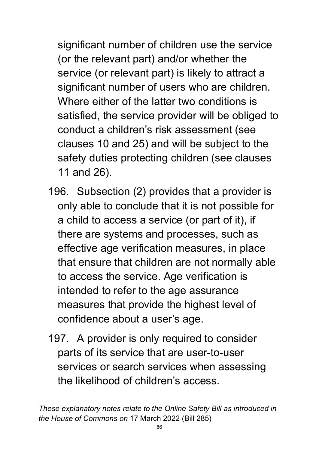significant number of children use the service (or the relevant part) and/or whether the service (or relevant part) is likely to attract a significant number of users who are children. Where either of the latter two conditions is satisfied, the service provider will be obliged to conduct a children's risk assessment (see clauses 10 and 25) and will be subject to the safety duties protecting children (see clauses 11 and 26).

- 196. Subsection (2) provides that a provider is only able to conclude that it is not possible for a child to access a service (or part of it), if there are systems and processes, such as effective age verification measures, in place that ensure that children are not normally able to access the service. Age verification is intended to refer to the age assurance measures that provide the highest level of confidence about a user's age.
- 197. A provider is only required to consider parts of its service that are user-to-user services or search services when assessing the likelihood of children's access.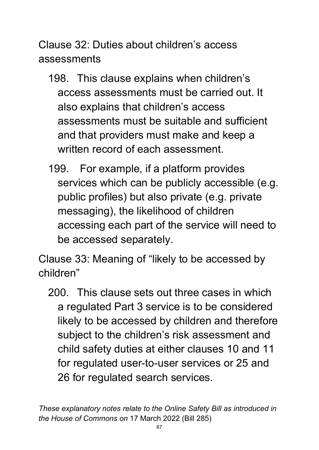Clause 32: Duties about children's access assessments

- 198. This clause explains when children's access assessments must be carried out. It also explains that children's access assessments must be suitable and sufficient and that providers must make and keep a written record of each assessment.
- 199. For example, if a platform provides services which can be publicly accessible (e.g. public profiles) but also private (e.g. private messaging), the likelihood of children accessing each part of the service will need to be accessed separately.

Clause 33: Meaning of "likely to be accessed by children"

200. This clause sets out three cases in which a regulated Part 3 service is to be considered likely to be accessed by children and therefore subject to the children's risk assessment and child safety duties at either clauses 10 and 11 for regulated user-to-user services or 25 and 26 for regulated search services.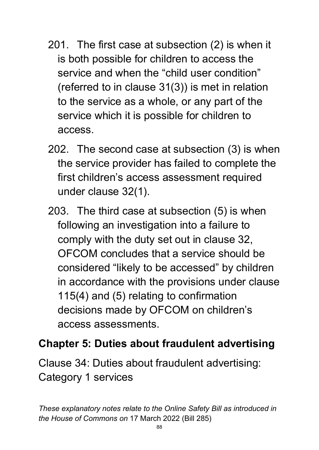- 201. The first case at subsection (2) is when it is both possible for children to access the service and when the "child user condition" (referred to in clause 31(3)) is met in relation to the service as a whole, or any part of the service which it is possible for children to access.
- 202. The second case at subsection (3) is when the service provider has failed to complete the first children's access assessment required under clause 32(1).
- 203. The third case at subsection (5) is when following an investigation into a failure to comply with the duty set out in clause 32, OFCOM concludes that a service should be considered "likely to be accessed" by children in accordance with the provisions under clause 115(4) and (5) relating to confirmation decisions made by OFCOM on children's access assessments.

#### **Chapter 5: Duties about fraudulent advertising**

Clause 34: Duties about fraudulent advertising: Category 1 services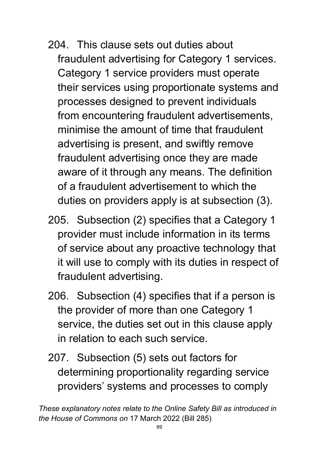- 204. This clause sets out duties about fraudulent advertising for Category 1 services. Category 1 service providers must operate their services using proportionate systems and processes designed to prevent individuals from encountering fraudulent advertisements, minimise the amount of time that fraudulent advertising is present, and swiftly remove fraudulent advertising once they are made aware of it through any means. The definition of a fraudulent advertisement to which the duties on providers apply is at subsection (3).
- 205. Subsection (2) specifies that a Category 1 provider must include information in its terms of service about any proactive technology that it will use to comply with its duties in respect of fraudulent advertising.
- 206. Subsection (4) specifies that if a person is the provider of more than one Category 1 service, the duties set out in this clause apply in relation to each such service.
- 207. Subsection (5) sets out factors for determining proportionality regarding service providers' systems and processes to comply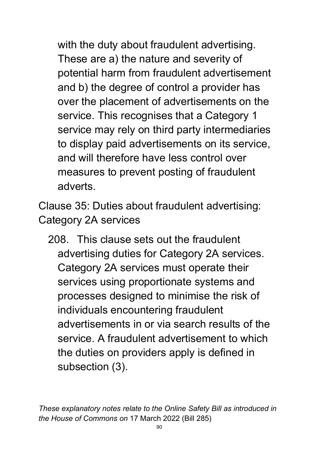with the duty about fraudulent advertising. These are a) the nature and severity of potential harm from fraudulent advertisement and b) the degree of control a provider has over the placement of advertisements on the service. This recognises that a Category 1 service may rely on third party intermediaries to display paid advertisements on its service, and will therefore have less control over measures to prevent posting of fraudulent adverts.

Clause 35: Duties about fraudulent advertising: Category 2A services

208. This clause sets out the fraudulent advertising duties for Category 2A services. Category 2A services must operate their services using proportionate systems and processes designed to minimise the risk of individuals encountering fraudulent advertisements in or via search results of the service. A fraudulent advertisement to which the duties on providers apply is defined in subsection (3).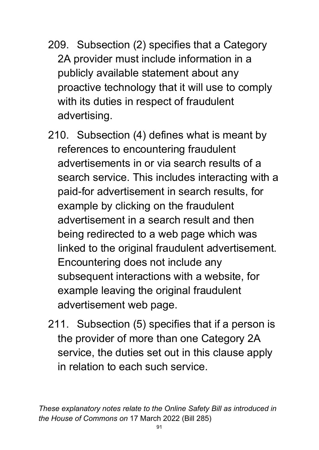- 209. Subsection (2) specifies that a Category 2A provider must include information in a publicly available statement about any proactive technology that it will use to comply with its duties in respect of fraudulent advertising.
- 210. Subsection (4) defines what is meant by references to encountering fraudulent advertisements in or via search results of a search service. This includes interacting with a paid-for advertisement in search results, for example by clicking on the fraudulent advertisement in a search result and then being redirected to a web page which was linked to the original fraudulent advertisement. Encountering does not include any subsequent interactions with a website, for example leaving the original fraudulent advertisement web page.
- 211. Subsection (5) specifies that if a person is the provider of more than one Category 2A service, the duties set out in this clause apply in relation to each such service.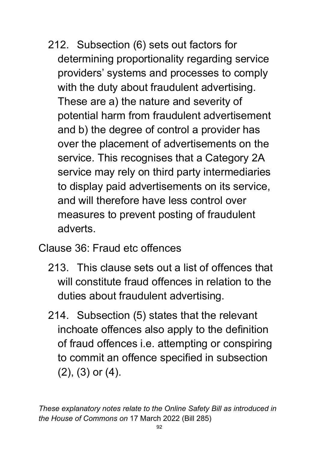- 212. Subsection (6) sets out factors for determining proportionality regarding service providers' systems and processes to comply with the duty about fraudulent advertising. These are a) the nature and severity of potential harm from fraudulent advertisement and b) the degree of control a provider has over the placement of advertisements on the service. This recognises that a Category 2A service may rely on third party intermediaries to display paid advertisements on its service, and will therefore have less control over measures to prevent posting of fraudulent adverts.
- Clause 36: Fraud etc offences
	- 213. This clause sets out a list of offences that will constitute fraud offences in relation to the duties about fraudulent advertising.
	- 214. Subsection (5) states that the relevant inchoate offences also apply to the definition of fraud offences i.e. attempting or conspiring to commit an offence specified in subsection (2), (3) or (4).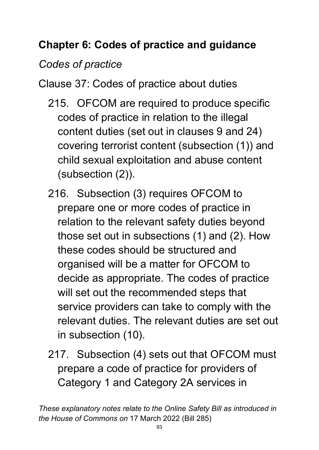# **Chapter 6: Codes of practice and guidance**

## *Codes of practice*

Clause 37: Codes of practice about duties

- 215. OFCOM are required to produce specific codes of practice in relation to the illegal content duties (set out in clauses 9 and 24) covering terrorist content (subsection (1)) and child sexual exploitation and abuse content (subsection (2)).
- 216. Subsection (3) requires OFCOM to prepare one or more codes of practice in relation to the relevant safety duties beyond those set out in subsections (1) and (2). How these codes should be structured and organised will be a matter for OFCOM to decide as appropriate. The codes of practice will set out the recommended steps that service providers can take to comply with the relevant duties. The relevant duties are set out in subsection (10).
- 217. Subsection (4) sets out that OFCOM must prepare a code of practice for providers of Category 1 and Category 2A services in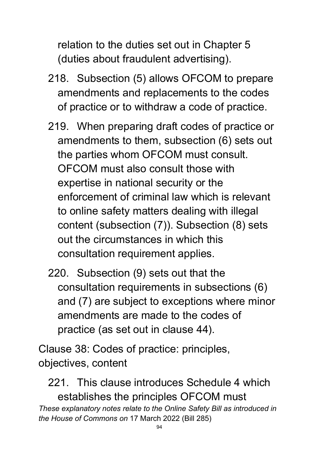relation to the duties set out in Chapter 5 (duties about fraudulent advertising).

- 218. Subsection (5) allows OFCOM to prepare amendments and replacements to the codes of practice or to withdraw a code of practice.
- 219. When preparing draft codes of practice or amendments to them, subsection (6) sets out the parties whom OFCOM must consult. OFCOM must also consult those with expertise in national security or the enforcement of criminal law which is relevant to online safety matters dealing with illegal content (subsection (7)). Subsection (8) sets out the circumstances in which this consultation requirement applies.
- 220. Subsection (9) sets out that the consultation requirements in subsections (6) and (7) are subject to exceptions where minor amendments are made to the codes of practice (as set out in clause 44).

Clause 38: Codes of practice: principles, objectives, content

*These explanatory notes relate to the Online Safety Bill as introduced in the House of Commons on* 17 March 2022 (Bill 285) 221. This clause introduces Schedule 4 which establishes the principles OFCOM must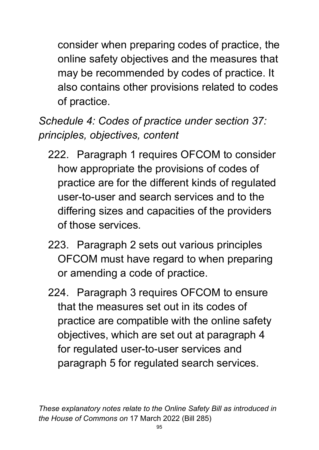consider when preparing codes of practice, the online safety objectives and the measures that may be recommended by codes of practice. It also contains other provisions related to codes of practice.

*Schedule 4: Codes of practice under section 37: principles, objectives, content* 

- 222. Paragraph 1 requires OFCOM to consider how appropriate the provisions of codes of practice are for the different kinds of regulated user-to-user and search services and to the differing sizes and capacities of the providers of those services.
- 223. Paragraph 2 sets out various principles OFCOM must have regard to when preparing or amending a code of practice.
- 224. Paragraph 3 requires OFCOM to ensure that the measures set out in its codes of practice are compatible with the online safety objectives, which are set out at paragraph 4 for regulated user-to-user services and paragraph 5 for regulated search services.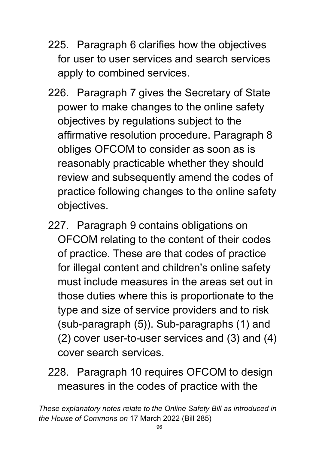- 225. Paragraph 6 clarifies how the objectives for user to user services and search services apply to combined services.
- 226. Paragraph 7 gives the Secretary of State power to make changes to the online safety objectives by regulations subject to the affirmative resolution procedure. Paragraph 8 obliges OFCOM to consider as soon as is reasonably practicable whether they should review and subsequently amend the codes of practice following changes to the online safety objectives.
- 227. Paragraph 9 contains obligations on OFCOM relating to the content of their codes of practice. These are that codes of practice for illegal content and children's online safety must include measures in the areas set out in those duties where this is proportionate to the type and size of service providers and to risk (sub-paragraph (5)). Sub-paragraphs (1) and (2) cover user-to-user services and (3) and (4) cover search services.
- 228. Paragraph 10 requires OFCOM to design measures in the codes of practice with the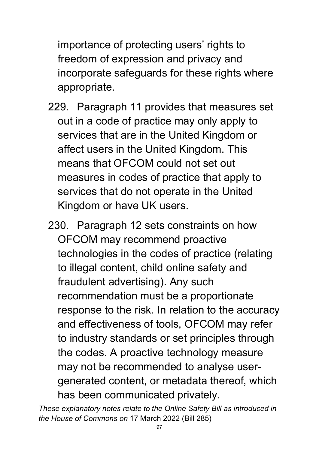importance of protecting users' rights to freedom of expression and privacy and incorporate safeguards for these rights where appropriate.

- 229. Paragraph 11 provides that measures set out in a code of practice may only apply to services that are in the United Kingdom or affect users in the United Kingdom. This means that OFCOM could not set out measures in codes of practice that apply to services that do not operate in the United Kingdom or have UK users.
- 230. Paragraph 12 sets constraints on how OFCOM may recommend proactive technologies in the codes of practice (relating to illegal content, child online safety and fraudulent advertising). Any such recommendation must be a proportionate response to the risk. In relation to the accuracy and effectiveness of tools, OFCOM may refer to industry standards or set principles through the codes. A proactive technology measure may not be recommended to analyse usergenerated content, or metadata thereof, which has been communicated privately.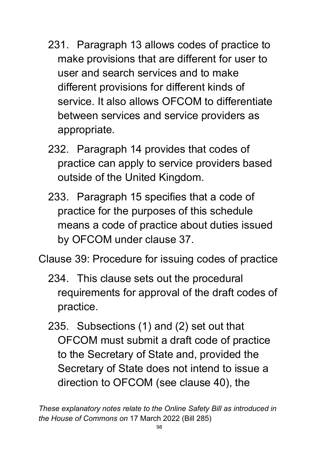- 231. Paragraph 13 allows codes of practice to make provisions that are different for user to user and search services and to make different provisions for different kinds of service. It also allows OFCOM to differentiate between services and service providers as appropriate.
- 232. Paragraph 14 provides that codes of practice can apply to service providers based outside of the United Kingdom.
- 233. Paragraph 15 specifies that a code of practice for the purposes of this schedule means a code of practice about duties issued by OFCOM under clause 37.

Clause 39: Procedure for issuing codes of practice

- 234. This clause sets out the procedural requirements for approval of the draft codes of practice.
- 235. Subsections (1) and (2) set out that OFCOM must submit a draft code of practice to the Secretary of State and, provided the Secretary of State does not intend to issue a direction to OFCOM (see clause 40), the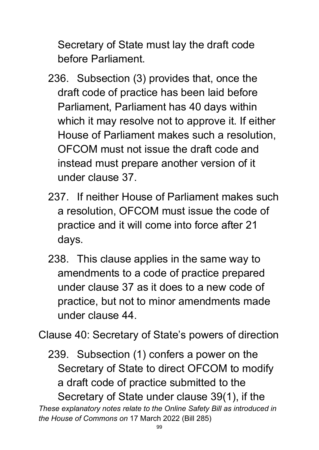Secretary of State must lay the draft code before Parliament.

- 236. Subsection (3) provides that, once the draft code of practice has been laid before Parliament, Parliament has 40 days within which it may resolve not to approve it. If either House of Parliament makes such a resolution, OFCOM must not issue the draft code and instead must prepare another version of it under clause 37.
- 237. If neither House of Parliament makes such a resolution, OFCOM must issue the code of practice and it will come into force after 21 days.
- 238. This clause applies in the same way to amendments to a code of practice prepared under clause 37 as it does to a new code of practice, but not to minor amendments made under clause 44.

Clause 40: Secretary of State's powers of direction

*These explanatory notes relate to the Online Safety Bill as introduced in*  239. Subsection (1) confers a power on the Secretary of State to direct OFCOM to modify a draft code of practice submitted to the Secretary of State under clause 39(1), if the

*the House of Commons on* 17 March 2022 (Bill 285)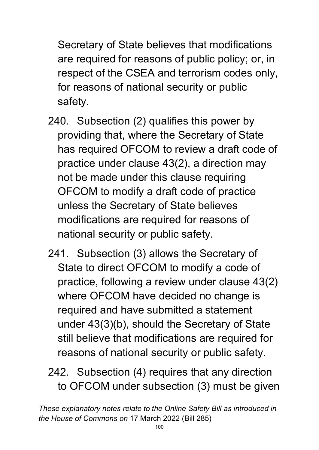Secretary of State believes that modifications are required for reasons of public policy; or, in respect of the CSEA and terrorism codes only, for reasons of national security or public safety.

- 240. Subsection (2) qualifies this power by providing that, where the Secretary of State has required OFCOM to review a draft code of practice under clause 43(2), a direction may not be made under this clause requiring OFCOM to modify a draft code of practice unless the Secretary of State believes modifications are required for reasons of national security or public safety.
- 241. Subsection (3) allows the Secretary of State to direct OFCOM to modify a code of practice, following a review under clause 43(2) where OFCOM have decided no change is required and have submitted a statement under 43(3)(b), should the Secretary of State still believe that modifications are required for reasons of national security or public safety.
- 242. Subsection (4) requires that any direction to OFCOM under subsection (3) must be given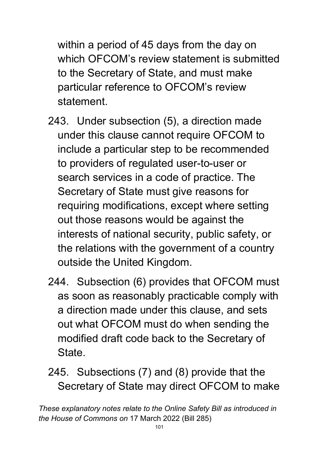within a period of 45 days from the day on which OFCOM's review statement is submitted to the Secretary of State, and must make particular reference to OFCOM's review statement.

- 243. Under subsection (5), a direction made under this clause cannot require OFCOM to include a particular step to be recommended to providers of regulated user-to-user or search services in a code of practice. The Secretary of State must give reasons for requiring modifications, except where setting out those reasons would be against the interests of national security, public safety, or the relations with the government of a country outside the United Kingdom.
- 244. Subsection (6) provides that OFCOM must as soon as reasonably practicable comply with a direction made under this clause, and sets out what OFCOM must do when sending the modified draft code back to the Secretary of State.
- 245. Subsections (7) and (8) provide that the Secretary of State may direct OFCOM to make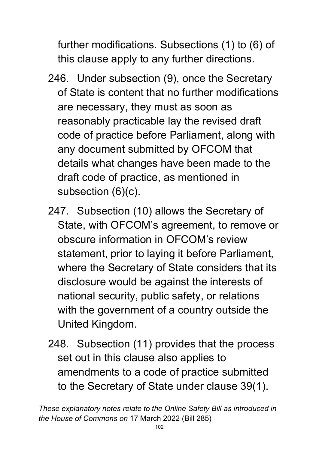further modifications. Subsections (1) to (6) of this clause apply to any further directions.

- 246. Under subsection (9), once the Secretary of State is content that no further modifications are necessary, they must as soon as reasonably practicable lay the revised draft code of practice before Parliament, along with any document submitted by OFCOM that details what changes have been made to the draft code of practice, as mentioned in subsection (6)(c).
- 247. Subsection (10) allows the Secretary of State, with OFCOM's agreement, to remove or obscure information in OFCOM's review statement, prior to laying it before Parliament, where the Secretary of State considers that its disclosure would be against the interests of national security, public safety, or relations with the government of a country outside the United Kingdom.
- 248. Subsection (11) provides that the process set out in this clause also applies to amendments to a code of practice submitted to the Secretary of State under clause 39(1).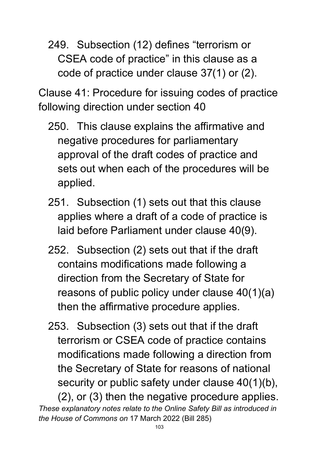249. Subsection (12) defines "terrorism or CSEA code of practice" in this clause as a code of practice under clause 37(1) or (2).

Clause 41: Procedure for issuing codes of practice following direction under section 40

- 250. This clause explains the affirmative and negative procedures for parliamentary approval of the draft codes of practice and sets out when each of the procedures will be applied.
- 251. Subsection (1) sets out that this clause applies where a draft of a code of practice is laid before Parliament under clause 40(9).
- 252. Subsection (2) sets out that if the draft contains modifications made following a direction from the Secretary of State for reasons of public policy under clause 40(1)(a) then the affirmative procedure applies.
- *These explanatory notes relate to the Online Safety Bill as introduced in the House of Commons on* 17 March 2022 (Bill 285) 253. Subsection (3) sets out that if the draft terrorism or CSEA code of practice contains modifications made following a direction from the Secretary of State for reasons of national security or public safety under clause 40(1)(b), (2), or (3) then the negative procedure applies.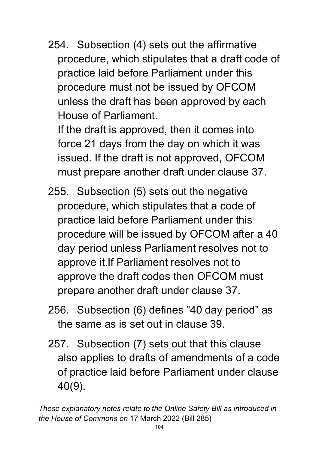254. Subsection (4) sets out the affirmative procedure, which stipulates that a draft code of practice laid before Parliament under this procedure must not be issued by OFCOM unless the draft has been approved by each House of Parliament.

If the draft is approved, then it comes into force 21 days from the day on which it was issued. If the draft is not approved, OFCOM must prepare another draft under clause 37.

- 255. Subsection (5) sets out the negative procedure, which stipulates that a code of practice laid before Parliament under this procedure will be issued by OFCOM after a 40 day period unless Parliament resolves not to approve it.If Parliament resolves not to approve the draft codes then OFCOM must prepare another draft under clause 37.
- 256. Subsection (6) defines "40 day period" as the same as is set out in clause 39.
- 257. Subsection (7) sets out that this clause also applies to drafts of amendments of a code of practice laid before Parliament under clause 40(9).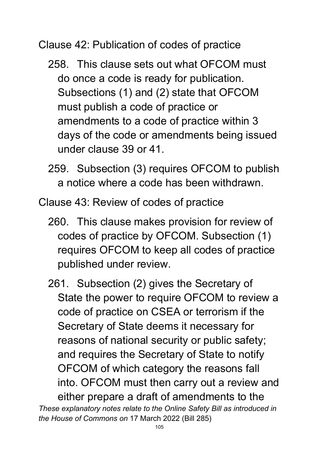Clause 42: Publication of codes of practice

- 258. This clause sets out what OFCOM must do once a code is ready for publication. Subsections (1) and (2) state that OFCOM must publish a code of practice or amendments to a code of practice within 3 days of the code or amendments being issued under clause 39 or 41.
- 259. Subsection (3) requires OFCOM to publish a notice where a code has been withdrawn.

Clause 43: Review of codes of practice

- 260. This clause makes provision for review of codes of practice by OFCOM. Subsection (1) requires OFCOM to keep all codes of practice published under review.
- *These explanatory notes relate to the Online Safety Bill as introduced in*  261. Subsection (2) gives the Secretary of State the power to require OFCOM to review a code of practice on CSEA or terrorism if the Secretary of State deems it necessary for reasons of national security or public safety; and requires the Secretary of State to notify OFCOM of which category the reasons fall into. OFCOM must then carry out a review and either prepare a draft of amendments to the

*the House of Commons on* 17 March 2022 (Bill 285)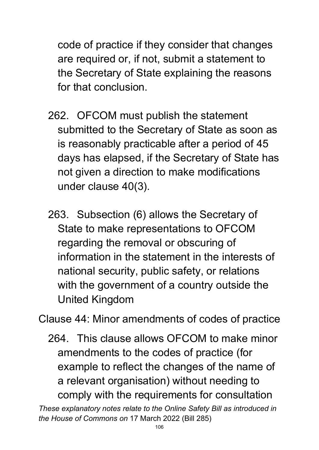code of practice if they consider that changes are required or, if not, submit a statement to the Secretary of State explaining the reasons for that conclusion.

- 262. OFCOM must publish the statement submitted to the Secretary of State as soon as is reasonably practicable after a period of 45 days has elapsed, if the Secretary of State has not given a direction to make modifications under clause 40(3).
- 263. Subsection (6) allows the Secretary of State to make representations to OFCOM regarding the removal or obscuring of information in the statement in the interests of national security, public safety, or relations with the government of a country outside the United Kingdom

Clause 44: Minor amendments of codes of practice

264. This clause allows OFCOM to make minor amendments to the codes of practice (for example to reflect the changes of the name of a relevant organisation) without needing to comply with the requirements for consultation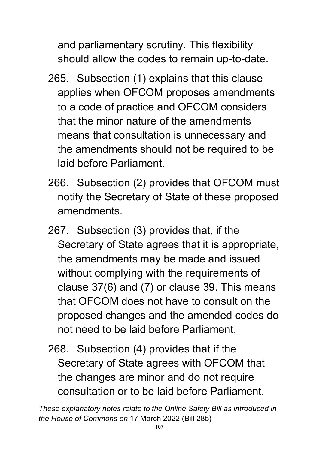and parliamentary scrutiny. This flexibility should allow the codes to remain up-to-date.

- 265. Subsection (1) explains that this clause applies when OFCOM proposes amendments to a code of practice and OFCOM considers that the minor nature of the amendments means that consultation is unnecessary and the amendments should not be required to be laid before Parliament.
- 266. Subsection (2) provides that OFCOM must notify the Secretary of State of these proposed amendments.
- 267. Subsection (3) provides that, if the Secretary of State agrees that it is appropriate, the amendments may be made and issued without complying with the requirements of clause 37(6) and (7) or clause 39. This means that OFCOM does not have to consult on the proposed changes and the amended codes do not need to be laid before Parliament.
- 268. Subsection (4) provides that if the Secretary of State agrees with OFCOM that the changes are minor and do not require consultation or to be laid before Parliament,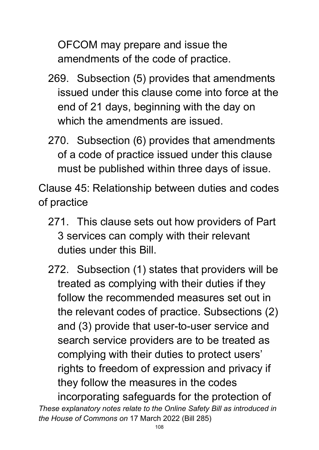OFCOM may prepare and issue the amendments of the code of practice.

- 269. Subsection (5) provides that amendments issued under this clause come into force at the end of 21 days, beginning with the day on which the amendments are issued.
- 270. Subsection (6) provides that amendments of a code of practice issued under this clause must be published within three days of issue.

Clause 45: Relationship between duties and codes of practice

- 271. This clause sets out how providers of Part 3 services can comply with their relevant duties under this Bill.
- 272. Subsection (1) states that providers will be treated as complying with their duties if they follow the recommended measures set out in the relevant codes of practice. Subsections (2) and (3) provide that user-to-user service and search service providers are to be treated as complying with their duties to protect users' rights to freedom of expression and privacy if they follow the measures in the codes

*These explanatory notes relate to the Online Safety Bill as introduced in the House of Commons on* 17 March 2022 (Bill 285) incorporating safeguards for the protection of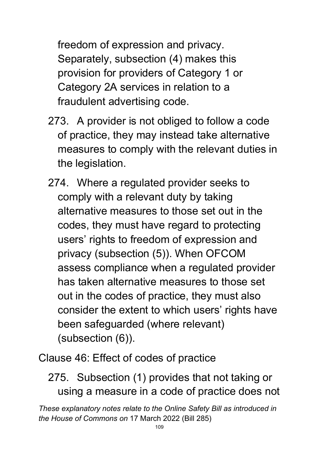freedom of expression and privacy. Separately, subsection (4) makes this provision for providers of Category 1 or Category 2A services in relation to a fraudulent advertising code.

- 273. A provider is not obliged to follow a code of practice, they may instead take alternative measures to comply with the relevant duties in the legislation.
- 274. Where a regulated provider seeks to comply with a relevant duty by taking alternative measures to those set out in the codes, they must have regard to protecting users' rights to freedom of expression and privacy (subsection (5)). When OFCOM assess compliance when a regulated provider has taken alternative measures to those set out in the codes of practice, they must also consider the extent to which users' rights have been safeguarded (where relevant) (subsection (6)).

Clause 46: Effect of codes of practice

275. Subsection (1) provides that not taking or using a measure in a code of practice does not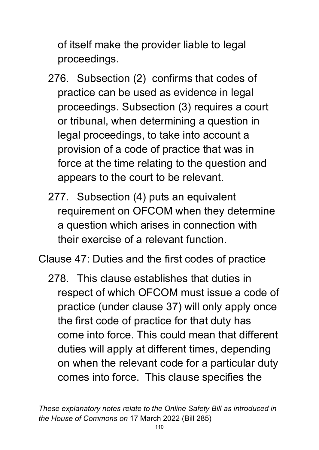of itself make the provider liable to legal proceedings.

- 276. Subsection (2) confirms that codes of practice can be used as evidence in legal proceedings. Subsection (3) requires a court or tribunal, when determining a question in legal proceedings, to take into account a provision of a code of practice that was in force at the time relating to the question and appears to the court to be relevant.
- 277. Subsection (4) puts an equivalent requirement on OFCOM when they determine a question which arises in connection with their exercise of a relevant function.

Clause 47: Duties and the first codes of practice

278. This clause establishes that duties in respect of which OFCOM must issue a code of practice (under clause 37) will only apply once the first code of practice for that duty has come into force. This could mean that different duties will apply at different times, depending on when the relevant code for a particular duty comes into force. This clause specifies the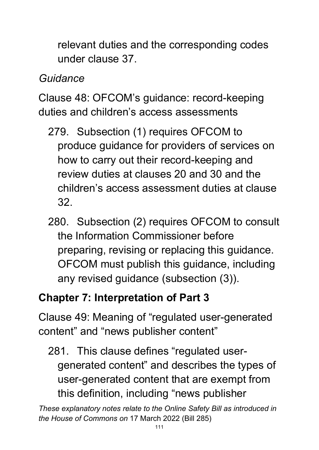relevant duties and the corresponding codes under clause 37.

## *Guidance*

Clause 48: OFCOM's guidance: record-keeping duties and children's access assessments

- 279. Subsection (1) requires OFCOM to produce guidance for providers of services on how to carry out their record-keeping and review duties at clauses 20 and 30 and the children's access assessment duties at clause 32.
- 280. Subsection (2) requires OFCOM to consult the Information Commissioner before preparing, revising or replacing this guidance. OFCOM must publish this guidance, including any revised guidance (subsection (3)).

# **Chapter 7: Interpretation of Part 3**

Clause 49: Meaning of "regulated user-generated content" and "news publisher content"

281. This clause defines "regulated usergenerated content" and describes the types of user-generated content that are exempt from this definition, including "news publisher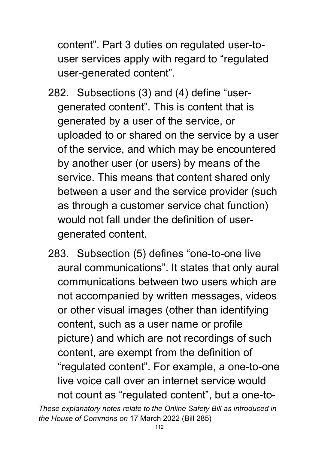content". Part 3 duties on regulated user-touser services apply with regard to "regulated user-generated content".

- 282. Subsections (3) and (4) define "usergenerated content". This is content that is generated by a user of the service, or uploaded to or shared on the service by a user of the service, and which may be encountered by another user (or users) by means of the service. This means that content shared only between a user and the service provider (such as through a customer service chat function) would not fall under the definition of usergenerated content.
- 283. Subsection (5) defines "one-to-one live aural communications". It states that only aural communications between two users which are not accompanied by written messages, videos or other visual images (other than identifying content, such as a user name or profile picture) and which are not recordings of such content, are exempt from the definition of "regulated content". For example, a one-to-one live voice call over an internet service would not count as "regulated content", but a one-to-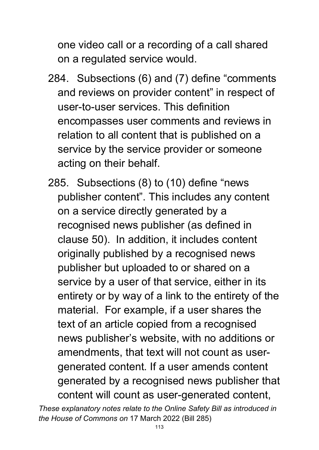one video call or a recording of a call shared on a regulated service would.

- 284. Subsections (6) and (7) define "comments and reviews on provider content" in respect of user-to-user services. This definition encompasses user comments and reviews in relation to all content that is published on a service by the service provider or someone acting on their behalf.
- 285. Subsections (8) to (10) define "news publisher content". This includes any content on a service directly generated by a recognised news publisher (as defined in clause 50). In addition, it includes content originally published by a recognised news publisher but uploaded to or shared on a service by a user of that service, either in its entirety or by way of a link to the entirety of the material. For example, if a user shares the text of an article copied from a recognised news publisher's website, with no additions or amendments, that text will not count as usergenerated content. If a user amends content generated by a recognised news publisher that content will count as user-generated content,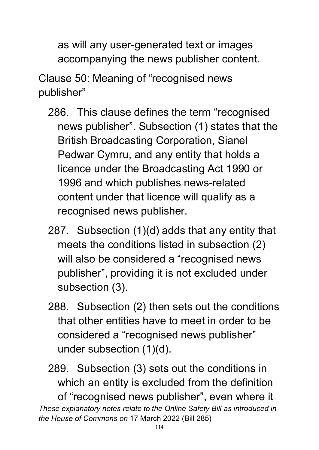as will any user-generated text or images accompanying the news publisher content.

Clause 50: Meaning of "recognised news publisher"

- 286. This clause defines the term "recognised news publisher". Subsection (1) states that the British Broadcasting Corporation, Sianel Pedwar Cymru, and any entity that holds a licence under the Broadcasting Act 1990 or 1996 and which publishes news-related content under that licence will qualify as a recognised news publisher.
- 287. Subsection (1)(d) adds that any entity that meets the conditions listed in subsection (2) will also be considered a "recognised news publisher", providing it is not excluded under subsection (3).
- 288. Subsection (2) then sets out the conditions that other entities have to meet in order to be considered a "recognised news publisher" under subsection (1)(d).

*These explanatory notes relate to the Online Safety Bill as introduced in the House of Commons on* 17 March 2022 (Bill 285) 289. Subsection (3) sets out the conditions in which an entity is excluded from the definition of "recognised news publisher", even where it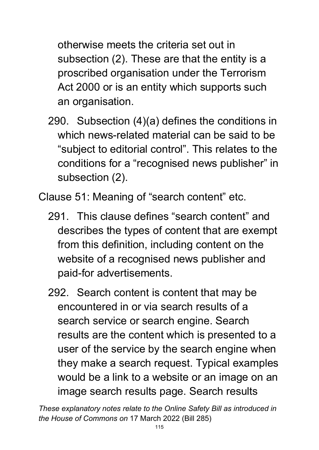otherwise meets the criteria set out in subsection (2). These are that the entity is a proscribed organisation under the Terrorism Act 2000 or is an entity which supports such an organisation.

290. Subsection (4)(a) defines the conditions in which news-related material can be said to be "subject to editorial control". This relates to the conditions for a "recognised news publisher" in subsection (2).

Clause 51: Meaning of "search content" etc.

- 291. This clause defines "search content" and describes the types of content that are exempt from this definition, including content on the website of a recognised news publisher and paid-for advertisements.
- 292. Search content is content that may be encountered in or via search results of a search service or search engine. Search results are the content which is presented to a user of the service by the search engine when they make a search request. Typical examples would be a link to a website or an image on an image search results page. Search results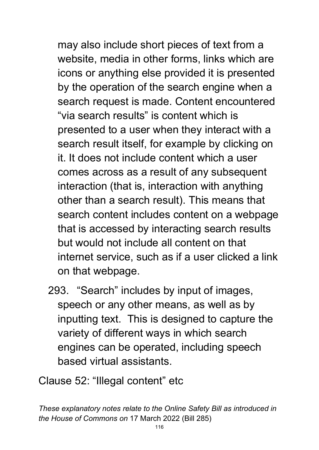may also include short pieces of text from a website, media in other forms, links which are icons or anything else provided it is presented by the operation of the search engine when a search request is made. Content encountered "via search results" is content which is presented to a user when they interact with a search result itself, for example by clicking on it. It does not include content which a user comes across as a result of any subsequent interaction (that is, interaction with anything other than a search result). This means that search content includes content on a webpage that is accessed by interacting search results but would not include all content on that internet service, such as if a user clicked a link on that webpage.

293. "Search" includes by input of images, speech or any other means, as well as by inputting text. This is designed to capture the variety of different ways in which search engines can be operated, including speech based virtual assistants.

Clause 52: "Illegal content" etc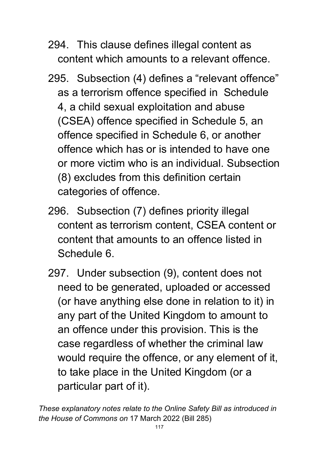- 294. This clause defines illegal content as content which amounts to a relevant offence.
- 295. Subsection (4) defines a "relevant offence" as a terrorism offence specified in Schedule 4, a child sexual exploitation and abuse (CSEA) offence specified in Schedule 5, an offence specified in Schedule 6, or another offence which has or is intended to have one or more victim who is an individual. Subsection (8) excludes from this definition certain categories of offence.
- 296. Subsection (7) defines priority illegal content as terrorism content, CSEA content or content that amounts to an offence listed in Schedule 6.
- 297. Under subsection (9), content does not need to be generated, uploaded or accessed (or have anything else done in relation to it) in any part of the United Kingdom to amount to an offence under this provision. This is the case regardless of whether the criminal law would require the offence, or any element of it, to take place in the United Kingdom (or a particular part of it).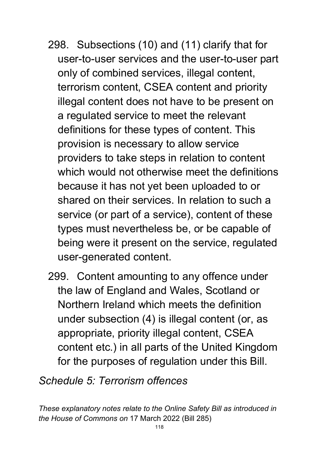- 298. Subsections (10) and (11) clarify that for user-to-user services and the user-to-user part only of combined services, illegal content, terrorism content, CSEA content and priority illegal content does not have to be present on a regulated service to meet the relevant definitions for these types of content. This provision is necessary to allow service providers to take steps in relation to content which would not otherwise meet the definitions because it has not yet been uploaded to or shared on their services. In relation to such a service (or part of a service), content of these types must nevertheless be, or be capable of being were it present on the service, regulated user-generated content.
- 299. Content amounting to any offence under the law of England and Wales, Scotland or Northern Ireland which meets the definition under subsection (4) is illegal content (or, as appropriate, priority illegal content, CSEA content etc.) in all parts of the United Kingdom for the purposes of regulation under this Bill.

#### *Schedule 5: Terrorism offences*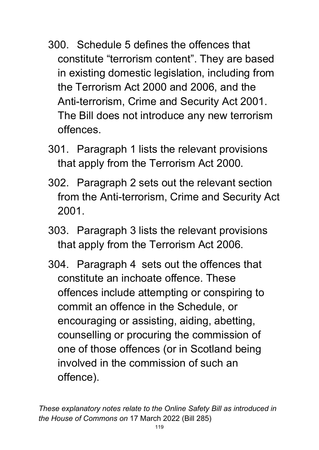- 300. Schedule 5 defines the offences that constitute "terrorism content". They are based in existing domestic legislation, including from the Terrorism Act 2000 and 2006, and the Anti-terrorism, Crime and Security Act 2001. The Bill does not introduce any new terrorism offences.
- 301. Paragraph 1 lists the relevant provisions that apply from the Terrorism Act 2000.
- 302. Paragraph 2 sets out the relevant section from the Anti-terrorism, Crime and Security Act 2001.
- 303. Paragraph 3 lists the relevant provisions that apply from the Terrorism Act 2006.
- 304. Paragraph 4 sets out the offences that constitute an inchoate offence. These offences include attempting or conspiring to commit an offence in the Schedule, or encouraging or assisting, aiding, abetting, counselling or procuring the commission of one of those offences (or in Scotland being involved in the commission of such an offence).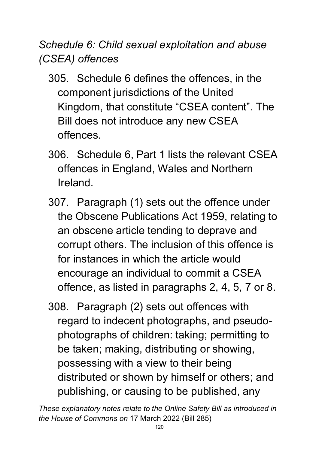*Schedule 6: Child sexual exploitation and abuse (CSEA) offences* 

- 305. Schedule 6 defines the offences, in the component jurisdictions of the United Kingdom, that constitute "CSEA content". The Bill does not introduce any new CSEA offences.
- 306. Schedule 6, Part 1 lists the relevant CSEA offences in England, Wales and Northern Ireland.
- 307. Paragraph (1) sets out the offence under the Obscene Publications Act 1959, relating to an obscene article tending to deprave and corrupt others. The inclusion of this offence is for instances in which the article would encourage an individual to commit a CSEA offence, as listed in paragraphs 2, 4, 5, 7 or 8.
- 308. Paragraph (2) sets out offences with regard to indecent photographs, and pseudophotographs of children: taking; permitting to be taken; making, distributing or showing, possessing with a view to their being distributed or shown by himself or others; and publishing, or causing to be published, any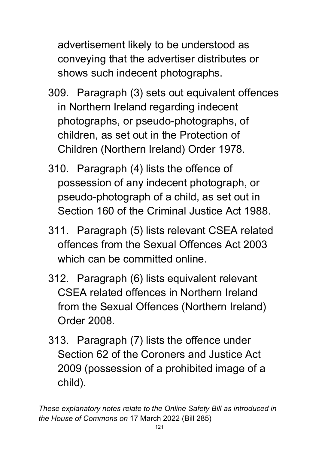advertisement likely to be understood as conveying that the advertiser distributes or shows such indecent photographs.

- 309. Paragraph (3) sets out equivalent offences in Northern Ireland regarding indecent photographs, or pseudo-photographs, of children, as set out in the Protection of Children (Northern Ireland) Order 1978.
- 310. Paragraph (4) lists the offence of possession of any indecent photograph, or pseudo-photograph of a child, as set out in Section 160 of the Criminal Justice Act 1988.
- 311. Paragraph (5) lists relevant CSEA related offences from the Sexual Offences Act 2003 which can be committed online.
- 312. Paragraph (6) lists equivalent relevant CSEA related offences in Northern Ireland from the Sexual Offences (Northern Ireland) Order 2008.
- 313. Paragraph (7) lists the offence under Section 62 of the Coroners and Justice Act 2009 (possession of a prohibited image of a child).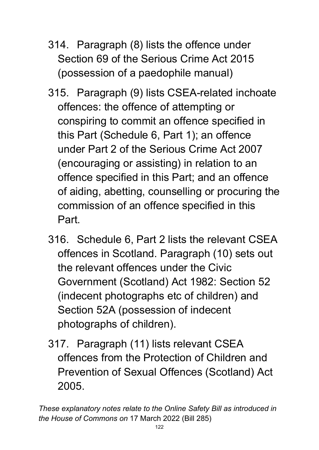- 314. Paragraph (8) lists the offence under Section 69 of the Serious Crime Act 2015 (possession of a paedophile manual)
- 315. Paragraph (9) lists CSEA-related inchoate offences: the offence of attempting or conspiring to commit an offence specified in this Part (Schedule 6, Part 1); an offence under Part 2 of the Serious Crime Act 2007 (encouraging or assisting) in relation to an offence specified in this Part; and an offence of aiding, abetting, counselling or procuring the commission of an offence specified in this Part.
- 316. Schedule 6, Part 2 lists the relevant CSEA offences in Scotland. Paragraph (10) sets out the relevant offences under the Civic Government (Scotland) Act 1982: Section 52 (indecent photographs etc of children) and Section 52A (possession of indecent photographs of children).
- 317. Paragraph (11) lists relevant CSEA offences from the Protection of Children and Prevention of Sexual Offences (Scotland) Act 2005.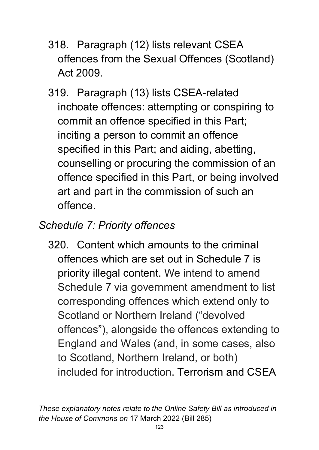- 318. Paragraph (12) lists relevant CSEA offences from the Sexual Offences (Scotland) Act 2009.
- 319. Paragraph (13) lists CSEA-related inchoate offences: attempting or conspiring to commit an offence specified in this Part; inciting a person to commit an offence specified in this Part; and aiding, abetting, counselling or procuring the commission of an offence specified in this Part, or being involved art and part in the commission of such an offence.

## *Schedule 7: Priority offences*

320. Content which amounts to the criminal offences which are set out in Schedule 7 is priority illegal content. We intend to amend Schedule 7 via government amendment to list corresponding offences which extend only to Scotland or Northern Ireland ("devolved offences"), alongside the offences extending to England and Wales (and, in some cases, also to Scotland, Northern Ireland, or both) included for introduction. Terrorism and CSEA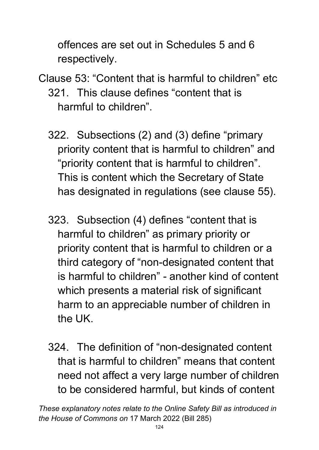offences are set out in Schedules 5 and 6 respectively.

- Clause 53: "Content that is harmful to children" etc 321. This clause defines "content that is harmful to children".
	- 322. Subsections (2) and (3) define "primary priority content that is harmful to children" and "priority content that is harmful to children". This is content which the Secretary of State has designated in regulations (see clause 55).
	- 323. Subsection (4) defines "content that is harmful to children" as primary priority or priority content that is harmful to children or a third category of "non-designated content that is harmful to children" - another kind of content which presents a material risk of significant harm to an appreciable number of children in the UK.
	- 324. The definition of "non-designated content that is harmful to children" means that content need not affect a very large number of children to be considered harmful, but kinds of content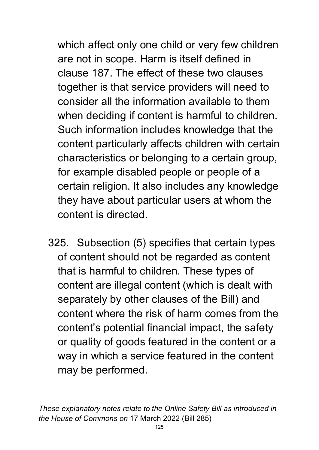which affect only one child or very few children are not in scope. Harm is itself defined in clause 187. The effect of these two clauses together is that service providers will need to consider all the information available to them when deciding if content is harmful to children. Such information includes knowledge that the content particularly affects children with certain characteristics or belonging to a certain group, for example disabled people or people of a certain religion. It also includes any knowledge they have about particular users at whom the content is directed.

325. Subsection (5) specifies that certain types of content should not be regarded as content that is harmful to children. These types of content are illegal content (which is dealt with separately by other clauses of the Bill) and content where the risk of harm comes from the content's potential financial impact, the safety or quality of goods featured in the content or a way in which a service featured in the content may be performed.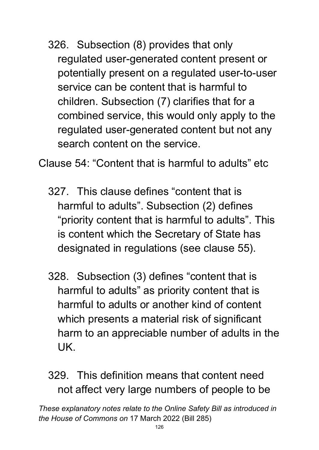326. Subsection (8) provides that only regulated user-generated content present or potentially present on a regulated user-to-user service can be content that is harmful to children. Subsection (7) clarifies that for a combined service, this would only apply to the regulated user-generated content but not any search content on the service.

Clause 54: "Content that is harmful to adults" etc

- 327. This clause defines "content that is harmful to adults". Subsection (2) defines "priority content that is harmful to adults". This is content which the Secretary of State has designated in regulations (see clause 55).
- 328. Subsection (3) defines "content that is harmful to adults" as priority content that is harmful to adults or another kind of content which presents a material risk of significant harm to an appreciable number of adults in the UK.
- 329. This definition means that content need not affect very large numbers of people to be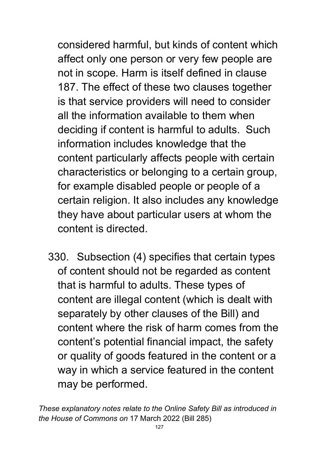considered harmful, but kinds of content which affect only one person or very few people are not in scope. Harm is itself defined in clause 187. The effect of these two clauses together is that service providers will need to consider all the information available to them when deciding if content is harmful to adults. Such information includes knowledge that the content particularly affects people with certain characteristics or belonging to a certain group, for example disabled people or people of a certain religion. It also includes any knowledge they have about particular users at whom the content is directed.

330. Subsection (4) specifies that certain types of content should not be regarded as content that is harmful to adults. These types of content are illegal content (which is dealt with separately by other clauses of the Bill) and content where the risk of harm comes from the content's potential financial impact, the safety or quality of goods featured in the content or a way in which a service featured in the content may be performed.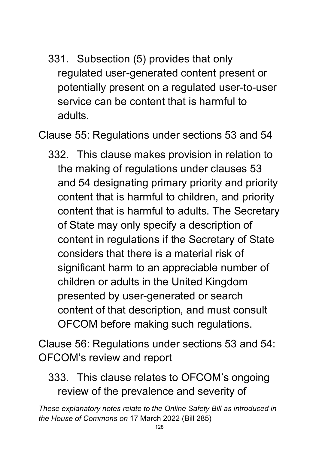331. Subsection (5) provides that only regulated user-generated content present or potentially present on a regulated user-to-user service can be content that is harmful to adults.

Clause 55: Regulations under sections 53 and 54

332. This clause makes provision in relation to the making of regulations under clauses 53 and 54 designating primary priority and priority content that is harmful to children, and priority content that is harmful to adults. The Secretary of State may only specify a description of content in regulations if the Secretary of State considers that there is a material risk of significant harm to an appreciable number of children or adults in the United Kingdom presented by user-generated or search content of that description, and must consult OFCOM before making such regulations.

Clause 56: Regulations under sections 53 and 54: OFCOM's review and report

#### 333. This clause relates to OFCOM's ongoing review of the prevalence and severity of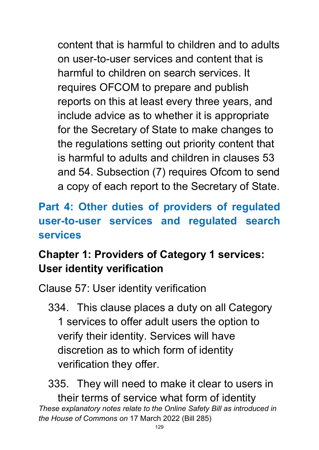content that is harmful to children and to adults on user-to-user services and content that is harmful to children on search services. It requires OFCOM to prepare and publish reports on this at least every three years, and include advice as to whether it is appropriate for the Secretary of State to make changes to the regulations setting out priority content that is harmful to adults and children in clauses 53 and 54. Subsection (7) requires Ofcom to send a copy of each report to the Secretary of State.

## **Part 4: Other duties of providers of regulated user-to-user services and regulated search services**

## **Chapter 1: Providers of Category 1 services: User identity verification**

Clause 57: User identity verification

334. This clause places a duty on all Category 1 services to offer adult users the option to verify their identity. Services will have discretion as to which form of identity verification they offer.

*These explanatory notes relate to the Online Safety Bill as introduced in the House of Commons on* 17 March 2022 (Bill 285) 335. They will need to make it clear to users in their terms of service what form of identity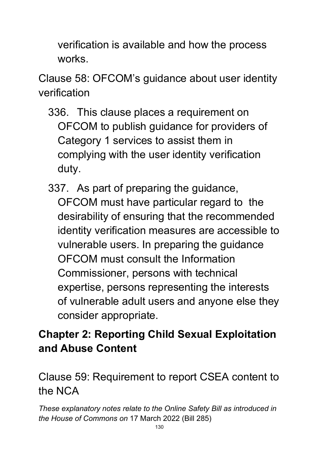verification is available and how the process works.

Clause 58: OFCOM's guidance about user identity verification

- 336. This clause places a requirement on OFCOM to publish guidance for providers of Category 1 services to assist them in complying with the user identity verification duty.
- 337. As part of preparing the guidance, OFCOM must have particular regard to the desirability of ensuring that the recommended identity verification measures are accessible to vulnerable users. In preparing the guidance OFCOM must consult the Information Commissioner, persons with technical expertise, persons representing the interests of vulnerable adult users and anyone else they consider appropriate.

## **Chapter 2: Reporting Child Sexual Exploitation and Abuse Content**

Clause 59: Requirement to report CSEA content to the NCA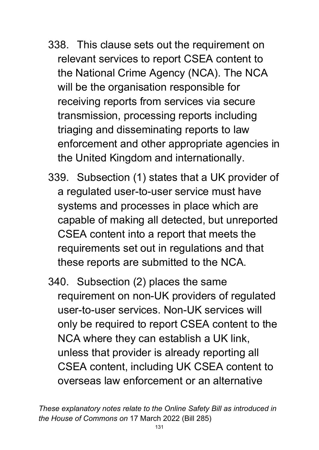- 338. This clause sets out the requirement on relevant services to report CSEA content to the National Crime Agency (NCA). The NCA will be the organisation responsible for receiving reports from services via secure transmission, processing reports including triaging and disseminating reports to law enforcement and other appropriate agencies in the United Kingdom and internationally.
- 339. Subsection (1) states that a UK provider of a regulated user-to-user service must have systems and processes in place which are capable of making all detected, but unreported CSEA content into a report that meets the requirements set out in regulations and that these reports are submitted to the NCA.
- 340. Subsection (2) places the same requirement on non-UK providers of regulated user-to-user services. Non-UK services will only be required to report CSEA content to the NCA where they can establish a UK link, unless that provider is already reporting all CSEA content, including UK CSEA content to overseas law enforcement or an alternative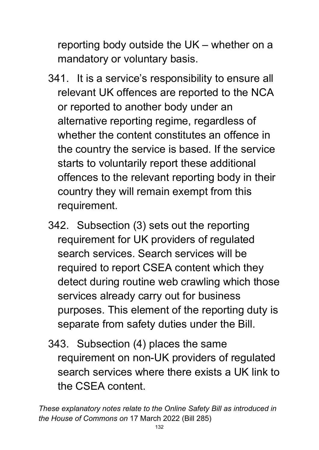reporting body outside the UK – whether on a mandatory or voluntary basis.

- 341. It is a service's responsibility to ensure all relevant UK offences are reported to the NCA or reported to another body under an alternative reporting regime, regardless of whether the content constitutes an offence in the country the service is based. If the service starts to voluntarily report these additional offences to the relevant reporting body in their country they will remain exempt from this requirement.
- 342. Subsection (3) sets out the reporting requirement for UK providers of regulated search services. Search services will be required to report CSEA content which they detect during routine web crawling which those services already carry out for business purposes. This element of the reporting duty is separate from safety duties under the Bill.
- 343. Subsection (4) places the same requirement on non-UK providers of regulated search services where there exists a UK link to the CSEA content.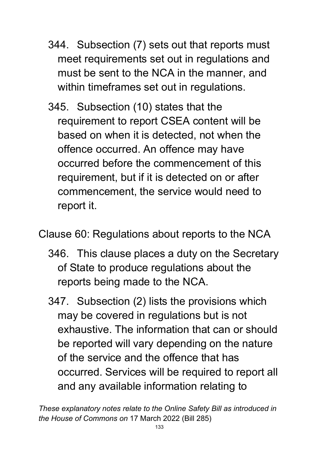- 344. Subsection (7) sets out that reports must meet requirements set out in regulations and must be sent to the NCA in the manner, and within timeframes set out in regulations.
- 345. Subsection (10) states that the requirement to report CSEA content will be based on when it is detected, not when the offence occurred. An offence may have occurred before the commencement of this requirement, but if it is detected on or after commencement, the service would need to report it.

Clause 60: Regulations about reports to the NCA

- 346. This clause places a duty on the Secretary of State to produce regulations about the reports being made to the NCA.
- 347. Subsection (2) lists the provisions which may be covered in regulations but is not exhaustive. The information that can or should be reported will vary depending on the nature of the service and the offence that has occurred. Services will be required to report all and any available information relating to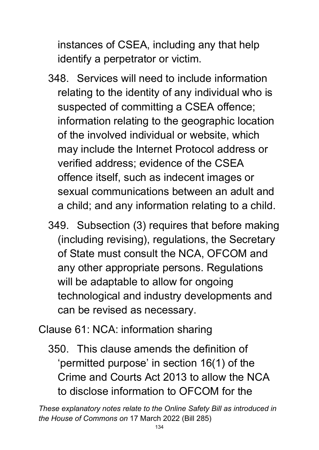instances of CSEA, including any that help identify a perpetrator or victim.

- 348. Services will need to include information relating to the identity of any individual who is suspected of committing a CSEA offence; information relating to the geographic location of the involved individual or website, which may include the Internet Protocol address or verified address; evidence of the CSEA offence itself, such as indecent images or sexual communications between an adult and a child; and any information relating to a child.
- 349. Subsection (3) requires that before making (including revising), regulations, the Secretary of State must consult the NCA, OFCOM and any other appropriate persons. Regulations will be adaptable to allow for ongoing technological and industry developments and can be revised as necessary.

Clause 61: NCA: information sharing

350. This clause amends the definition of 'permitted purpose' in section 16(1) of the Crime and Courts Act 2013 to allow the NCA to disclose information to OFCOM for the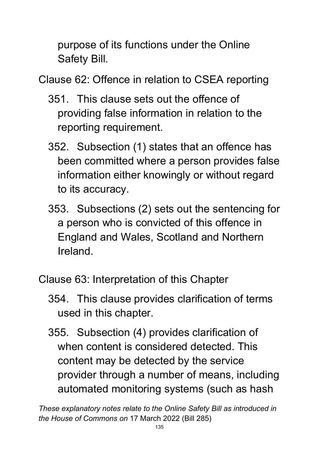purpose of its functions under the Online Safety Bill.

Clause 62: Offence in relation to CSEA reporting

- 351. This clause sets out the offence of providing false information in relation to the reporting requirement.
- 352. Subsection (1) states that an offence has been committed where a person provides false information either knowingly or without regard to its accuracy.
- 353. Subsections (2) sets out the sentencing for a person who is convicted of this offence in England and Wales, Scotland and Northern Ireland.

Clause 63: Interpretation of this Chapter

- 354. This clause provides clarification of terms used in this chapter.
- 355. Subsection (4) provides clarification of when content is considered detected. This content may be detected by the service provider through a number of means, including automated monitoring systems (such as hash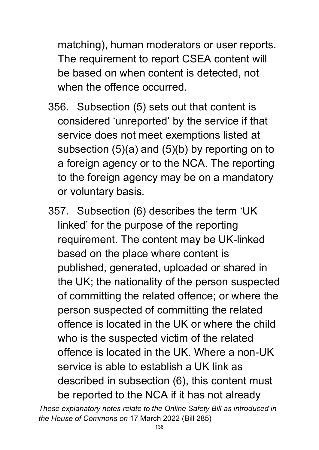matching), human moderators or user reports. The requirement to report CSEA content will be based on when content is detected, not when the offence occurred.

- 356. Subsection (5) sets out that content is considered 'unreported' by the service if that service does not meet exemptions listed at subsection (5)(a) and (5)(b) by reporting on to a foreign agency or to the NCA. The reporting to the foreign agency may be on a mandatory or voluntary basis.
- 357. Subsection (6) describes the term 'UK linked' for the purpose of the reporting requirement. The content may be UK-linked based on the place where content is published, generated, uploaded or shared in the UK; the nationality of the person suspected of committing the related offence; or where the person suspected of committing the related offence is located in the UK or where the child who is the suspected victim of the related offence is located in the UK. Where a non-UK service is able to establish a UK link as described in subsection (6), this content must be reported to the NCA if it has not already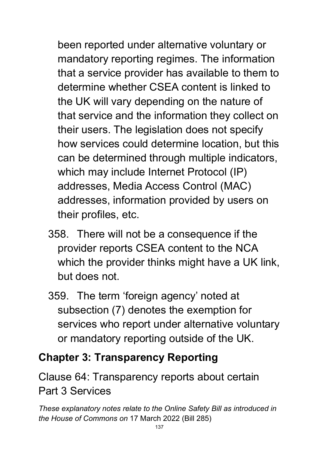been reported under alternative voluntary or mandatory reporting regimes. The information that a service provider has available to them to determine whether CSEA content is linked to the UK will vary depending on the nature of that service and the information they collect on their users. The legislation does not specify how services could determine location, but this can be determined through multiple indicators, which may include Internet Protocol (IP) addresses, Media Access Control (MAC) addresses, information provided by users on their profiles, etc.

- 358. There will not be a consequence if the provider reports CSEA content to the NCA which the provider thinks might have a UK link, but does not.
- 359. The term 'foreign agency' noted at subsection (7) denotes the exemption for services who report under alternative voluntary or mandatory reporting outside of the UK.

## **Chapter 3: Transparency Reporting**

Clause 64: Transparency reports about certain Part 3 Services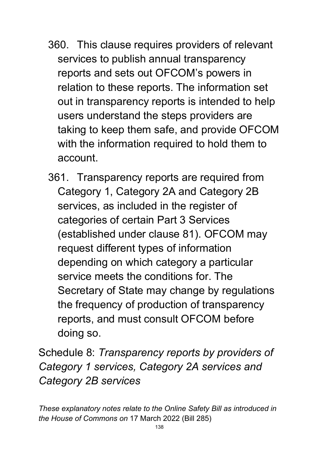- 360. This clause requires providers of relevant services to publish annual transparency reports and sets out OFCOM's powers in relation to these reports. The information set out in transparency reports is intended to help users understand the steps providers are taking to keep them safe, and provide OFCOM with the information required to hold them to account.
- 361. Transparency reports are required from Category 1, Category 2A and Category 2B services, as included in the register of categories of certain Part 3 Services (established under clause 81). OFCOM may request different types of information depending on which category a particular service meets the conditions for. The Secretary of State may change by regulations the frequency of production of transparency reports, and must consult OFCOM before doing so.

Schedule 8: *Transparency reports by providers of Category 1 services, Category 2A services and Category 2B services*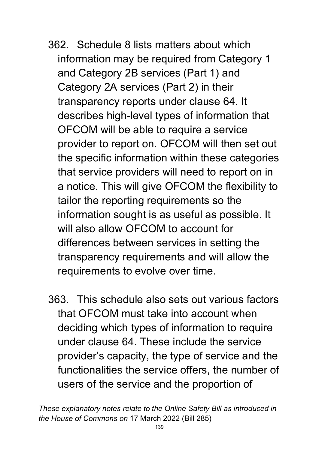- 362. Schedule 8 lists matters about which information may be required from Category 1 and Category 2B services (Part 1) and Category 2A services (Part 2) in their transparency reports under clause 64. It describes high-level types of information that OFCOM will be able to require a service provider to report on. OFCOM will then set out the specific information within these categories that service providers will need to report on in a notice. This will give OFCOM the flexibility to tailor the reporting requirements so the information sought is as useful as possible. It will also allow OFCOM to account for differences between services in setting the transparency requirements and will allow the requirements to evolve over time.
- 363. This schedule also sets out various factors that OFCOM must take into account when deciding which types of information to require under clause 64. These include the service provider's capacity, the type of service and the functionalities the service offers, the number of users of the service and the proportion of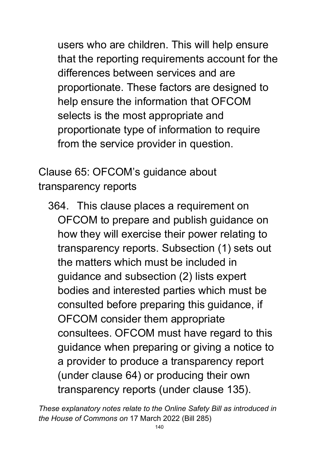users who are children. This will help ensure that the reporting requirements account for the differences between services and are proportionate. These factors are designed to help ensure the information that OFCOM selects is the most appropriate and proportionate type of information to require from the service provider in question.

Clause 65: OFCOM's guidance about transparency reports

364. This clause places a requirement on OFCOM to prepare and publish guidance on how they will exercise their power relating to transparency reports. Subsection (1) sets out the matters which must be included in guidance and subsection (2) lists expert bodies and interested parties which must be consulted before preparing this guidance, if OFCOM consider them appropriate consultees. OFCOM must have regard to this guidance when preparing or giving a notice to a provider to produce a transparency report (under clause 64) or producing their own transparency reports (under clause 135).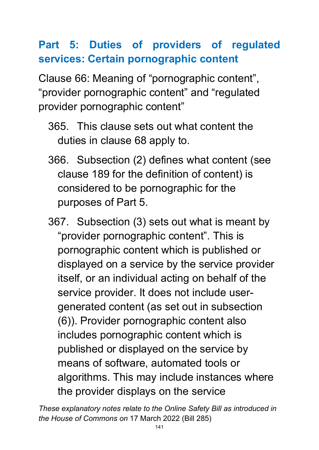## **Part 5: Duties of providers of regulated services: Certain pornographic content**

Clause 66: Meaning of "pornographic content", "provider pornographic content" and "regulated provider pornographic content"

- 365. This clause sets out what content the duties in clause 68 apply to.
- 366. Subsection (2) defines what content (see clause 189 for the definition of content) is considered to be pornographic for the purposes of Part 5.
- 367. Subsection (3) sets out what is meant by "provider pornographic content". This is pornographic content which is published or displayed on a service by the service provider itself, or an individual acting on behalf of the service provider. It does not include usergenerated content (as set out in subsection (6)). Provider pornographic content also includes pornographic content which is published or displayed on the service by means of software, automated tools or algorithms. This may include instances where the provider displays on the service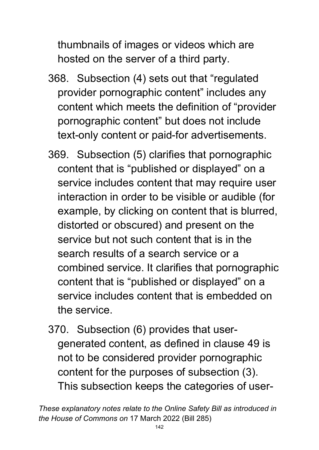thumbnails of images or videos which are hosted on the server of a third party.

- 368. Subsection (4) sets out that "regulated provider pornographic content" includes any content which meets the definition of "provider pornographic content" but does not include text-only content or paid-for advertisements.
- 369. Subsection (5) clarifies that pornographic content that is "published or displayed" on a service includes content that may require user interaction in order to be visible or audible (for example, by clicking on content that is blurred, distorted or obscured) and present on the service but not such content that is in the search results of a search service or a combined service. It clarifies that pornographic content that is "published or displayed" on a service includes content that is embedded on the service.
- 370. Subsection (6) provides that usergenerated content, as defined in clause 49 is not to be considered provider pornographic content for the purposes of subsection (3). This subsection keeps the categories of user-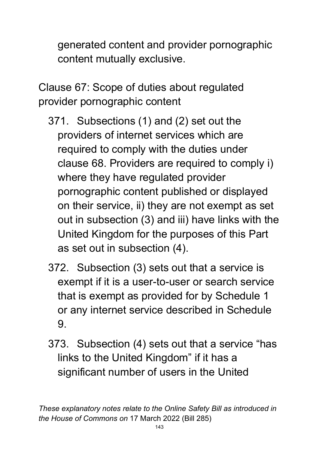generated content and provider pornographic content mutually exclusive.

Clause 67: Scope of duties about regulated provider pornographic content

- 371. Subsections (1) and (2) set out the providers of internet services which are required to comply with the duties under clause 68. Providers are required to comply i) where they have regulated provider pornographic content published or displayed on their service, ii) they are not exempt as set out in subsection (3) and iii) have links with the United Kingdom for the purposes of this Part as set out in subsection (4).
- 372. Subsection (3) sets out that a service is exempt if it is a user-to-user or search service that is exempt as provided for by Schedule 1 or any internet service described in Schedule 9.
- 373. Subsection (4) sets out that a service "has links to the United Kingdom" if it has a significant number of users in the United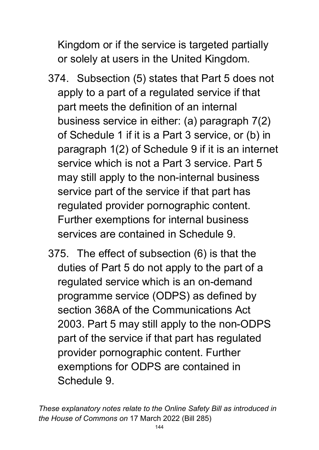Kingdom or if the service is targeted partially or solely at users in the United Kingdom.

- 374. Subsection (5) states that Part 5 does not apply to a part of a regulated service if that part meets the definition of an internal business service in either: (a) paragraph 7(2) of Schedule 1 if it is a Part 3 service, or (b) in paragraph 1(2) of Schedule 9 if it is an internet service which is not a Part 3 service. Part 5 may still apply to the non-internal business service part of the service if that part has regulated provider pornographic content. Further exemptions for internal business services are contained in Schedule 9.
- 375. The effect of subsection (6) is that the duties of Part 5 do not apply to the part of a regulated service which is an on-demand programme service (ODPS) as defined by section 368A of the Communications Act 2003. Part 5 may still apply to the non-ODPS part of the service if that part has regulated provider pornographic content. Further exemptions for ODPS are contained in Schedule 9.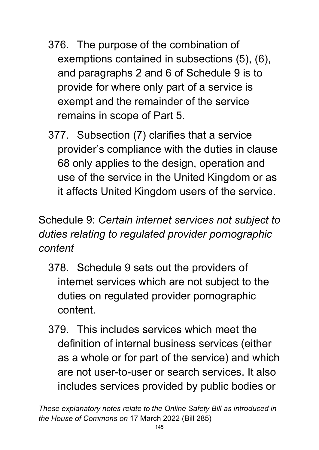- 376. The purpose of the combination of exemptions contained in subsections (5), (6), and paragraphs 2 and 6 of Schedule 9 is to provide for where only part of a service is exempt and the remainder of the service remains in scope of Part 5.
- 377. Subsection (7) clarifies that a service provider's compliance with the duties in clause 68 only applies to the design, operation and use of the service in the United Kingdom or as it affects United Kingdom users of the service.

# Schedule 9: *Certain internet services not subject to duties relating to regulated provider pornographic content*

- 378. Schedule 9 sets out the providers of internet services which are not subject to the duties on regulated provider pornographic content.
- 379. This includes services which meet the definition of internal business services (either as a whole or for part of the service) and which are not user-to-user or search services. It also includes services provided by public bodies or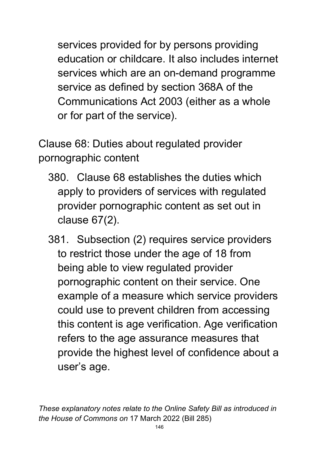services provided for by persons providing education or childcare. It also includes internet services which are an on-demand programme service as defined by section 368A of the Communications Act 2003 (either as a whole or for part of the service).

Clause 68: Duties about regulated provider pornographic content

- 380. Clause 68 establishes the duties which apply to providers of services with regulated provider pornographic content as set out in clause 67(2).
- 381. Subsection (2) requires service providers to restrict those under the age of 18 from being able to view regulated provider pornographic content on their service. One example of a measure which service providers could use to prevent children from accessing this content is age verification. Age verification refers to the age assurance measures that provide the highest level of confidence about a user's age.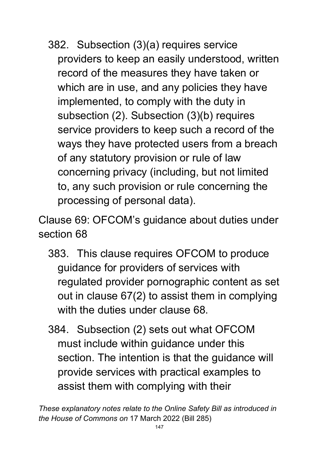382. Subsection (3)(a) requires service providers to keep an easily understood, written record of the measures they have taken or which are in use, and any policies they have implemented, to comply with the duty in subsection (2). Subsection (3)(b) requires service providers to keep such a record of the ways they have protected users from a breach of any statutory provision or rule of law concerning privacy (including, but not limited to, any such provision or rule concerning the processing of personal data).

Clause 69: OFCOM's guidance about duties under section 68

- 383. This clause requires OFCOM to produce guidance for providers of services with regulated provider pornographic content as set out in clause 67(2) to assist them in complying with the duties under clause 68.
- 384. Subsection (2) sets out what OFCOM must include within guidance under this section. The intention is that the guidance will provide services with practical examples to assist them with complying with their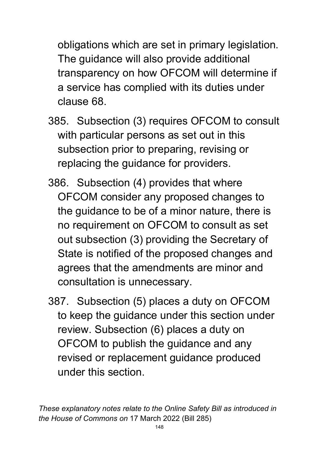obligations which are set in primary legislation. The guidance will also provide additional transparency on how OFCOM will determine if a service has complied with its duties under clause 68.

- 385. Subsection (3) requires OFCOM to consult with particular persons as set out in this subsection prior to preparing, revising or replacing the guidance for providers.
- 386. Subsection (4) provides that where OFCOM consider any proposed changes to the guidance to be of a minor nature, there is no requirement on OFCOM to consult as set out subsection (3) providing the Secretary of State is notified of the proposed changes and agrees that the amendments are minor and consultation is unnecessary.
- 387. Subsection (5) places a duty on OFCOM to keep the guidance under this section under review. Subsection (6) places a duty on OFCOM to publish the guidance and any revised or replacement guidance produced under this section.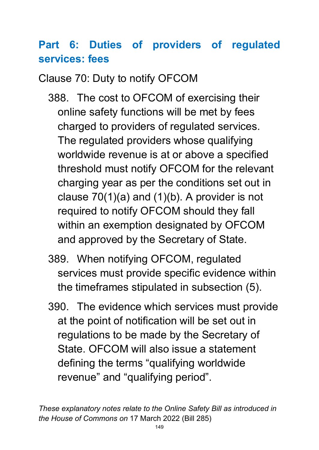# **Part 6: Duties of providers of regulated services: fees**

Clause 70: Duty to notify OFCOM

- 388. The cost to OFCOM of exercising their online safety functions will be met by fees charged to providers of regulated services. The regulated providers whose qualifying worldwide revenue is at or above a specified threshold must notify OFCOM for the relevant charging year as per the conditions set out in clause 70(1)(a) and (1)(b). A provider is not required to notify OFCOM should they fall within an exemption designated by OFCOM and approved by the Secretary of State.
- 389. When notifying OFCOM, regulated services must provide specific evidence within the timeframes stipulated in subsection (5).
- 390. The evidence which services must provide at the point of notification will be set out in regulations to be made by the Secretary of State. OFCOM will also issue a statement defining the terms "qualifying worldwide revenue" and "qualifying period".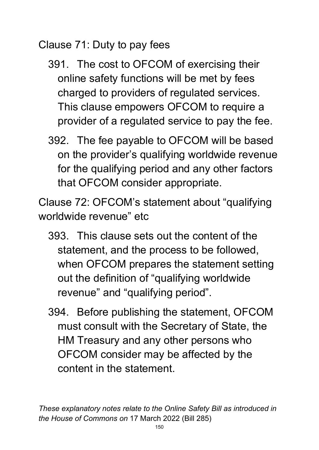Clause 71: Duty to pay fees

- 391. The cost to OFCOM of exercising their online safety functions will be met by fees charged to providers of regulated services. This clause empowers OFCOM to require a provider of a regulated service to pay the fee.
- 392. The fee payable to OFCOM will be based on the provider's qualifying worldwide revenue for the qualifying period and any other factors that OFCOM consider appropriate.

Clause 72: OFCOM's statement about "qualifying worldwide revenue" etc

- 393. This clause sets out the content of the statement, and the process to be followed, when OFCOM prepares the statement setting out the definition of "qualifying worldwide revenue" and "qualifying period".
- 394. Before publishing the statement, OFCOM must consult with the Secretary of State, the HM Treasury and any other persons who OFCOM consider may be affected by the content in the statement.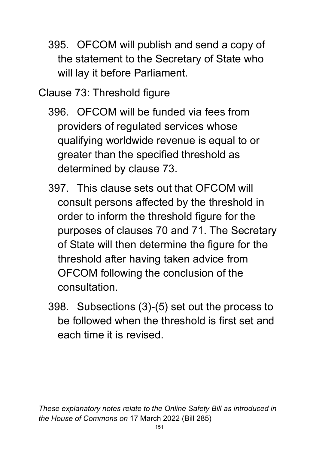- 395. OFCOM will publish and send a copy of the statement to the Secretary of State who will lay it before Parliament.
- Clause 73: Threshold figure
	- 396. OFCOM will be funded via fees from providers of regulated services whose qualifying worldwide revenue is equal to or greater than the specified threshold as determined by clause 73.
	- 397. This clause sets out that OFCOM will consult persons affected by the threshold in order to inform the threshold figure for the purposes of clauses 70 and 71. The Secretary of State will then determine the figure for the threshold after having taken advice from OFCOM following the conclusion of the consultation.
	- 398. Subsections (3)-(5) set out the process to be followed when the threshold is first set and each time it is revised.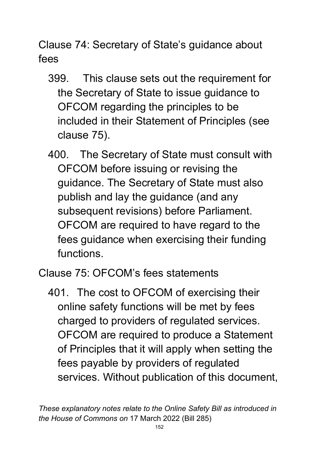Clause 74: Secretary of State's guidance about fees

- 399. This clause sets out the requirement for the Secretary of State to issue guidance to OFCOM regarding the principles to be included in their Statement of Principles (see clause 75).
- 400. The Secretary of State must consult with OFCOM before issuing or revising the guidance. The Secretary of State must also publish and lay the guidance (and any subsequent revisions) before Parliament. OFCOM are required to have regard to the fees guidance when exercising their funding functions.

Clause 75: OFCOM's fees statements

401. The cost to OFCOM of exercising their online safety functions will be met by fees charged to providers of regulated services. OFCOM are required to produce a Statement of Principles that it will apply when setting the fees payable by providers of regulated services. Without publication of this document,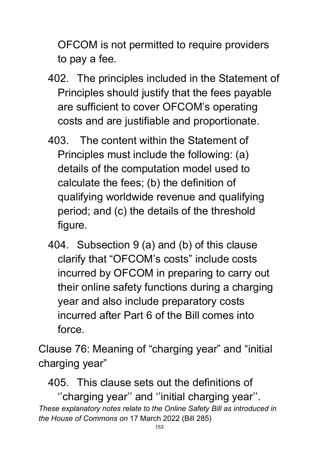OFCOM is not permitted to require providers to pay a fee.

- 402. The principles included in the Statement of Principles should justify that the fees payable are sufficient to cover OFCOM's operating costs and are justifiable and proportionate.
- 403. The content within the Statement of Principles must include the following: (a) details of the computation model used to calculate the fees; (b) the definition of qualifying worldwide revenue and qualifying period; and (c) the details of the threshold figure.
- 404. Subsection 9 (a) and (b) of this clause clarify that "OFCOM's costs" include costs incurred by OFCOM in preparing to carry out their online safety functions during a charging year and also include preparatory costs incurred after Part 6 of the Bill comes into force.

Clause 76: Meaning of "charging year" and "initial charging year"

405. This clause sets out the definitions of

*These explanatory notes relate to the Online Safety Bill as introduced in the House of Commons on* 17 March 2022 (Bill 285) ''charging year'' and ''initial charging year''.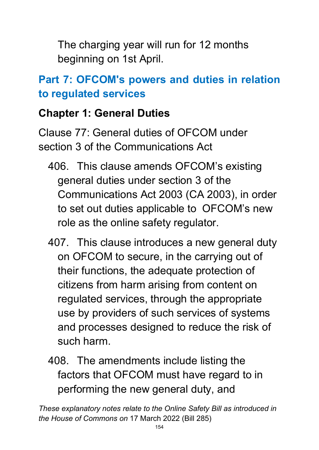The charging year will run for 12 months beginning on 1st April.

# **Part 7: OFCOM's powers and duties in relation to regulated services**

## **Chapter 1: General Duties**

Clause 77: General duties of OFCOM under section 3 of the Communications Act

- 406. This clause amends OFCOM's existing general duties under section 3 of the Communications Act 2003 (CA 2003), in order to set out duties applicable to OFCOM's new role as the online safety regulator.
- 407. This clause introduces a new general duty on OFCOM to secure, in the carrying out of their functions, the adequate protection of citizens from harm arising from content on regulated services, through the appropriate use by providers of such services of systems and processes designed to reduce the risk of such harm.
- 408. The amendments include listing the factors that OFCOM must have regard to in performing the new general duty, and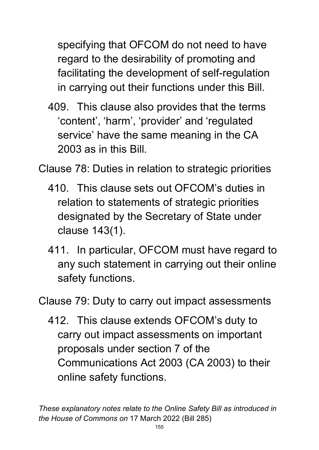specifying that OFCOM do not need to have regard to the desirability of promoting and facilitating the development of self-regulation in carrying out their functions under this Bill.

409. This clause also provides that the terms 'content', 'harm', 'provider' and 'regulated service' have the same meaning in the CA 2003 as in this Bill.

Clause 78: Duties in relation to strategic priorities

- 410. This clause sets out OFCOM's duties in relation to statements of strategic priorities designated by the Secretary of State under clause 143(1).
- 411. In particular, OFCOM must have regard to any such statement in carrying out their online safety functions.

Clause 79: Duty to carry out impact assessments

412. This clause extends OFCOM's duty to carry out impact assessments on important proposals under section 7 of the Communications Act 2003 (CA 2003) to their online safety functions.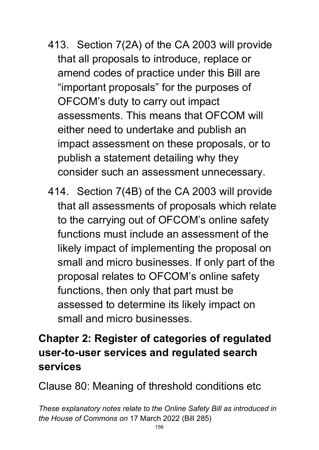- 413. Section 7(2A) of the CA 2003 will provide that all proposals to introduce, replace or amend codes of practice under this Bill are "important proposals" for the purposes of OFCOM's duty to carry out impact assessments. This means that OFCOM will either need to undertake and publish an impact assessment on these proposals, or to publish a statement detailing why they consider such an assessment unnecessary.
- 414. Section 7(4B) of the CA 2003 will provide that all assessments of proposals which relate to the carrying out of OFCOM's online safety functions must include an assessment of the likely impact of implementing the proposal on small and micro businesses. If only part of the proposal relates to OFCOM's online safety functions, then only that part must be assessed to determine its likely impact on small and micro businesses.

# **Chapter 2: Register of categories of regulated user-to-user services and regulated search services**

Clause 80: Meaning of threshold conditions etc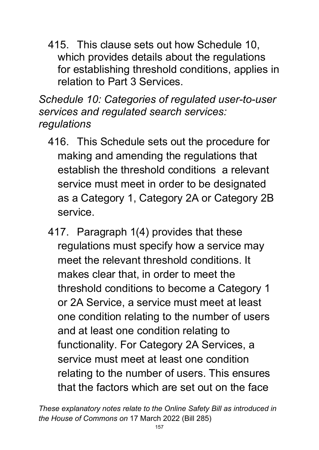415. This clause sets out how Schedule 10, which provides details about the regulations for establishing threshold conditions, applies in relation to Part 3 Services.

*Schedule 10: Categories of regulated user-to-user services and regulated search services: regulations* 

- 416. This Schedule sets out the procedure for making and amending the regulations that establish the threshold conditions a relevant service must meet in order to be designated as a Category 1, Category 2A or Category 2B service.
- 417. Paragraph 1(4) provides that these regulations must specify how a service may meet the relevant threshold conditions. It makes clear that, in order to meet the threshold conditions to become a Category 1 or 2A Service, a service must meet at least one condition relating to the number of users and at least one condition relating to functionality. For Category 2A Services, a service must meet at least one condition relating to the number of users. This ensures that the factors which are set out on the face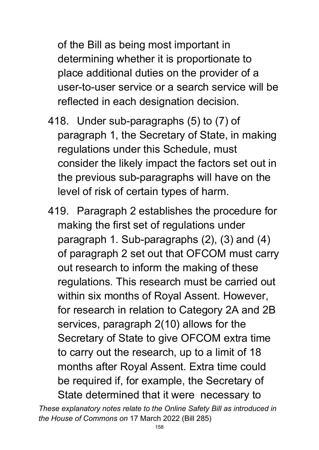of the Bill as being most important in determining whether it is proportionate to place additional duties on the provider of a user-to-user service or a search service will be reflected in each designation decision.

- 418. Under sub-paragraphs (5) to (7) of paragraph 1, the Secretary of State, in making regulations under this Schedule, must consider the likely impact the factors set out in the previous sub-paragraphs will have on the level of risk of certain types of harm.
- 419. Paragraph 2 establishes the procedure for making the first set of regulations under paragraph 1. Sub-paragraphs (2), (3) and (4) of paragraph 2 set out that OFCOM must carry out research to inform the making of these regulations. This research must be carried out within six months of Royal Assent. However, for research in relation to Category 2A and 2B services, paragraph 2(10) allows for the Secretary of State to give OFCOM extra time to carry out the research, up to a limit of 18 months after Royal Assent. Extra time could be required if, for example, the Secretary of State determined that it were necessary to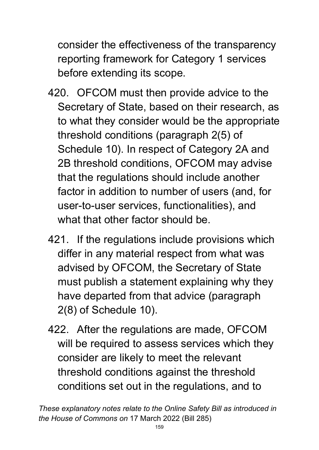consider the effectiveness of the transparency reporting framework for Category 1 services before extending its scope.

- 420. OFCOM must then provide advice to the Secretary of State, based on their research, as to what they consider would be the appropriate threshold conditions (paragraph 2(5) of Schedule 10). In respect of Category 2A and 2B threshold conditions, OFCOM may advise that the regulations should include another factor in addition to number of users (and, for user-to-user services, functionalities), and what that other factor should be.
- 421. If the regulations include provisions which differ in any material respect from what was advised by OFCOM, the Secretary of State must publish a statement explaining why they have departed from that advice (paragraph 2(8) of Schedule 10).
- 422. After the regulations are made, OFCOM will be required to assess services which they consider are likely to meet the relevant threshold conditions against the threshold conditions set out in the regulations, and to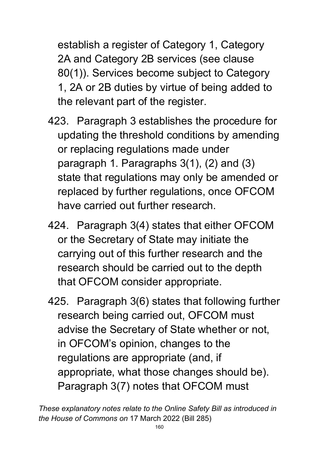establish a register of Category 1, Category 2A and Category 2B services (see clause 80(1)). Services become subject to Category 1, 2A or 2B duties by virtue of being added to the relevant part of the register.

- 423. Paragraph 3 establishes the procedure for updating the threshold conditions by amending or replacing regulations made under paragraph 1. Paragraphs 3(1), (2) and (3) state that regulations may only be amended or replaced by further regulations, once OFCOM have carried out further research.
- 424. Paragraph 3(4) states that either OFCOM or the Secretary of State may initiate the carrying out of this further research and the research should be carried out to the depth that OFCOM consider appropriate.
- 425. Paragraph 3(6) states that following further research being carried out, OFCOM must advise the Secretary of State whether or not, in OFCOM's opinion, changes to the regulations are appropriate (and, if appropriate, what those changes should be). Paragraph 3(7) notes that OFCOM must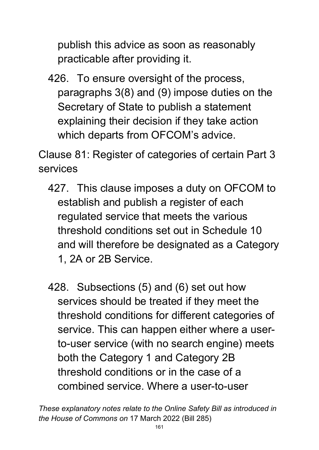publish this advice as soon as reasonably practicable after providing it.

426. To ensure oversight of the process, paragraphs 3(8) and (9) impose duties on the Secretary of State to publish a statement explaining their decision if they take action which departs from OFCOM's advice.

Clause 81: Register of categories of certain Part 3 services

- 427. This clause imposes a duty on OFCOM to establish and publish a register of each regulated service that meets the various threshold conditions set out in Schedule 10 and will therefore be designated as a Category 1, 2A or 2B Service.
- 428. Subsections (5) and (6) set out how services should be treated if they meet the threshold conditions for different categories of service. This can happen either where a userto-user service (with no search engine) meets both the Category 1 and Category 2B threshold conditions or in the case of a combined service. Where a user-to-user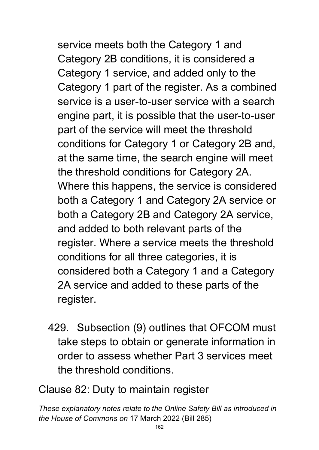service meets both the Category 1 and Category 2B conditions, it is considered a Category 1 service, and added only to the Category 1 part of the register. As a combined service is a user-to-user service with a search engine part, it is possible that the user-to-user part of the service will meet the threshold conditions for Category 1 or Category 2B and, at the same time, the search engine will meet the threshold conditions for Category 2A. Where this happens, the service is considered both a Category 1 and Category 2A service or both a Category 2B and Category 2A service, and added to both relevant parts of the register. Where a service meets the threshold conditions for all three categories, it is considered both a Category 1 and a Category 2A service and added to these parts of the register.

429. Subsection (9) outlines that OFCOM must take steps to obtain or generate information in order to assess whether Part 3 services meet the threshold conditions.

Clause 82: Duty to maintain register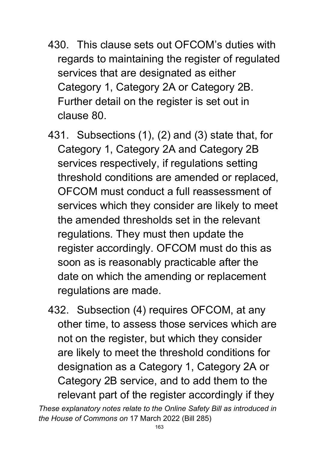- 430. This clause sets out OFCOM's duties with regards to maintaining the register of regulated services that are designated as either Category 1, Category 2A or Category 2B. Further detail on the register is set out in clause 80.
- 431. Subsections (1), (2) and (3) state that, for Category 1, Category 2A and Category 2B services respectively, if regulations setting threshold conditions are amended or replaced, OFCOM must conduct a full reassessment of services which they consider are likely to meet the amended thresholds set in the relevant regulations. They must then update the register accordingly. OFCOM must do this as soon as is reasonably practicable after the date on which the amending or replacement regulations are made.
- 432. Subsection (4) requires OFCOM, at any other time, to assess those services which are not on the register, but which they consider are likely to meet the threshold conditions for designation as a Category 1, Category 2A or Category 2B service, and to add them to the relevant part of the register accordingly if they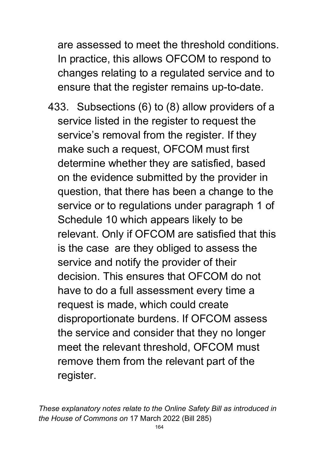are assessed to meet the threshold conditions. In practice, this allows OFCOM to respond to changes relating to a regulated service and to ensure that the register remains up-to-date.

433. Subsections (6) to (8) allow providers of a service listed in the register to request the service's removal from the register. If they make such a request, OFCOM must first determine whether they are satisfied, based on the evidence submitted by the provider in question, that there has been a change to the service or to regulations under paragraph 1 of Schedule 10 which appears likely to be relevant. Only if OFCOM are satisfied that this is the case are they obliged to assess the service and notify the provider of their decision. This ensures that OFCOM do not have to do a full assessment every time a request is made, which could create disproportionate burdens. If OFCOM assess the service and consider that they no longer meet the relevant threshold, OFCOM must remove them from the relevant part of the register.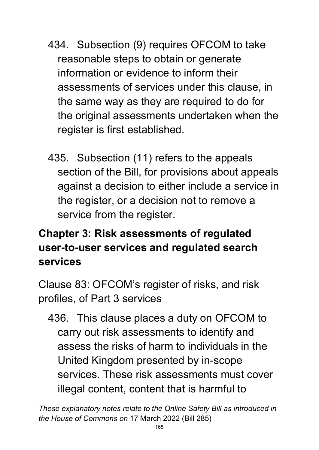- 434. Subsection (9) requires OFCOM to take reasonable steps to obtain or generate information or evidence to inform their assessments of services under this clause, in the same way as they are required to do for the original assessments undertaken when the register is first established.
- 435. Subsection (11) refers to the appeals section of the Bill, for provisions about appeals against a decision to either include a service in the register, or a decision not to remove a service from the register.

# **Chapter 3: Risk assessments of regulated user-to-user services and regulated search services**

Clause 83: OFCOM's register of risks, and risk profiles, of Part 3 services

436. This clause places a duty on OFCOM to carry out risk assessments to identify and assess the risks of harm to individuals in the United Kingdom presented by in-scope services. These risk assessments must cover illegal content, content that is harmful to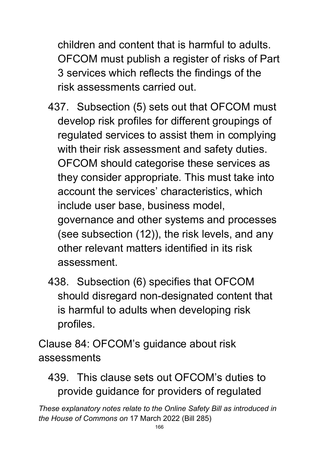children and content that is harmful to adults. OFCOM must publish a register of risks of Part 3 services which reflects the findings of the risk assessments carried out.

- 437. Subsection (5) sets out that OFCOM must develop risk profiles for different groupings of regulated services to assist them in complying with their risk assessment and safety duties. OFCOM should categorise these services as they consider appropriate. This must take into account the services' characteristics, which include user base, business model, governance and other systems and processes (see subsection (12)), the risk levels, and any other relevant matters identified in its risk assessment.
- 438. Subsection (6) specifies that OFCOM should disregard non-designated content that is harmful to adults when developing risk profiles.

Clause 84: OFCOM's guidance about risk assessments

## 439. This clause sets out OFCOM's duties to provide guidance for providers of regulated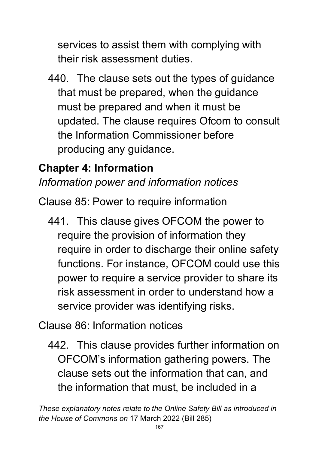services to assist them with complying with their risk assessment duties.

440. The clause sets out the types of guidance that must be prepared, when the guidance must be prepared and when it must be updated. The clause requires Ofcom to consult the Information Commissioner before producing any guidance.

## **Chapter 4: Information**

*Information power and information notices*

Clause 85: Power to require information

441. This clause gives OFCOM the power to require the provision of information they require in order to discharge their online safety functions. For instance, OFCOM could use this power to require a service provider to share its risk assessment in order to understand how a service provider was identifying risks.

Clause 86: Information notices

442. This clause provides further information on OFCOM's information gathering powers. The clause sets out the information that can, and the information that must, be included in a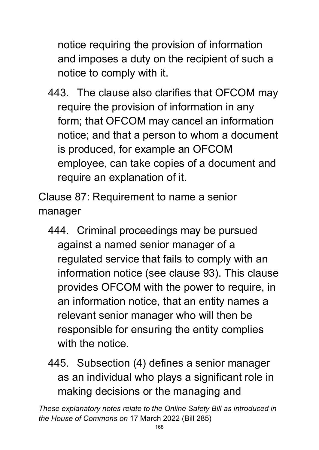notice requiring the provision of information and imposes a duty on the recipient of such a notice to comply with it.

443. The clause also clarifies that OFCOM may require the provision of information in any form; that OFCOM may cancel an information notice; and that a person to whom a document is produced, for example an OFCOM employee, can take copies of a document and require an explanation of it.

Clause 87: Requirement to name a senior manager

- 444. Criminal proceedings may be pursued against a named senior manager of a regulated service that fails to comply with an information notice (see clause 93). This clause provides OFCOM with the power to require, in an information notice, that an entity names a relevant senior manager who will then be responsible for ensuring the entity complies with the notice.
- 445. Subsection (4) defines a senior manager as an individual who plays a significant role in making decisions or the managing and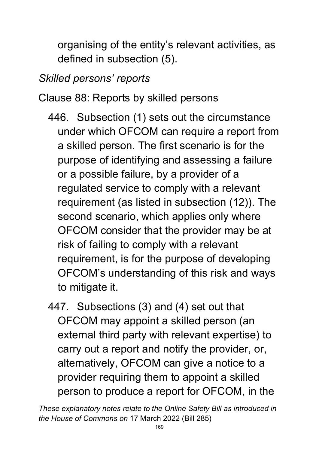organising of the entity's relevant activities, as defined in subsection (5).

# *Skilled persons' reports*

Clause 88: Reports by skilled persons

- 446. Subsection (1) sets out the circumstance under which OFCOM can require a report from a skilled person. The first scenario is for the purpose of identifying and assessing a failure or a possible failure, by a provider of a regulated service to comply with a relevant requirement (as listed in subsection (12)). The second scenario, which applies only where OFCOM consider that the provider may be at risk of failing to comply with a relevant requirement, is for the purpose of developing OFCOM's understanding of this risk and ways to mitigate it.
- 447. Subsections (3) and (4) set out that OFCOM may appoint a skilled person (an external third party with relevant expertise) to carry out a report and notify the provider, or, alternatively, OFCOM can give a notice to a provider requiring them to appoint a skilled person to produce a report for OFCOM, in the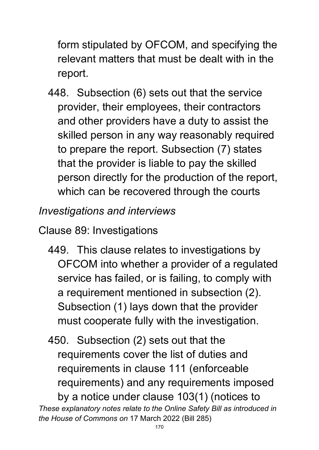form stipulated by OFCOM, and specifying the relevant matters that must be dealt with in the report.

448. Subsection (6) sets out that the service provider, their employees, their contractors and other providers have a duty to assist the skilled person in any way reasonably required to prepare the report. Subsection (7) states that the provider is liable to pay the skilled person directly for the production of the report, which can be recovered through the courts

*Investigations and interviews*

Clause 89: Investigations

449. This clause relates to investigations by OFCOM into whether a provider of a regulated service has failed, or is failing, to comply with a requirement mentioned in subsection (2). Subsection (1) lays down that the provider must cooperate fully with the investigation.

*These explanatory notes relate to the Online Safety Bill as introduced in the House of Commons on* 17 March 2022 (Bill 285) 450. Subsection (2) sets out that the requirements cover the list of duties and requirements in clause 111 (enforceable requirements) and any requirements imposed by a notice under clause 103(1) (notices to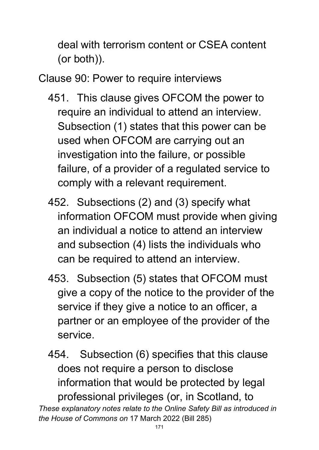deal with terrorism content or CSEA content (or both)).

Clause 90: Power to require interviews

- 451. This clause gives OFCOM the power to require an individual to attend an interview. Subsection (1) states that this power can be used when OFCOM are carrying out an investigation into the failure, or possible failure, of a provider of a regulated service to comply with a relevant requirement.
- 452. Subsections (2) and (3) specify what information OFCOM must provide when giving an individual a notice to attend an interview and subsection (4) lists the individuals who can be required to attend an interview.
- 453. Subsection (5) states that OFCOM must give a copy of the notice to the provider of the service if they give a notice to an officer, a partner or an employee of the provider of the service.
- *These explanatory notes relate to the Online Safety Bill as introduced in*  454. Subsection (6) specifies that this clause does not require a person to disclose information that would be protected by legal professional privileges (or, in Scotland, to

*the House of Commons on* 17 March 2022 (Bill 285)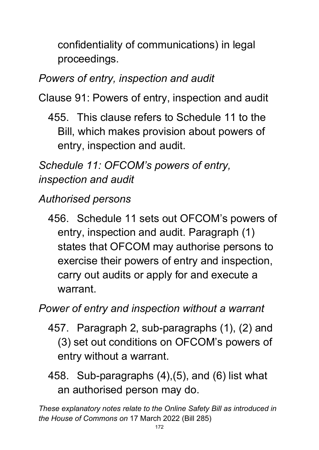confidentiality of communications) in legal proceedings.

# *Powers of entry, inspection and audit*

Clause 91: Powers of entry, inspection and audit

455. This clause refers to Schedule 11 to the Bill, which makes provision about powers of entry, inspection and audit.

*Schedule 11: OFCOM's powers of entry, inspection and audit* 

# *Authorised persons*

456. Schedule 11 sets out OFCOM's powers of entry, inspection and audit. Paragraph (1) states that OFCOM may authorise persons to exercise their powers of entry and inspection, carry out audits or apply for and execute a warrant.

*Power of entry and inspection without a warrant*

- 457. Paragraph 2, sub-paragraphs (1), (2) and (3) set out conditions on OFCOM's powers of entry without a warrant.
- 458. Sub-paragraphs (4),(5), and (6) list what an authorised person may do.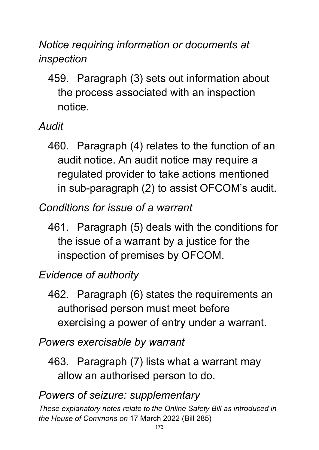*Notice requiring information or documents at inspection*

459. Paragraph (3) sets out information about the process associated with an inspection notice.

*Audit*

- 460. Paragraph (4) relates to the function of an audit notice. An audit notice may require a regulated provider to take actions mentioned in sub-paragraph (2) to assist OFCOM's audit.
- *Conditions for issue of a warrant*
	- 461. Paragraph (5) deals with the conditions for the issue of a warrant by a justice for the inspection of premises by OFCOM.

## *Evidence of authority*

462. Paragraph (6) states the requirements an authorised person must meet before exercising a power of entry under a warrant.

*Powers exercisable by warrant*

463. Paragraph (7) lists what a warrant may allow an authorised person to do.

#### *Powers of seizure: supplementary*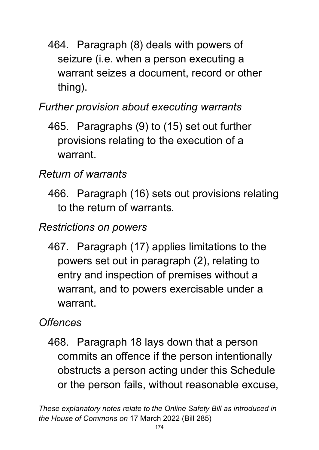464. Paragraph (8) deals with powers of seizure (i.e. when a person executing a warrant seizes a document, record or other thing).

### *Further provision about executing warrants*

465. Paragraphs (9) to (15) set out further provisions relating to the execution of a warrant.

## *Return of warrants*

466. Paragraph (16) sets out provisions relating to the return of warrants.

#### *Restrictions on powers*

467. Paragraph (17) applies limitations to the powers set out in paragraph (2), relating to entry and inspection of premises without a warrant, and to powers exercisable under a warrant.

#### *Offences*

468. Paragraph 18 lays down that a person commits an offence if the person intentionally obstructs a person acting under this Schedule or the person fails, without reasonable excuse,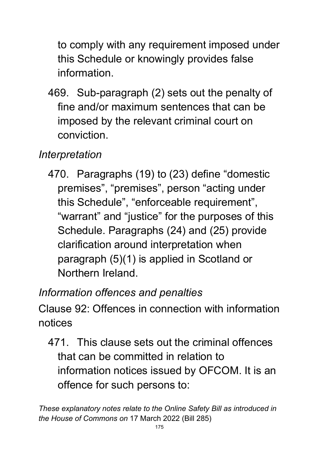to comply with any requirement imposed under this Schedule or knowingly provides false information.

469. Sub-paragraph (2) sets out the penalty of fine and/or maximum sentences that can be imposed by the relevant criminal court on conviction.

# *Interpretation*

470. Paragraphs (19) to (23) define "domestic premises", "premises", person "acting under this Schedule", "enforceable requirement", "warrant" and "justice" for the purposes of this Schedule. Paragraphs (24) and (25) provide clarification around interpretation when paragraph (5)(1) is applied in Scotland or Northern Ireland.

## *Information offences and penalties*

Clause 92: Offences in connection with information notices

471. This clause sets out the criminal offences that can be committed in relation to information notices issued by OFCOM. It is an offence for such persons to: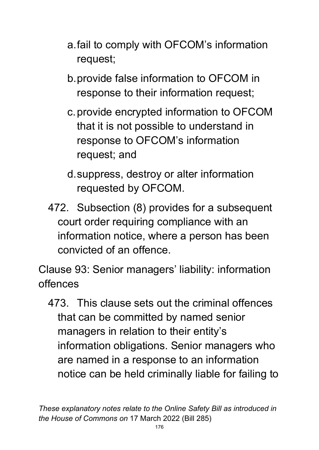- a.fail to comply with OFCOM's information request;
- b.provide false information to OFCOM in response to their information request;
- c.provide encrypted information to OFCOM that it is not possible to understand in response to OFCOM's information request; and
- d.suppress, destroy or alter information requested by OFCOM.
- 472. Subsection (8) provides for a subsequent court order requiring compliance with an information notice, where a person has been convicted of an offence.

Clause 93: Senior managers' liability: information offences

473. This clause sets out the criminal offences that can be committed by named senior managers in relation to their entity's information obligations. Senior managers who are named in a response to an information notice can be held criminally liable for failing to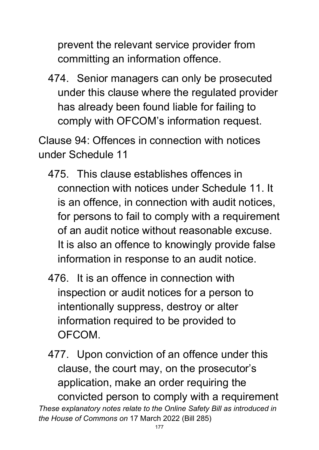prevent the relevant service provider from committing an information offence.

474. Senior managers can only be prosecuted under this clause where the regulated provider has already been found liable for failing to comply with OFCOM's information request.

Clause 94: Offences in connection with notices under Schedule 11

- 475. This clause establishes offences in connection with notices under Schedule 11. It is an offence, in connection with audit notices, for persons to fail to comply with a requirement of an audit notice without reasonable excuse. It is also an offence to knowingly provide false information in response to an audit notice.
- 476. It is an offence in connection with inspection or audit notices for a person to intentionally suppress, destroy or alter information required to be provided to OFCOM.
- *These explanatory notes relate to the Online Safety Bill as introduced in the House of Commons on* 17 March 2022 (Bill 285) 477. Upon conviction of an offence under this clause, the court may, on the prosecutor's application, make an order requiring the convicted person to comply with a requirement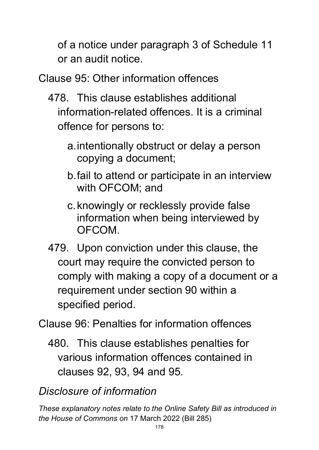of a notice under paragraph 3 of Schedule 11 or an audit notice.

Clause 95: Other information offences

- 478. This clause establishes additional information-related offences. It is a criminal offence for persons to:
	- a.intentionally obstruct or delay a person copying a document;
	- b.fail to attend or participate in an interview with OFCOM; and
	- c.knowingly or recklessly provide false information when being interviewed by OFCOM.
- 479. Upon conviction under this clause, the court may require the convicted person to comply with making a copy of a document or a requirement under section 90 within a specified period.

Clause 96: Penalties for information offences

480. This clause establishes penalties for various information offences contained in clauses 92, 93, 94 and 95.

## *Disclosure of information*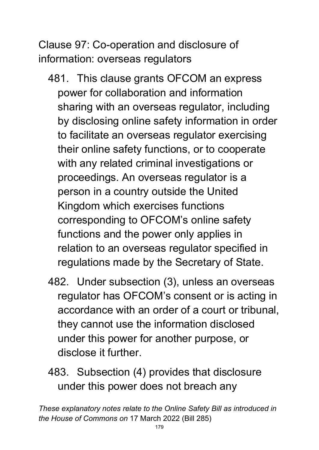Clause 97: Co-operation and disclosure of information: overseas regulators

- 481. This clause grants OFCOM an express power for collaboration and information sharing with an overseas regulator, including by disclosing online safety information in order to facilitate an overseas regulator exercising their online safety functions, or to cooperate with any related criminal investigations or proceedings. An overseas regulator is a person in a country outside the United Kingdom which exercises functions corresponding to OFCOM's online safety functions and the power only applies in relation to an overseas regulator specified in regulations made by the Secretary of State.
- 482. Under subsection (3), unless an overseas regulator has OFCOM's consent or is acting in accordance with an order of a court or tribunal, they cannot use the information disclosed under this power for another purpose, or disclose it further.
- 483. Subsection (4) provides that disclosure under this power does not breach any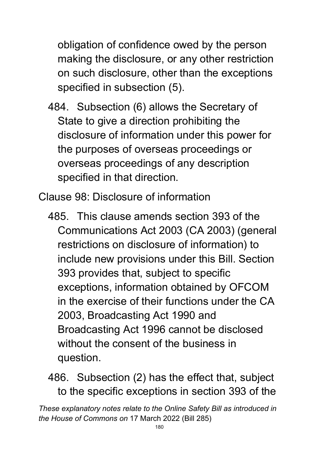obligation of confidence owed by the person making the disclosure, or any other restriction on such disclosure, other than the exceptions specified in subsection (5).

484. Subsection (6) allows the Secretary of State to give a direction prohibiting the disclosure of information under this power for the purposes of overseas proceedings or overseas proceedings of any description specified in that direction.

Clause 98: Disclosure of information

485. This clause amends section 393 of the Communications Act 2003 (CA 2003) (general restrictions on disclosure of information) to include new provisions under this Bill. Section 393 provides that, subject to specific exceptions, information obtained by OFCOM in the exercise of their functions under the CA 2003, Broadcasting Act 1990 and Broadcasting Act 1996 cannot be disclosed without the consent of the business in question.

486. Subsection (2) has the effect that, subject to the specific exceptions in section 393 of the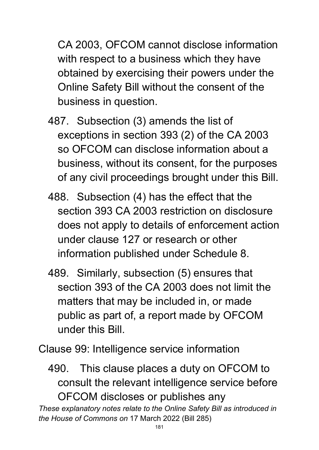CA 2003, OFCOM cannot disclose information with respect to a business which they have obtained by exercising their powers under the Online Safety Bill without the consent of the business in question.

- 487. Subsection (3) amends the list of exceptions in section 393 (2) of the CA 2003 so OFCOM can disclose information about a business, without its consent, for the purposes of any civil proceedings brought under this Bill.
- 488. Subsection (4) has the effect that the section 393 CA 2003 restriction on disclosure does not apply to details of enforcement action under clause 127 or research or other information published under Schedule 8.
- 489. Similarly, subsection (5) ensures that section 393 of the CA 2003 does not limit the matters that may be included in, or made public as part of, a report made by OFCOM under this Bill.

Clause 99: Intelligence service information

490. This clause places a duty on OFCOM to consult the relevant intelligence service before OFCOM discloses or publishes any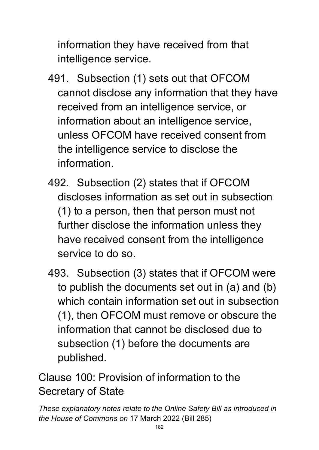information they have received from that intelligence service.

- 491. Subsection (1) sets out that OFCOM cannot disclose any information that they have received from an intelligence service, or information about an intelligence service, unless OFCOM have received consent from the intelligence service to disclose the information.
- 492. Subsection (2) states that if OFCOM discloses information as set out in subsection (1) to a person, then that person must not further disclose the information unless they have received consent from the intelligence service to do so.
- 493. Subsection (3) states that if OFCOM were to publish the documents set out in (a) and (b) which contain information set out in subsection (1), then OFCOM must remove or obscure the information that cannot be disclosed due to subsection (1) before the documents are published.

Clause 100: Provision of information to the Secretary of State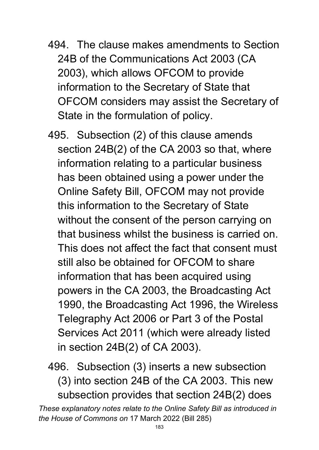- 494. The clause makes amendments to Section 24B of the Communications Act 2003 (CA 2003), which allows OFCOM to provide information to the Secretary of State that OFCOM considers may assist the Secretary of State in the formulation of policy.
- 495. Subsection (2) of this clause amends section 24B(2) of the CA 2003 so that, where information relating to a particular business has been obtained using a power under the Online Safety Bill, OFCOM may not provide this information to the Secretary of State without the consent of the person carrying on that business whilst the business is carried on. This does not affect the fact that consent must still also be obtained for OFCOM to share information that has been acquired using powers in the CA 2003, the Broadcasting Act 1990, the Broadcasting Act 1996, the Wireless Telegraphy Act 2006 or Part 3 of the Postal Services Act 2011 (which were already listed in section 24B(2) of CA 2003).
- 496. Subsection (3) inserts a new subsection (3) into section 24B of the CA 2003. This new subsection provides that section 24B(2) does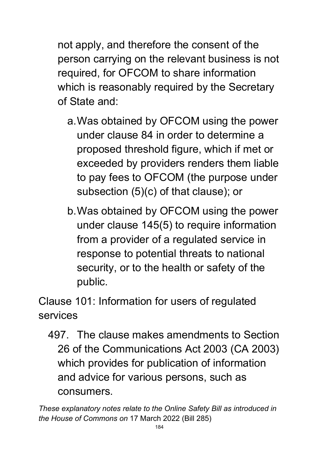not apply, and therefore the consent of the person carrying on the relevant business is not required, for OFCOM to share information which is reasonably required by the Secretary of State and:

- a.Was obtained by OFCOM using the power under clause 84 in order to determine a proposed threshold figure, which if met or exceeded by providers renders them liable to pay fees to OFCOM (the purpose under subsection (5)(c) of that clause); or
- b.Was obtained by OFCOM using the power under clause 145(5) to require information from a provider of a regulated service in response to potential threats to national security, or to the health or safety of the public.

Clause 101: Information for users of regulated services

497. The clause makes amendments to Section 26 of the Communications Act 2003 (CA 2003) which provides for publication of information and advice for various persons, such as consumers.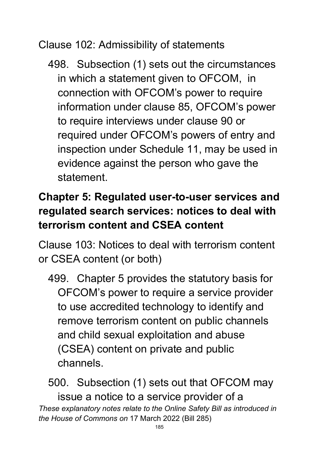Clause 102: Admissibility of statements

498. Subsection (1) sets out the circumstances in which a statement given to OFCOM, in connection with OFCOM's power to require information under clause 85, OFCOM's power to require interviews under clause 90 or required under OFCOM's powers of entry and inspection under Schedule 11, may be used in evidence against the person who gave the statement.

## **Chapter 5: Regulated user-to-user services and regulated search services: notices to deal with terrorism content and CSEA content**

Clause 103: Notices to deal with terrorism content or CSEA content (or both)

499. Chapter 5 provides the statutory basis for OFCOM's power to require a service provider to use accredited technology to identify and remove terrorism content on public channels and child sexual exploitation and abuse (CSEA) content on private and public channels.

*These explanatory notes relate to the Online Safety Bill as introduced in the House of Commons on* 17 March 2022 (Bill 285) 500. Subsection (1) sets out that OFCOM may issue a notice to a service provider of a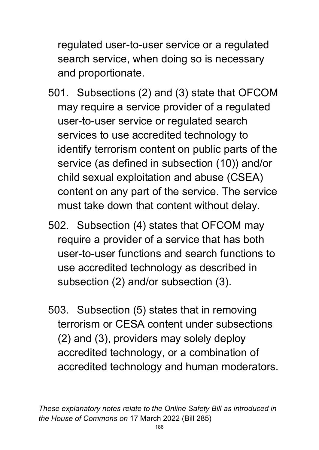regulated user-to-user service or a regulated search service, when doing so is necessary and proportionate.

- 501. Subsections (2) and (3) state that OFCOM may require a service provider of a regulated user-to-user service or regulated search services to use accredited technology to identify terrorism content on public parts of the service (as defined in subsection (10)) and/or child sexual exploitation and abuse (CSEA) content on any part of the service. The service must take down that content without delay.
- 502. Subsection (4) states that OFCOM may require a provider of a service that has both user-to-user functions and search functions to use accredited technology as described in subsection (2) and/or subsection (3).
- 503. Subsection (5) states that in removing terrorism or CESA content under subsections (2) and (3), providers may solely deploy accredited technology, or a combination of accredited technology and human moderators.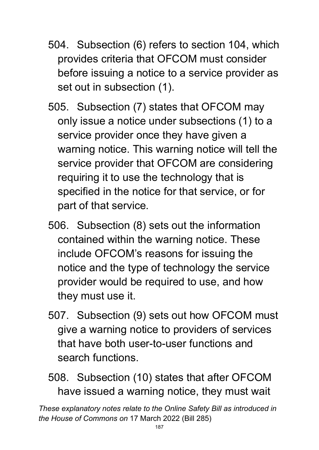- 504. Subsection (6) refers to section 104, which provides criteria that OFCOM must consider before issuing a notice to a service provider as set out in subsection (1).
- 505. Subsection (7) states that OFCOM may only issue a notice under subsections (1) to a service provider once they have given a warning notice. This warning notice will tell the service provider that OFCOM are considering requiring it to use the technology that is specified in the notice for that service, or for part of that service.
- 506. Subsection (8) sets out the information contained within the warning notice. These include OFCOM's reasons for issuing the notice and the type of technology the service provider would be required to use, and how they must use it.
- 507. Subsection (9) sets out how OFCOM must give a warning notice to providers of services that have both user-to-user functions and search functions.
- 508. Subsection (10) states that after OFCOM have issued a warning notice, they must wait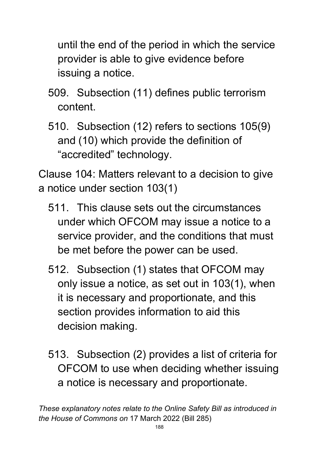until the end of the period in which the service provider is able to give evidence before issuing a notice.

- 509. Subsection (11) defines public terrorism content.
- 510. Subsection (12) refers to sections 105(9) and (10) which provide the definition of "accredited" technology.

Clause 104: Matters relevant to a decision to give a notice under section 103(1)

- 511. This clause sets out the circumstances under which OFCOM may issue a notice to a service provider, and the conditions that must be met before the power can be used.
- 512. Subsection (1) states that OFCOM may only issue a notice, as set out in 103(1), when it is necessary and proportionate, and this section provides information to aid this decision making.
- 513. Subsection (2) provides a list of criteria for OFCOM to use when deciding whether issuing a notice is necessary and proportionate.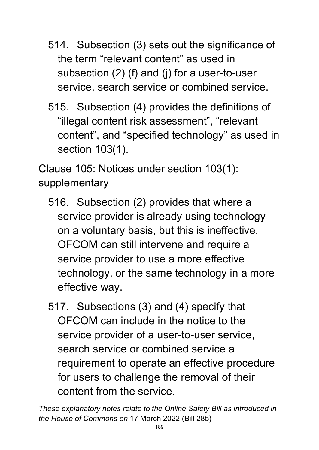- 514. Subsection (3) sets out the significance of the term "relevant content" as used in subsection (2) (f) and (j) for a user-to-user service, search service or combined service.
- 515. Subsection (4) provides the definitions of "illegal content risk assessment", "relevant content", and "specified technology" as used in section 103(1).

Clause 105: Notices under section 103(1): supplementary

- 516. Subsection (2) provides that where a service provider is already using technology on a voluntary basis, but this is ineffective, OFCOM can still intervene and require a service provider to use a more effective technology, or the same technology in a more effective way.
- 517. Subsections (3) and (4) specify that OFCOM can include in the notice to the service provider of a user-to-user service, search service or combined service a requirement to operate an effective procedure for users to challenge the removal of their content from the service.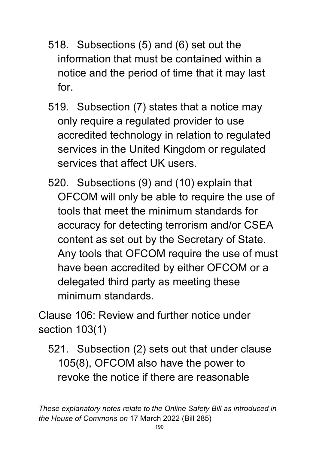- 518. Subsections (5) and (6) set out the information that must be contained within a notice and the period of time that it may last for.
- 519. Subsection (7) states that a notice may only require a regulated provider to use accredited technology in relation to regulated services in the United Kingdom or regulated services that affect UK users.
- 520. Subsections (9) and (10) explain that OFCOM will only be able to require the use of tools that meet the minimum standards for accuracy for detecting terrorism and/or CSEA content as set out by the Secretary of State. Any tools that OFCOM require the use of must have been accredited by either OFCOM or a delegated third party as meeting these minimum standards.

Clause 106: Review and further notice under section 103(1)

521. Subsection (2) sets out that under clause 105(8), OFCOM also have the power to revoke the notice if there are reasonable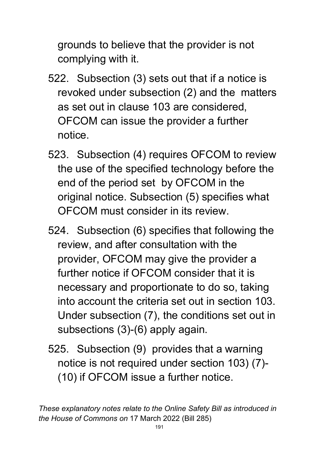grounds to believe that the provider is not complying with it.

- 522. Subsection (3) sets out that if a notice is revoked under subsection (2) and the matters as set out in clause 103 are considered, OFCOM can issue the provider a further notice.
- 523. Subsection (4) requires OFCOM to review the use of the specified technology before the end of the period set by OFCOM in the original notice. Subsection (5) specifies what OFCOM must consider in its review.
- 524. Subsection (6) specifies that following the review, and after consultation with the provider, OFCOM may give the provider a further notice if OFCOM consider that it is necessary and proportionate to do so, taking into account the criteria set out in section 103. Under subsection (7), the conditions set out in subsections (3)-(6) apply again.
- 525. Subsection (9) provides that a warning notice is not required under section 103) (7)- (10) if OFCOM issue a further notice.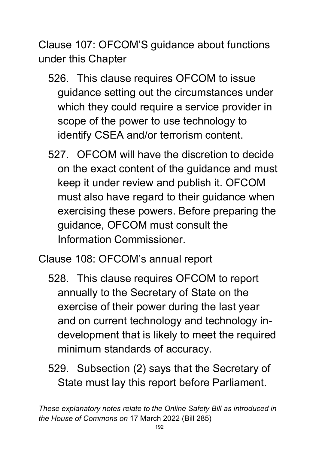Clause 107: OFCOM'S guidance about functions under this Chapter

- 526. This clause requires OFCOM to issue guidance setting out the circumstances under which they could require a service provider in scope of the power to use technology to identify CSEA and/or terrorism content.
- 527. OFCOM will have the discretion to decide on the exact content of the guidance and must keep it under review and publish it. OFCOM must also have regard to their guidance when exercising these powers. Before preparing the guidance, OFCOM must consult the Information Commissioner.

Clause 108: OFCOM's annual report

- 528. This clause requires OFCOM to report annually to the Secretary of State on the exercise of their power during the last year and on current technology and technology indevelopment that is likely to meet the required minimum standards of accuracy.
- 529. Subsection (2) says that the Secretary of State must lay this report before Parliament.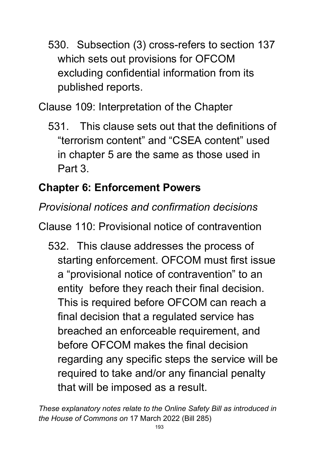530. Subsection (3) cross-refers to section 137 which sets out provisions for OFCOM excluding confidential information from its published reports.

Clause 109: Interpretation of the Chapter

531. This clause sets out that the definitions of "terrorism content" and "CSEA content" used in chapter 5 are the same as those used in Part 3.

# **Chapter 6: Enforcement Powers**

### *Provisional notices and confirmation decisions*

Clause 110: Provisional notice of contravention

532. This clause addresses the process of starting enforcement. OFCOM must first issue a "provisional notice of contravention" to an entity before they reach their final decision. This is required before OFCOM can reach a final decision that a regulated service has breached an enforceable requirement, and before OFCOM makes the final decision regarding any specific steps the service will be required to take and/or any financial penalty that will be imposed as a result.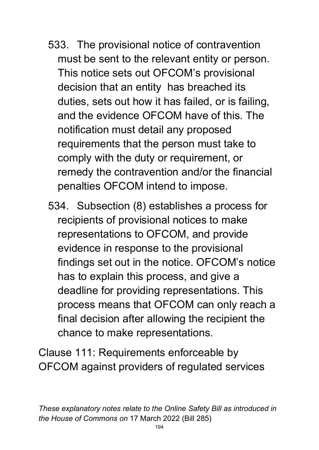- 533. The provisional notice of contravention must be sent to the relevant entity or person. This notice sets out OFCOM's provisional decision that an entity has breached its duties, sets out how it has failed, or is failing, and the evidence OFCOM have of this. The notification must detail any proposed requirements that the person must take to comply with the duty or requirement, or remedy the contravention and/or the financial penalties OFCOM intend to impose.
- 534. Subsection (8) establishes a process for recipients of provisional notices to make representations to OFCOM, and provide evidence in response to the provisional findings set out in the notice. OFCOM's notice has to explain this process, and give a deadline for providing representations. This process means that OFCOM can only reach a final decision after allowing the recipient the chance to make representations.

Clause 111: Requirements enforceable by OFCOM against providers of regulated services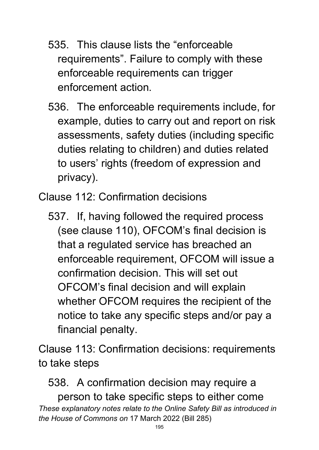- 535. This clause lists the "enforceable requirements". Failure to comply with these enforceable requirements can trigger enforcement action.
- 536. The enforceable requirements include, for example, duties to carry out and report on risk assessments, safety duties (including specific duties relating to children) and duties related to users' rights (freedom of expression and privacy).

Clause 112: Confirmation decisions

537. If, having followed the required process (see clause 110), OFCOM's final decision is that a regulated service has breached an enforceable requirement, OFCOM will issue a confirmation decision. This will set out OFCOM's final decision and will explain whether OFCOM requires the recipient of the notice to take any specific steps and/or pay a financial penalty.

Clause 113: Confirmation decisions: requirements to take steps

*These explanatory notes relate to the Online Safety Bill as introduced in the House of Commons on* 17 March 2022 (Bill 285) 538. A confirmation decision may require a person to take specific steps to either come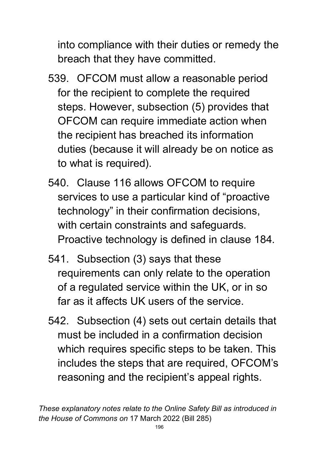into compliance with their duties or remedy the breach that they have committed.

- 539. OFCOM must allow a reasonable period for the recipient to complete the required steps. However, subsection (5) provides that OFCOM can require immediate action when the recipient has breached its information duties (because it will already be on notice as to what is required).
- 540. Clause 116 allows OFCOM to require services to use a particular kind of "proactive technology" in their confirmation decisions, with certain constraints and safeguards. Proactive technology is defined in clause 184.
- 541. Subsection (3) says that these requirements can only relate to the operation of a regulated service within the UK, or in so far as it affects UK users of the service.
- 542. Subsection (4) sets out certain details that must be included in a confirmation decision which requires specific steps to be taken. This includes the steps that are required, OFCOM's reasoning and the recipient's appeal rights.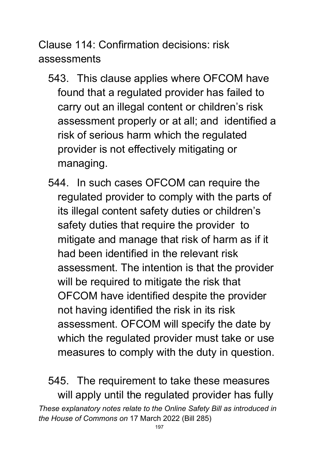Clause 114: Confirmation decisions: risk assessments

- 543. This clause applies where OFCOM have found that a regulated provider has failed to carry out an illegal content or children's risk assessment properly or at all; and identified a risk of serious harm which the regulated provider is not effectively mitigating or managing.
- 544. In such cases OFCOM can require the regulated provider to comply with the parts of its illegal content safety duties or children's safety duties that require the provider to mitigate and manage that risk of harm as if it had been identified in the relevant risk assessment. The intention is that the provider will be required to mitigate the risk that OFCOM have identified despite the provider not having identified the risk in its risk assessment. OFCOM will specify the date by which the regulated provider must take or use measures to comply with the duty in question.

*These explanatory notes relate to the Online Safety Bill as introduced in the House of Commons on* 17 March 2022 (Bill 285) 545. The requirement to take these measures will apply until the regulated provider has fully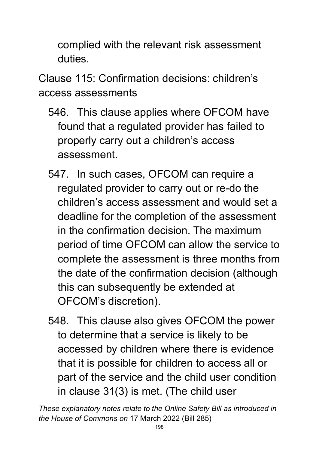complied with the relevant risk assessment duties.

Clause 115: Confirmation decisions: children's access assessments

- 546. This clause applies where OFCOM have found that a regulated provider has failed to properly carry out a children's access assessment.
- 547. In such cases, OFCOM can require a regulated provider to carry out or re-do the children's access assessment and would set a deadline for the completion of the assessment in the confirmation decision. The maximum period of time OFCOM can allow the service to complete the assessment is three months from the date of the confirmation decision (although this can subsequently be extended at OFCOM's discretion).
- 548. This clause also gives OFCOM the power to determine that a service is likely to be accessed by children where there is evidence that it is possible for children to access all or part of the service and the child user condition in clause 31(3) is met. (The child user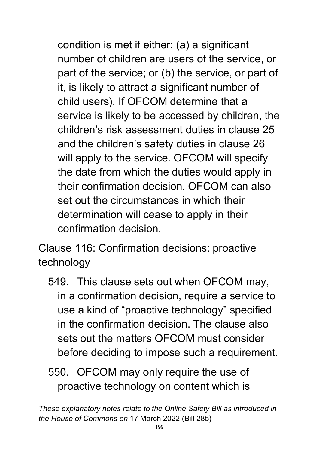condition is met if either: (a) a significant number of children are users of the service, or part of the service; or (b) the service, or part of it, is likely to attract a significant number of child users). If OFCOM determine that a service is likely to be accessed by children, the children's risk assessment duties in clause 25 and the children's safety duties in clause 26 will apply to the service. OFCOM will specify the date from which the duties would apply in their confirmation decision. OFCOM can also set out the circumstances in which their determination will cease to apply in their confirmation decision.

Clause 116: Confirmation decisions: proactive technology

549. This clause sets out when OFCOM may, in a confirmation decision, require a service to use a kind of "proactive technology" specified in the confirmation decision. The clause also sets out the matters OFCOM must consider before deciding to impose such a requirement.

550. OFCOM may only require the use of proactive technology on content which is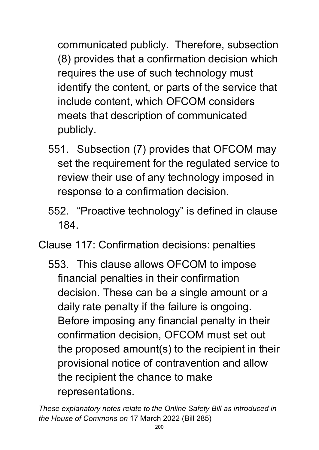communicated publicly. Therefore, subsection (8) provides that a confirmation decision which requires the use of such technology must identify the content, or parts of the service that include content, which OFCOM considers meets that description of communicated publicly.

- 551. Subsection (7) provides that OFCOM may set the requirement for the regulated service to review their use of any technology imposed in response to a confirmation decision.
- 552. "Proactive technology" is defined in clause 184.
- Clause 117: Confirmation decisions: penalties
	- 553. This clause allows OFCOM to impose financial penalties in their confirmation decision. These can be a single amount or a daily rate penalty if the failure is ongoing. Before imposing any financial penalty in their confirmation decision, OFCOM must set out the proposed amount(s) to the recipient in their provisional notice of contravention and allow the recipient the chance to make representations.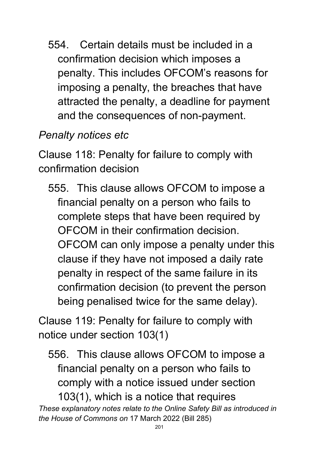554. Certain details must be included in a confirmation decision which imposes a penalty. This includes OFCOM's reasons for imposing a penalty, the breaches that have attracted the penalty, a deadline for payment and the consequences of non-payment.

# *Penalty notices etc*

Clause 118: Penalty for failure to comply with confirmation decision

555. This clause allows OFCOM to impose a financial penalty on a person who fails to complete steps that have been required by OFCOM in their confirmation decision. OFCOM can only impose a penalty under this clause if they have not imposed a daily rate penalty in respect of the same failure in its confirmation decision (to prevent the person being penalised twice for the same delay).

Clause 119: Penalty for failure to comply with notice under section 103(1)

556. This clause allows OFCOM to impose a financial penalty on a person who fails to comply with a notice issued under section 103(1), which is a notice that requires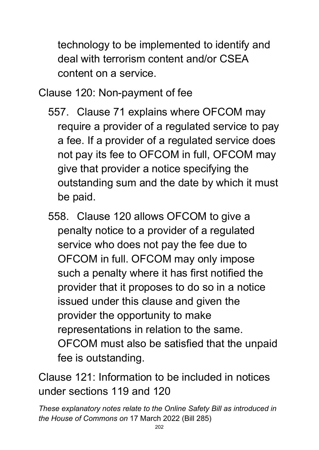technology to be implemented to identify and deal with terrorism content and/or CSEA content on a service.

Clause 120: Non-payment of fee

- 557. Clause 71 explains where OFCOM may require a provider of a regulated service to pay a fee. If a provider of a regulated service does not pay its fee to OFCOM in full, OFCOM may give that provider a notice specifying the outstanding sum and the date by which it must be paid.
- 558. Clause 120 allows OFCOM to give a penalty notice to a provider of a regulated service who does not pay the fee due to OFCOM in full. OFCOM may only impose such a penalty where it has first notified the provider that it proposes to do so in a notice issued under this clause and given the provider the opportunity to make representations in relation to the same. OFCOM must also be satisfied that the unpaid fee is outstanding.

Clause 121: Information to be included in notices under sections 119 and 120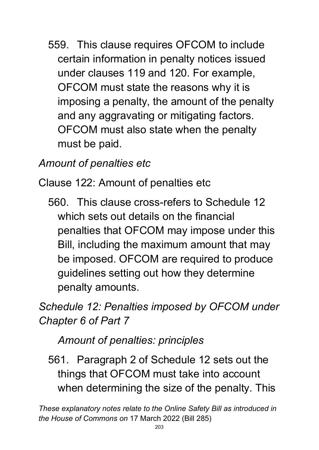559. This clause requires OFCOM to include certain information in penalty notices issued under clauses 119 and 120. For example, OFCOM must state the reasons why it is imposing a penalty, the amount of the penalty and any aggravating or mitigating factors. OFCOM must also state when the penalty must be paid.

### *Amount of penalties etc*

Clause 122: Amount of penalties etc

560. This clause cross-refers to Schedule 12 which sets out details on the financial penalties that OFCOM may impose under this Bill, including the maximum amount that may be imposed. OFCOM are required to produce guidelines setting out how they determine penalty amounts.

*Schedule 12: Penalties imposed by OFCOM under Chapter 6 of Part 7* 

*Amount of penalties: principles*

561. Paragraph 2 of Schedule 12 sets out the things that OFCOM must take into account when determining the size of the penalty. This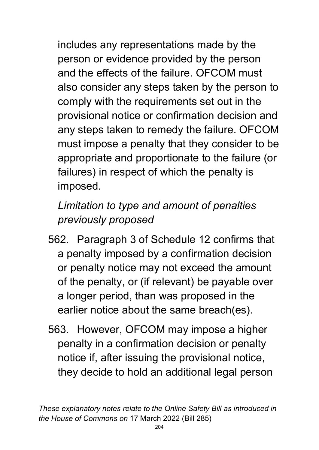includes any representations made by the person or evidence provided by the person and the effects of the failure. OFCOM must also consider any steps taken by the person to comply with the requirements set out in the provisional notice or confirmation decision and any steps taken to remedy the failure. OFCOM must impose a penalty that they consider to be appropriate and proportionate to the failure (or failures) in respect of which the penalty is imposed.

# *Limitation to type and amount of penalties previously proposed*

- 562. Paragraph 3 of Schedule 12 confirms that a penalty imposed by a confirmation decision or penalty notice may not exceed the amount of the penalty, or (if relevant) be payable over a longer period, than was proposed in the earlier notice about the same breach(es).
- 563. However, OFCOM may impose a higher penalty in a confirmation decision or penalty notice if, after issuing the provisional notice, they decide to hold an additional legal person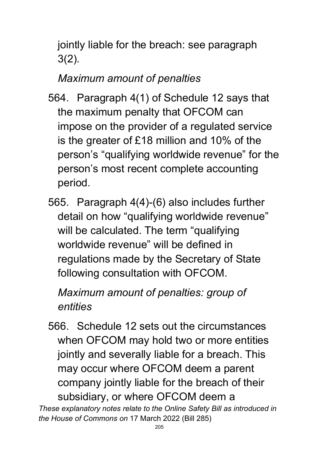jointly liable for the breach: see paragraph 3(2).

## *Maximum amount of penalties*

- 564. Paragraph 4(1) of Schedule 12 says that the maximum penalty that OFCOM can impose on the provider of a regulated service is the greater of £18 million and 10% of the person's "qualifying worldwide revenue" for the person's most recent complete accounting period.
- 565. Paragraph 4(4)-(6) also includes further detail on how "qualifying worldwide revenue" will be calculated. The term "qualifying worldwide revenue" will be defined in regulations made by the Secretary of State following consultation with OFCOM.

# *Maximum amount of penalties: group of entities*

566. Schedule 12 sets out the circumstances when OFCOM may hold two or more entities jointly and severally liable for a breach. This may occur where OFCOM deem a parent company jointly liable for the breach of their subsidiary, or where OFCOM deem a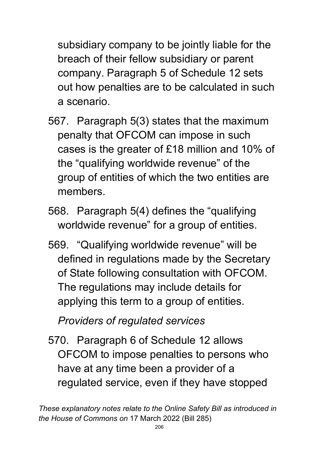subsidiary company to be jointly liable for the breach of their fellow subsidiary or parent company. Paragraph 5 of Schedule 12 sets out how penalties are to be calculated in such a scenario.

- 567. Paragraph 5(3) states that the maximum penalty that OFCOM can impose in such cases is the greater of £18 million and 10% of the "qualifying worldwide revenue" of the group of entities of which the two entities are members.
- 568. Paragraph 5(4) defines the "qualifying worldwide revenue" for a group of entities.
- 569. "Qualifying worldwide revenue" will be defined in regulations made by the Secretary of State following consultation with OFCOM. The regulations may include details for applying this term to a group of entities.

*Providers of regulated services*

570. Paragraph 6 of Schedule 12 allows OFCOM to impose penalties to persons who have at any time been a provider of a regulated service, even if they have stopped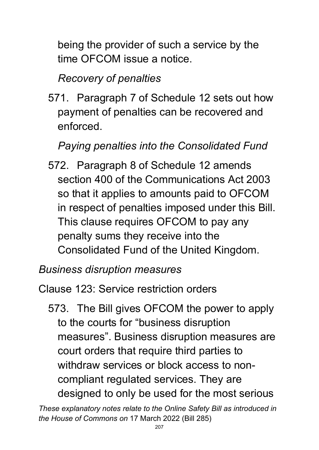being the provider of such a service by the time OFCOM issue a notice.

### *Recovery of penalties*

571. Paragraph 7 of Schedule 12 sets out how payment of penalties can be recovered and enforced.

# *Paying penalties into the Consolidated Fund*

572. Paragraph 8 of Schedule 12 amends section 400 of the Communications Act 2003 so that it applies to amounts paid to OFCOM in respect of penalties imposed under this Bill. This clause requires OFCOM to pay any penalty sums they receive into the Consolidated Fund of the United Kingdom.

### *Business disruption measures*

### Clause 123: Service restriction orders

573. The Bill gives OFCOM the power to apply to the courts for "business disruption measures". Business disruption measures are court orders that require third parties to withdraw services or block access to noncompliant regulated services. They are designed to only be used for the most serious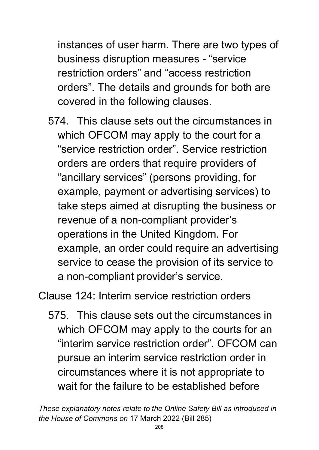instances of user harm. There are two types of business disruption measures - "service restriction orders" and "access restriction orders". The details and grounds for both are covered in the following clauses.

574. This clause sets out the circumstances in which OFCOM may apply to the court for a "service restriction order". Service restriction orders are orders that require providers of "ancillary services" (persons providing, for example, payment or advertising services) to take steps aimed at disrupting the business or revenue of a non-compliant provider's operations in the United Kingdom. For example, an order could require an advertising service to cease the provision of its service to a non-compliant provider's service.

Clause 124: Interim service restriction orders

575. This clause sets out the circumstances in which OFCOM may apply to the courts for an "interim service restriction order". OFCOM can pursue an interim service restriction order in circumstances where it is not appropriate to wait for the failure to be established before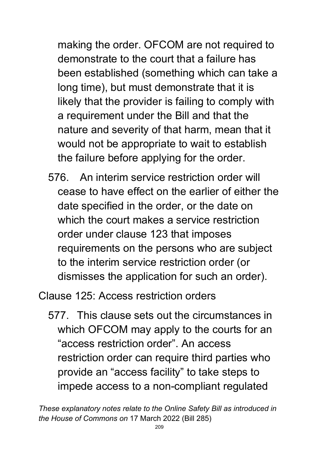making the order. OFCOM are not required to demonstrate to the court that a failure has been established (something which can take a long time), but must demonstrate that it is likely that the provider is failing to comply with a requirement under the Bill and that the nature and severity of that harm, mean that it would not be appropriate to wait to establish the failure before applying for the order.

576. An interim service restriction order will cease to have effect on the earlier of either the date specified in the order, or the date on which the court makes a service restriction order under clause 123 that imposes requirements on the persons who are subject to the interim service restriction order (or dismisses the application for such an order).

Clause 125: Access restriction orders

577. This clause sets out the circumstances in which OFCOM may apply to the courts for an "access restriction order". An access restriction order can require third parties who provide an "access facility" to take steps to impede access to a non-compliant regulated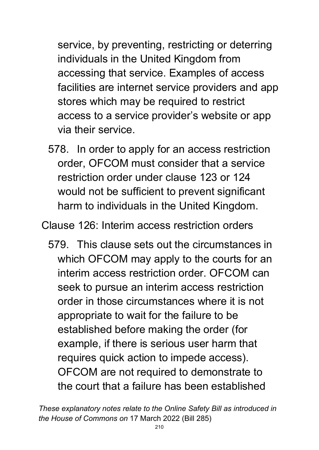service, by preventing, restricting or deterring individuals in the United Kingdom from accessing that service. Examples of access facilities are internet service providers and app stores which may be required to restrict access to a service provider's website or app via their service.

578. In order to apply for an access restriction order, OFCOM must consider that a service restriction order under clause 123 or 124 would not be sufficient to prevent significant harm to individuals in the United Kingdom.

Clause 126: Interim access restriction orders

579. This clause sets out the circumstances in which OFCOM may apply to the courts for an interim access restriction order. OFCOM can seek to pursue an interim access restriction order in those circumstances where it is not appropriate to wait for the failure to be established before making the order (for example, if there is serious user harm that requires quick action to impede access). OFCOM are not required to demonstrate to the court that a failure has been established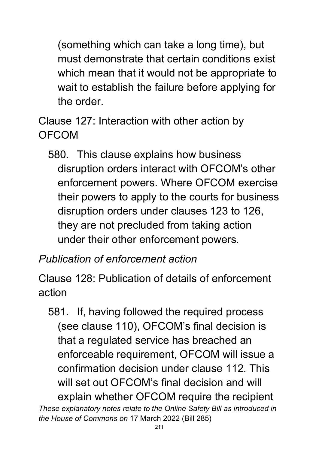(something which can take a long time), but must demonstrate that certain conditions exist which mean that it would not be appropriate to wait to establish the failure before applying for the order.

Clause 127: Interaction with other action by OFCOM

580. This clause explains how business disruption orders interact with OFCOM's other enforcement powers. Where OFCOM exercise their powers to apply to the courts for business disruption orders under clauses 123 to 126, they are not precluded from taking action under their other enforcement powers.

### *Publication of enforcement action*

Clause 128: Publication of details of enforcement action

*These explanatory notes relate to the Online Safety Bill as introduced in the House of Commons on* 17 March 2022 (Bill 285) 581. If, having followed the required process (see clause 110), OFCOM's final decision is that a regulated service has breached an enforceable requirement, OFCOM will issue a confirmation decision under clause 112. This will set out OFCOM's final decision and will explain whether OFCOM require the recipient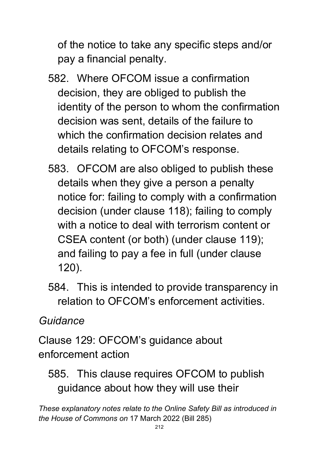of the notice to take any specific steps and/or pay a financial penalty.

- 582. Where OFCOM issue a confirmation decision, they are obliged to publish the identity of the person to whom the confirmation decision was sent, details of the failure to which the confirmation decision relates and details relating to OFCOM's response.
- 583. OFCOM are also obliged to publish these details when they give a person a penalty notice for: failing to comply with a confirmation decision (under clause 118); failing to comply with a notice to deal with terrorism content or CSEA content (or both) (under clause 119); and failing to pay a fee in full (under clause 120).
- 584. This is intended to provide transparency in relation to OFCOM's enforcement activities.

### *Guidance*

Clause 129: OFCOM's guidance about enforcement action

585. This clause requires OFCOM to publish guidance about how they will use their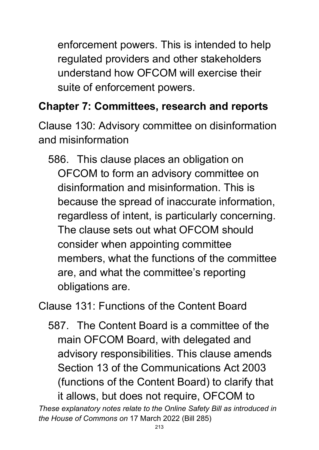enforcement powers. This is intended to help regulated providers and other stakeholders understand how OFCOM will exercise their suite of enforcement powers.

# **Chapter 7: Committees, research and reports**

Clause 130: Advisory committee on disinformation and misinformation

586. This clause places an obligation on OFCOM to form an advisory committee on disinformation and misinformation. This is because the spread of inaccurate information, regardless of intent, is particularly concerning. The clause sets out what OFCOM should consider when appointing committee members, what the functions of the committee are, and what the committee's reporting obligations are.

Clause 131: Functions of the Content Board

587. The Content Board is a committee of the main OFCOM Board, with delegated and advisory responsibilities. This clause amends Section 13 of the Communications Act 2003 (functions of the Content Board) to clarify that it allows, but does not require, OFCOM to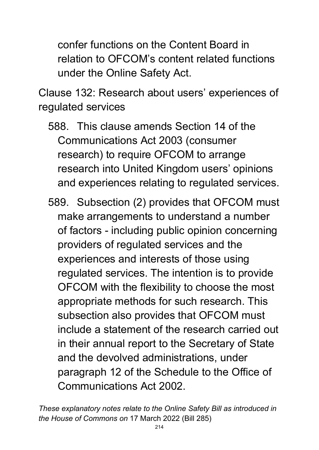confer functions on the Content Board in relation to OFCOM's content related functions under the Online Safety Act.

Clause 132: Research about users' experiences of regulated services

- 588. This clause amends Section 14 of the Communications Act 2003 (consumer research) to require OFCOM to arrange research into United Kingdom users' opinions and experiences relating to regulated services.
- 589. Subsection (2) provides that OFCOM must make arrangements to understand a number of factors - including public opinion concerning providers of regulated services and the experiences and interests of those using regulated services. The intention is to provide OFCOM with the flexibility to choose the most appropriate methods for such research. This subsection also provides that OFCOM must include a statement of the research carried out in their annual report to the Secretary of State and the devolved administrations, under paragraph 12 of the Schedule to the Office of Communications Act 2002.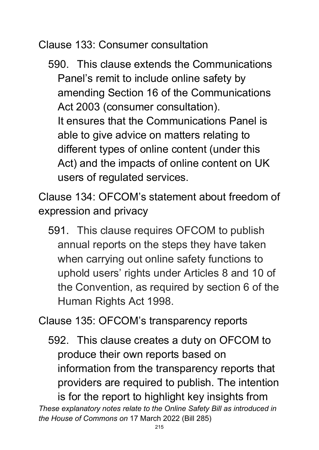Clause 133: Consumer consultation

590. This clause extends the Communications Panel's remit to include online safety by amending Section 16 of the Communications Act 2003 (consumer consultation). It ensures that the Communications Panel is able to give advice on matters relating to different types of online content (under this Act) and the impacts of online content on UK users of regulated services.

Clause 134: OFCOM's statement about freedom of expression and privacy

591. This clause requires OFCOM to publish annual reports on the steps they have taken when carrying out online safety functions to uphold users' rights under Articles 8 and 10 of the Convention, as required by section 6 of the Human Rights Act 1998.

Clause 135: OFCOM's transparency reports

*These explanatory notes relate to the Online Safety Bill as introduced in*  592. This clause creates a duty on OFCOM to produce their own reports based on information from the transparency reports that providers are required to publish. The intention is for the report to highlight key insights from

*the House of Commons on* 17 March 2022 (Bill 285)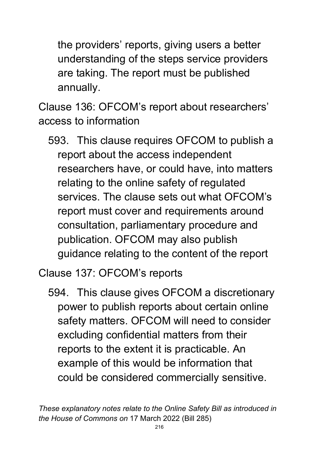the providers' reports, giving users a better understanding of the steps service providers are taking. The report must be published annually.

Clause 136: OFCOM's report about researchers' access to information

593. This clause requires OFCOM to publish a report about the access independent researchers have, or could have, into matters relating to the online safety of regulated services. The clause sets out what OFCOM's report must cover and requirements around consultation, parliamentary procedure and publication. OFCOM may also publish guidance relating to the content of the report

Clause 137: OFCOM's reports

594. This clause gives OFCOM a discretionary power to publish reports about certain online safety matters. OFCOM will need to consider excluding confidential matters from their reports to the extent it is practicable. An example of this would be information that could be considered commercially sensitive.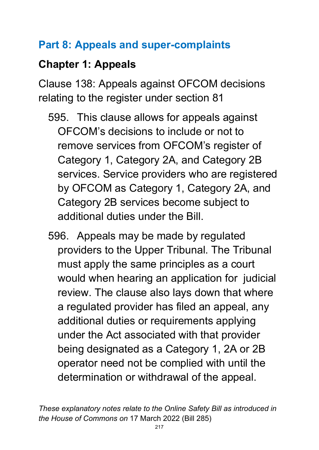## **Part 8: Appeals and super-complaints**

## **Chapter 1: Appeals**

Clause 138: Appeals against OFCOM decisions relating to the register under section 81

- 595. This clause allows for appeals against OFCOM's decisions to include or not to remove services from OFCOM's register of Category 1, Category 2A, and Category 2B services. Service providers who are registered by OFCOM as Category 1, Category 2A, and Category 2B services become subject to additional duties under the Bill.
- 596. Appeals may be made by regulated providers to the Upper Tribunal. The Tribunal must apply the same principles as a court would when hearing an application for judicial review. The clause also lays down that where a regulated provider has filed an appeal, any additional duties or requirements applying under the Act associated with that provider being designated as a Category 1, 2A or 2B operator need not be complied with until the determination or withdrawal of the appeal.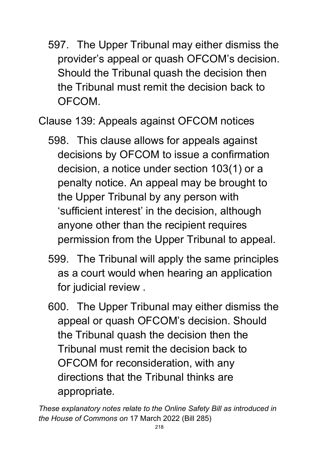597. The Upper Tribunal may either dismiss the provider's appeal or quash OFCOM's decision. Should the Tribunal quash the decision then the Tribunal must remit the decision back to OFCOM.

Clause 139: Appeals against OFCOM notices

- 598. This clause allows for appeals against decisions by OFCOM to issue a confirmation decision, a notice under section 103(1) or a penalty notice. An appeal may be brought to the Upper Tribunal by any person with 'sufficient interest' in the decision, although anyone other than the recipient requires permission from the Upper Tribunal to appeal.
- 599. The Tribunal will apply the same principles as a court would when hearing an application for judicial review .
- 600. The Upper Tribunal may either dismiss the appeal or quash OFCOM's decision. Should the Tribunal quash the decision then the Tribunal must remit the decision back to OFCOM for reconsideration, with any directions that the Tribunal thinks are appropriate.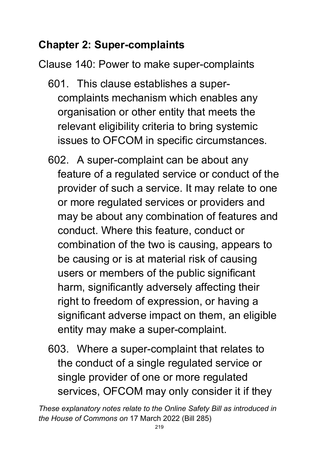# **Chapter 2: Super-complaints**

Clause 140: Power to make super-complaints

- 601. This clause establishes a supercomplaints mechanism which enables any organisation or other entity that meets the relevant eligibility criteria to bring systemic issues to OFCOM in specific circumstances.
- 602. A super-complaint can be about any feature of a regulated service or conduct of the provider of such a service. It may relate to one or more regulated services or providers and may be about any combination of features and conduct. Where this feature, conduct or combination of the two is causing, appears to be causing or is at material risk of causing users or members of the public significant harm, significantly adversely affecting their right to freedom of expression, or having a significant adverse impact on them, an eligible entity may make a super-complaint.
- 603. Where a super-complaint that relates to the conduct of a single regulated service or single provider of one or more regulated services, OFCOM may only consider it if they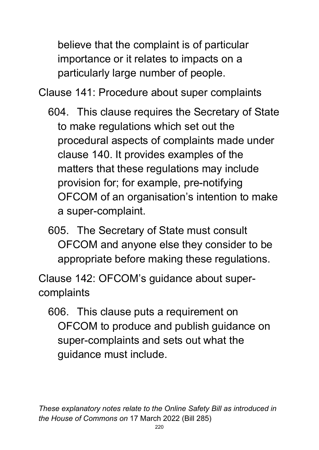believe that the complaint is of particular importance or it relates to impacts on a particularly large number of people.

Clause 141: Procedure about super complaints

- 604. This clause requires the Secretary of State to make regulations which set out the procedural aspects of complaints made under clause 140. It provides examples of the matters that these regulations may include provision for; for example, pre-notifying OFCOM of an organisation's intention to make a super-complaint.
- 605. The Secretary of State must consult OFCOM and anyone else they consider to be appropriate before making these regulations.

Clause 142: OFCOM's guidance about supercomplaints

606. This clause puts a requirement on OFCOM to produce and publish guidance on super-complaints and sets out what the guidance must include.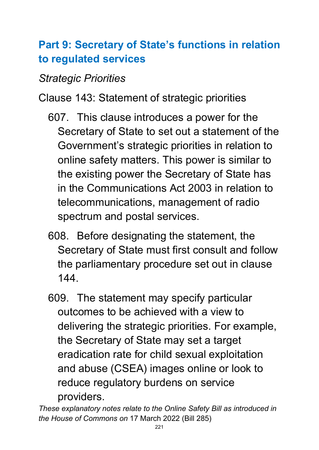## **Part 9: Secretary of State's functions in relation to regulated services**

#### *Strategic Priorities*

Clause 143: Statement of strategic priorities

- 607. This clause introduces a power for the Secretary of State to set out a statement of the Government's strategic priorities in relation to online safety matters. This power is similar to the existing power the Secretary of State has in the Communications Act 2003 in relation to telecommunications, management of radio spectrum and postal services.
- 608. Before designating the statement, the Secretary of State must first consult and follow the parliamentary procedure set out in clause 144.
- 609. The statement may specify particular outcomes to be achieved with a view to delivering the strategic priorities. For example, the Secretary of State may set a target eradication rate for child sexual exploitation and abuse (CSEA) images online or look to reduce regulatory burdens on service providers.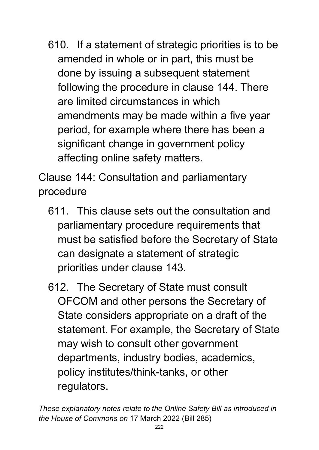610. If a statement of strategic priorities is to be amended in whole or in part, this must be done by issuing a subsequent statement following the procedure in clause 144. There are limited circumstances in which amendments may be made within a five year period, for example where there has been a significant change in government policy affecting online safety matters.

Clause 144: Consultation and parliamentary procedure

- 611. This clause sets out the consultation and parliamentary procedure requirements that must be satisfied before the Secretary of State can designate a statement of strategic priorities under clause 143.
- 612. The Secretary of State must consult OFCOM and other persons the Secretary of State considers appropriate on a draft of the statement. For example, the Secretary of State may wish to consult other government departments, industry bodies, academics, policy institutes/think-tanks, or other regulators.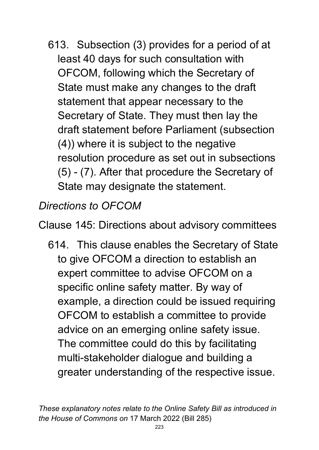613. Subsection (3) provides for a period of at least 40 days for such consultation with OFCOM, following which the Secretary of State must make any changes to the draft statement that appear necessary to the Secretary of State. They must then lay the draft statement before Parliament (subsection (4)) where it is subject to the negative resolution procedure as set out in subsections (5) - (7). After that procedure the Secretary of State may designate the statement.

*Directions to OFCOM*

Clause 145: Directions about advisory committees

614. This clause enables the Secretary of State to give OFCOM a direction to establish an expert committee to advise OFCOM on a specific online safety matter. By way of example, a direction could be issued requiring OFCOM to establish a committee to provide advice on an emerging online safety issue. The committee could do this by facilitating multi-stakeholder dialogue and building a greater understanding of the respective issue.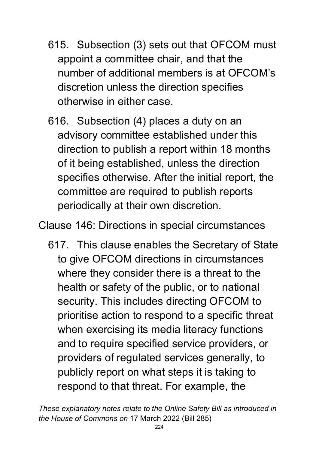- 615. Subsection (3) sets out that OFCOM must appoint a committee chair, and that the number of additional members is at OFCOM's discretion unless the direction specifies otherwise in either case.
- 616. Subsection (4) places a duty on an advisory committee established under this direction to publish a report within 18 months of it being established, unless the direction specifies otherwise. After the initial report, the committee are required to publish reports periodically at their own discretion.

Clause 146: Directions in special circumstances

617. This clause enables the Secretary of State to give OFCOM directions in circumstances where they consider there is a threat to the health or safety of the public, or to national security. This includes directing OFCOM to prioritise action to respond to a specific threat when exercising its media literacy functions and to require specified service providers, or providers of regulated services generally, to publicly report on what steps it is taking to respond to that threat. For example, the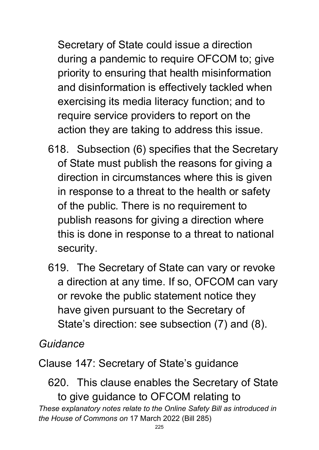Secretary of State could issue a direction during a pandemic to require OFCOM to; give priority to ensuring that health misinformation and disinformation is effectively tackled when exercising its media literacy function; and to require service providers to report on the action they are taking to address this issue.

- 618. Subsection (6) specifies that the Secretary of State must publish the reasons for giving a direction in circumstances where this is given in response to a threat to the health or safety of the public. There is no requirement to publish reasons for giving a direction where this is done in response to a threat to national security.
- 619. The Secretary of State can vary or revoke a direction at any time. If so, OFCOM can vary or revoke the public statement notice they have given pursuant to the Secretary of State's direction: see subsection (7) and (8).

*Guidance*

Clause 147: Secretary of State's guidance

*These explanatory notes relate to the Online Safety Bill as introduced in the House of Commons on* 17 March 2022 (Bill 285) 620. This clause enables the Secretary of State to give guidance to OFCOM relating to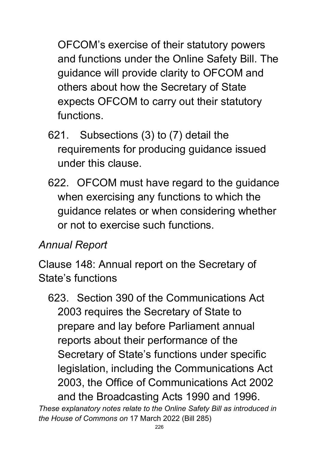OFCOM's exercise of their statutory powers and functions under the Online Safety Bill. The guidance will provide clarity to OFCOM and others about how the Secretary of State expects OFCOM to carry out their statutory functions.

- 621. Subsections (3) to (7) detail the requirements for producing guidance issued under this clause.
- 622. OFCOM must have regard to the guidance when exercising any functions to which the guidance relates or when considering whether or not to exercise such functions.

#### *Annual Report*

Clause 148: Annual report on the Secretary of State's functions

623. Section 390 of the Communications Act 2003 requires the Secretary of State to prepare and lay before Parliament annual reports about their performance of the Secretary of State's functions under specific legislation, including the Communications Act 2003, the Office of Communications Act 2002 and the Broadcasting Acts 1990 and 1996.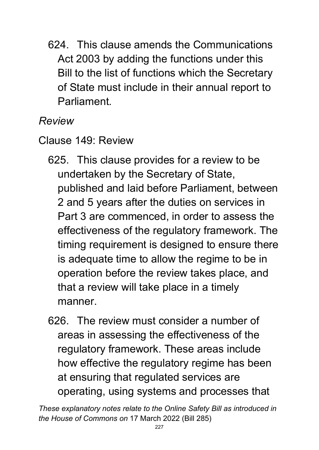624. This clause amends the Communications Act 2003 by adding the functions under this Bill to the list of functions which the Secretary of State must include in their annual report to **Parliament** 

*Review*

Clause 149: Review

- 625. This clause provides for a review to be undertaken by the Secretary of State, published and laid before Parliament, between 2 and 5 years after the duties on services in Part 3 are commenced, in order to assess the effectiveness of the regulatory framework. The timing requirement is designed to ensure there is adequate time to allow the regime to be in operation before the review takes place, and that a review will take place in a timely manner.
- 626. The review must consider a number of areas in assessing the effectiveness of the regulatory framework. These areas include how effective the regulatory regime has been at ensuring that regulated services are operating, using systems and processes that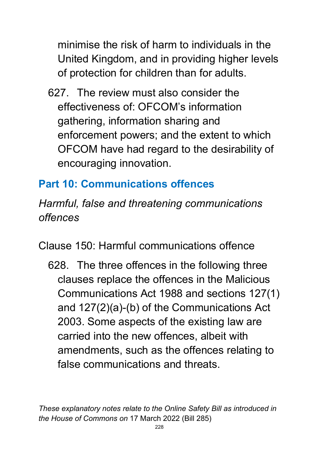minimise the risk of harm to individuals in the United Kingdom, and in providing higher levels of protection for children than for adults.

627. The review must also consider the effectiveness of: OFCOM's information gathering, information sharing and enforcement powers; and the extent to which OFCOM have had regard to the desirability of encouraging innovation.

### **Part 10: Communications offences**

*Harmful, false and threatening communications offences*

Clause 150: Harmful communications offence

628. The three offences in the following three clauses replace the offences in the Malicious Communications Act 1988 and sections 127(1) and 127(2)(a)-(b) of the Communications Act 2003. Some aspects of the existing law are carried into the new offences, albeit with amendments, such as the offences relating to false communications and threats.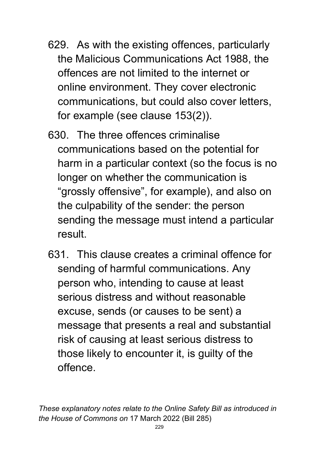- 629. As with the existing offences, particularly the Malicious Communications Act 1988, the offences are not limited to the internet or online environment. They cover electronic communications, but could also cover letters, for example (see clause 153(2)).
- 630. The three offences criminalise communications based on the potential for harm in a particular context (so the focus is no longer on whether the communication is "grossly offensive", for example), and also on the culpability of the sender: the person sending the message must intend a particular result.
- 631. This clause creates a criminal offence for sending of harmful communications. Any person who, intending to cause at least serious distress and without reasonable excuse, sends (or causes to be sent) a message that presents a real and substantial risk of causing at least serious distress to those likely to encounter it, is guilty of the offence.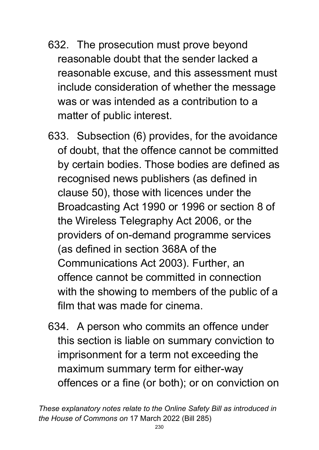- 632. The prosecution must prove beyond reasonable doubt that the sender lacked a reasonable excuse, and this assessment must include consideration of whether the message was or was intended as a contribution to a matter of public interest.
- 633. Subsection (6) provides, for the avoidance of doubt, that the offence cannot be committed by certain bodies. Those bodies are defined as recognised news publishers (as defined in clause 50), those with licences under the Broadcasting Act 1990 or 1996 or section 8 of the Wireless Telegraphy Act 2006, or the providers of on-demand programme services (as defined in section 368A of the Communications Act 2003). Further, an offence cannot be committed in connection with the showing to members of the public of a film that was made for cinema.
- 634. A person who commits an offence under this section is liable on summary conviction to imprisonment for a term not exceeding the maximum summary term for either-way offences or a fine (or both); or on conviction on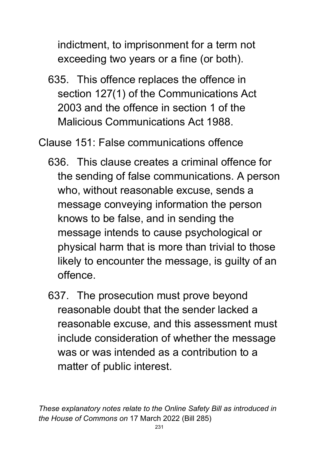indictment, to imprisonment for a term not exceeding two years or a fine (or both).

635. This offence replaces the offence in section 127(1) of the Communications Act 2003 and the offence in section 1 of the Malicious Communications Act 1988.

Clause 151: False communications offence

- 636. This clause creates a criminal offence for the sending of false communications. A person who, without reasonable excuse, sends a message conveying information the person knows to be false, and in sending the message intends to cause psychological or physical harm that is more than trivial to those likely to encounter the message, is guilty of an offence.
- 637. The prosecution must prove beyond reasonable doubt that the sender lacked a reasonable excuse, and this assessment must include consideration of whether the message was or was intended as a contribution to a matter of public interest.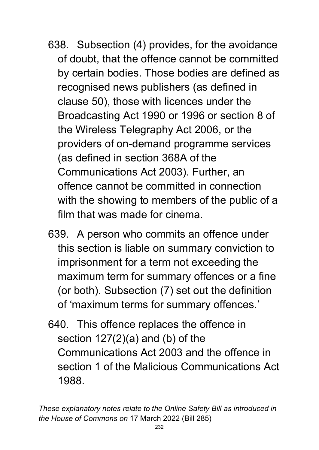- 638. Subsection (4) provides, for the avoidance of doubt, that the offence cannot be committed by certain bodies. Those bodies are defined as recognised news publishers (as defined in clause 50), those with licences under the Broadcasting Act 1990 or 1996 or section 8 of the Wireless Telegraphy Act 2006, or the providers of on-demand programme services (as defined in section 368A of the Communications Act 2003). Further, an offence cannot be committed in connection with the showing to members of the public of a film that was made for cinema.
- 639. A person who commits an offence under this section is liable on summary conviction to imprisonment for a term not exceeding the maximum term for summary offences or a fine (or both). Subsection (7) set out the definition of 'maximum terms for summary offences.'
- 640. This offence replaces the offence in section  $127(2)(a)$  and (b) of the Communications Act 2003 and the offence in section 1 of the Malicious Communications Act 1988.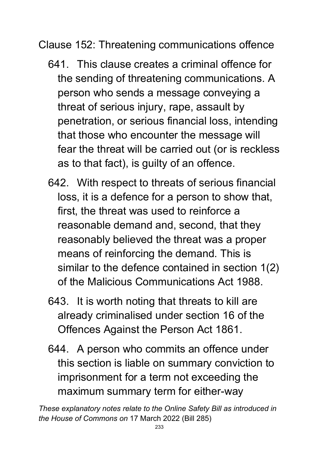Clause 152: Threatening communications offence

- 641. This clause creates a criminal offence for the sending of threatening communications. A person who sends a message conveying a threat of serious injury, rape, assault by penetration, or serious financial loss, intending that those who encounter the message will fear the threat will be carried out (or is reckless as to that fact), is guilty of an offence.
- 642. With respect to threats of serious financial loss, it is a defence for a person to show that, first, the threat was used to reinforce a reasonable demand and, second, that they reasonably believed the threat was a proper means of reinforcing the demand. This is similar to the defence contained in section 1(2) of the Malicious Communications Act 1988.
- 643. It is worth noting that threats to kill are already criminalised under section 16 of the Offences Against the Person Act 1861.
- 644. A person who commits an offence under this section is liable on summary conviction to imprisonment for a term not exceeding the maximum summary term for either-way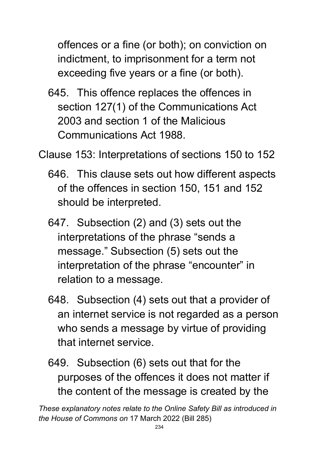offences or a fine (or both); on conviction on indictment, to imprisonment for a term not exceeding five years or a fine (or both).

645. This offence replaces the offences in section 127(1) of the Communications Act 2003 and section 1 of the Malicious Communications Act 1988.

Clause 153: Interpretations of sections 150 to 152

- 646. This clause sets out how different aspects of the offences in section 150, 151 and 152 should be interpreted.
- 647. Subsection (2) and (3) sets out the interpretations of the phrase "sends a message." Subsection (5) sets out the interpretation of the phrase "encounter" in relation to a message.
- 648. Subsection (4) sets out that a provider of an internet service is not regarded as a person who sends a message by virtue of providing that internet service.
- 649. Subsection (6) sets out that for the purposes of the offences it does not matter if the content of the message is created by the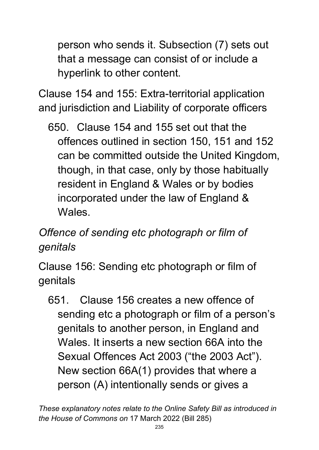person who sends it. Subsection (7) sets out that a message can consist of or include a hyperlink to other content.

Clause 154 and 155: Extra-territorial application and jurisdiction and Liability of corporate officers

650. Clause 154 and 155 set out that the offences outlined in section 150, 151 and 152 can be committed outside the United Kingdom, though, in that case, only by those habitually resident in England & Wales or by bodies incorporated under the law of England & Wales.

## *Offence of sending etc photograph or film of genitals*

Clause 156: Sending etc photograph or film of genitals

651. Clause 156 creates a new offence of sending etc a photograph or film of a person's genitals to another person, in England and Wales. It inserts a new section 66A into the Sexual Offences Act 2003 ("the 2003 Act"). New section 66A(1) provides that where a person (A) intentionally sends or gives a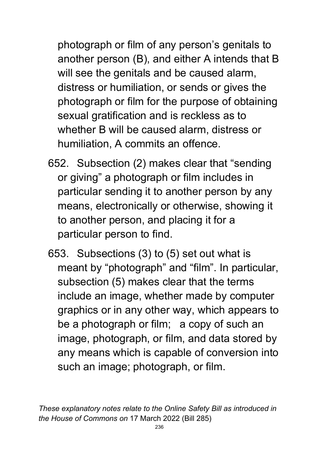photograph or film of any person's genitals to another person (B), and either A intends that B will see the genitals and be caused alarm, distress or humiliation, or sends or gives the photograph or film for the purpose of obtaining sexual gratification and is reckless as to whether B will be caused alarm, distress or humiliation, A commits an offence.

- 652. Subsection (2) makes clear that "sending or giving" a photograph or film includes in particular sending it to another person by any means, electronically or otherwise, showing it to another person, and placing it for a particular person to find.
- 653. Subsections (3) to (5) set out what is meant by "photograph" and "film". In particular, subsection (5) makes clear that the terms include an image, whether made by computer graphics or in any other way, which appears to be a photograph or film; a copy of such an image, photograph, or film, and data stored by any means which is capable of conversion into such an image; photograph, or film.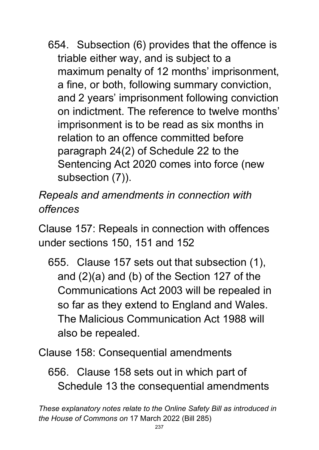654. Subsection (6) provides that the offence is triable either way, and is subject to a maximum penalty of 12 months' imprisonment, a fine, or both, following summary conviction, and 2 years' imprisonment following conviction on indictment. The reference to twelve months' imprisonment is to be read as six months in relation to an offence committed before paragraph 24(2) of Schedule 22 to the Sentencing Act 2020 comes into force (new subsection (7)).

*Repeals and amendments in connection with offences*

Clause 157: Repeals in connection with offences under sections 150, 151 and 152

655. Clause 157 sets out that subsection (1), and (2)(a) and (b) of the Section 127 of the Communications Act 2003 will be repealed in so far as they extend to England and Wales. The Malicious Communication Act 1988 will also be repealed.

Clause 158: Consequential amendments

656. Clause 158 sets out in which part of Schedule 13 the consequential amendments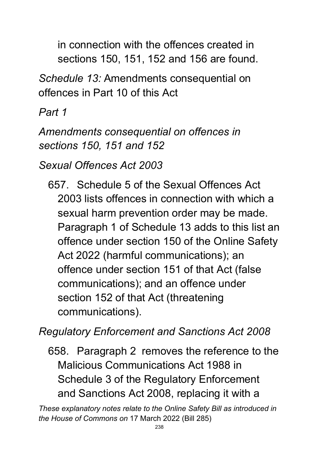in connection with the offences created in sections 150, 151, 152 and 156 are found.

*Schedule 13:* Amendments consequential on offences in Part 10 of this Act

*Part 1* 

*Amendments consequential on offences in sections 150, 151 and 152*

*Sexual Offences Act 2003*

657. Schedule 5 of the Sexual Offences Act 2003 lists offences in connection with which a sexual harm prevention order may be made. Paragraph 1 of Schedule 13 adds to this list an offence under section 150 of the Online Safety Act 2022 (harmful communications); an offence under section 151 of that Act (false communications); and an offence under section 152 of that Act (threatening communications).

*Regulatory Enforcement and Sanctions Act 2008*

658. Paragraph 2 removes the reference to the Malicious Communications Act 1988 in Schedule 3 of the Regulatory Enforcement and Sanctions Act 2008, replacing it with a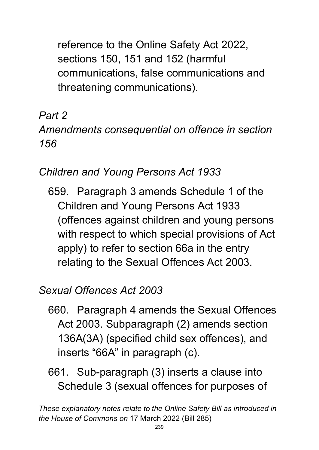reference to the Online Safety Act 2022, sections 150, 151 and 152 (harmful communications, false communications and threatening communications).

# *Part 2*

#### *Amendments consequential on offence in section 156*

## *Children and Young Persons Act 1933*

659. Paragraph 3 amends Schedule 1 of the Children and Young Persons Act 1933 (offences against children and young persons with respect to which special provisions of Act apply) to refer to section 66a in the entry relating to the Sexual Offences Act 2003.

### *Sexual Offences Act 2003*

- 660. Paragraph 4 amends the Sexual Offences Act 2003. Subparagraph (2) amends section 136A(3A) (specified child sex offences), and inserts "66A" in paragraph (c).
- 661. Sub-paragraph (3) inserts a clause into Schedule 3 (sexual offences for purposes of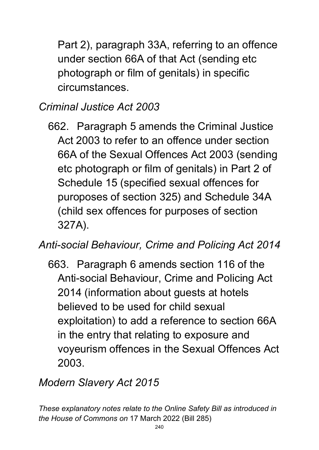Part 2), paragraph 33A, referring to an offence under section 66A of that Act (sending etc photograph or film of genitals) in specific circumstances.

### *Criminal Justice Act 2003*

662. Paragraph 5 amends the Criminal Justice Act 2003 to refer to an offence under section 66A of the Sexual Offences Act 2003 (sending etc photograph or film of genitals) in Part 2 of Schedule 15 (specified sexual offences for puroposes of section 325) and Schedule 34A (child sex offences for purposes of section 327A).

#### *Anti-social Behaviour, Crime and Policing Act 2014*

663. Paragraph 6 amends section 116 of the Anti-social Behaviour, Crime and Policing Act 2014 (information about guests at hotels believed to be used for child sexual exploitation) to add a reference to section 66A in the entry that relating to exposure and voyeurism offences in the Sexual Offences Act 2003.

#### *Modern Slavery Act 2015*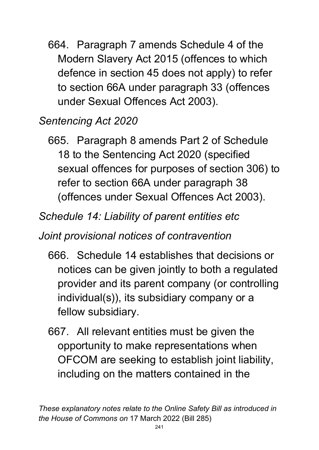664. Paragraph 7 amends Schedule 4 of the Modern Slavery Act 2015 (offences to which defence in section 45 does not apply) to refer to section 66A under paragraph 33 (offences under Sexual Offences Act 2003).

#### *Sentencing Act 2020*

665. Paragraph 8 amends Part 2 of Schedule 18 to the Sentencing Act 2020 (specified sexual offences for purposes of section 306) to refer to section 66A under paragraph 38 (offences under Sexual Offences Act 2003).

### *Schedule 14: Liability of parent entities etc*

*Joint provisional notices of contravention*

- 666. Schedule 14 establishes that decisions or notices can be given jointly to both a regulated provider and its parent company (or controlling individual(s)), its subsidiary company or a fellow subsidiary.
- 667. All relevant entities must be given the opportunity to make representations when OFCOM are seeking to establish joint liability, including on the matters contained in the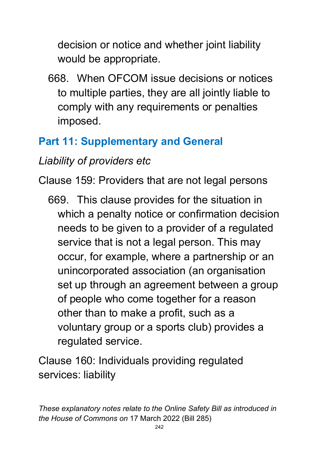decision or notice and whether joint liability would be appropriate.

668. When OFCOM issue decisions or notices to multiple parties, they are all jointly liable to comply with any requirements or penalties imposed.

## **Part 11: Supplementary and General**

## *Liability of providers etc*

Clause 159: Providers that are not legal persons

669. This clause provides for the situation in which a penalty notice or confirmation decision needs to be given to a provider of a regulated service that is not a legal person. This may occur, for example, where a partnership or an unincorporated association (an organisation set up through an agreement between a group of people who come together for a reason other than to make a profit, such as a voluntary group or a sports club) provides a regulated service.

Clause 160: Individuals providing regulated services: liability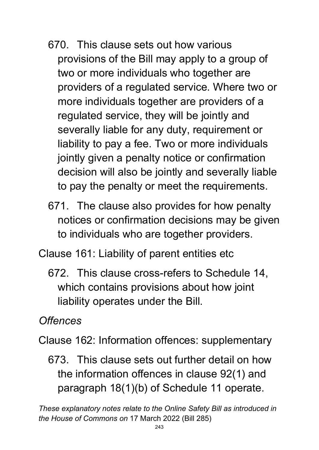- 670. This clause sets out how various provisions of the Bill may apply to a group of two or more individuals who together are providers of a regulated service. Where two or more individuals together are providers of a regulated service, they will be jointly and severally liable for any duty, requirement or liability to pay a fee. Two or more individuals jointly given a penalty notice or confirmation decision will also be jointly and severally liable to pay the penalty or meet the requirements.
- 671. The clause also provides for how penalty notices or confirmation decisions may be given to individuals who are together providers.
- Clause 161: Liability of parent entities etc
	- 672. This clause cross-refers to Schedule 14, which contains provisions about how joint liability operates under the Bill.

*Offences*

Clause 162: Information offences: supplementary

673. This clause sets out further detail on how the information offences in clause 92(1) and paragraph 18(1)(b) of Schedule 11 operate.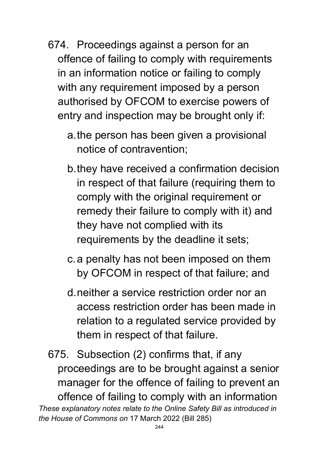- 674. Proceedings against a person for an offence of failing to comply with requirements in an information notice or failing to comply with any requirement imposed by a person authorised by OFCOM to exercise powers of entry and inspection may be brought only if:
	- a.the person has been given a provisional notice of contravention;
	- b.they have received a confirmation decision in respect of that failure (requiring them to comply with the original requirement or remedy their failure to comply with it) and they have not complied with its requirements by the deadline it sets;
	- c.a penalty has not been imposed on them by OFCOM in respect of that failure; and
	- d.neither a service restriction order nor an access restriction order has been made in relation to a regulated service provided by them in respect of that failure.

*These explanatory notes relate to the Online Safety Bill as introduced in the House of Commons on* 17 March 2022 (Bill 285) 675. Subsection (2) confirms that, if any proceedings are to be brought against a senior manager for the offence of failing to prevent an offence of failing to comply with an information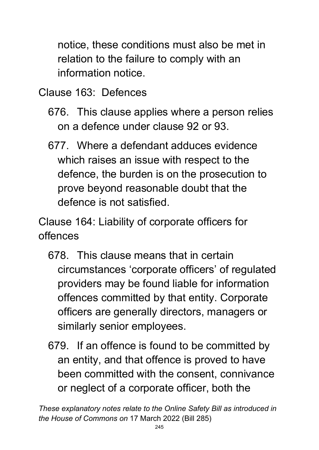notice, these conditions must also be met in relation to the failure to comply with an information notice.

Clause 163: Defences

- 676. This clause applies where a person relies on a defence under clause 92 or 93.
- 677. Where a defendant adduces evidence which raises an issue with respect to the defence, the burden is on the prosecution to prove beyond reasonable doubt that the defence is not satisfied.

Clause 164: Liability of corporate officers for offences

- 678. This clause means that in certain circumstances 'corporate officers' of regulated providers may be found liable for information offences committed by that entity. Corporate officers are generally directors, managers or similarly senior employees.
- 679. If an offence is found to be committed by an entity, and that offence is proved to have been committed with the consent, connivance or neglect of a corporate officer, both the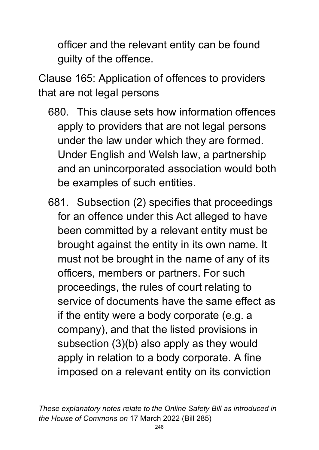officer and the relevant entity can be found guilty of the offence.

Clause 165: Application of offences to providers that are not legal persons

- 680. This clause sets how information offences apply to providers that are not legal persons under the law under which they are formed. Under English and Welsh law, a partnership and an unincorporated association would both be examples of such entities.
- 681. Subsection (2) specifies that proceedings for an offence under this Act alleged to have been committed by a relevant entity must be brought against the entity in its own name. It must not be brought in the name of any of its officers, members or partners. For such proceedings, the rules of court relating to service of documents have the same effect as if the entity were a body corporate (e.g. a company), and that the listed provisions in subsection (3)(b) also apply as they would apply in relation to a body corporate. A fine imposed on a relevant entity on its conviction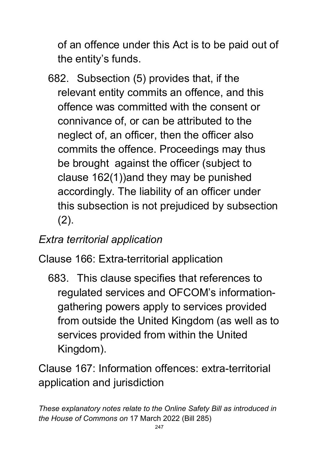of an offence under this Act is to be paid out of the entity's funds.

682. Subsection (5) provides that, if the relevant entity commits an offence, and this offence was committed with the consent or connivance of, or can be attributed to the neglect of, an officer, then the officer also commits the offence. Proceedings may thus be brought against the officer (subject to clause 162(1))and they may be punished accordingly. The liability of an officer under this subsection is not prejudiced by subsection (2).

### *Extra territorial application*

Clause 166: Extra-territorial application

683. This clause specifies that references to regulated services and OFCOM's informationgathering powers apply to services provided from outside the United Kingdom (as well as to services provided from within the United Kingdom).

Clause 167: Information offences: extra-territorial application and jurisdiction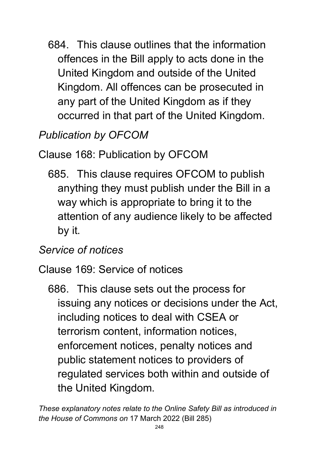684. This clause outlines that the information offences in the Bill apply to acts done in the United Kingdom and outside of the United Kingdom. All offences can be prosecuted in any part of the United Kingdom as if they occurred in that part of the United Kingdom.

*Publication by OFCOM*

Clause 168: Publication by OFCOM

685. This clause requires OFCOM to publish anything they must publish under the Bill in a way which is appropriate to bring it to the attention of any audience likely to be affected by it.

### *Service of notices*

Clause 169: Service of notices

686. This clause sets out the process for issuing any notices or decisions under the Act, including notices to deal with CSEA or terrorism content, information notices, enforcement notices, penalty notices and public statement notices to providers of regulated services both within and outside of the United Kingdom.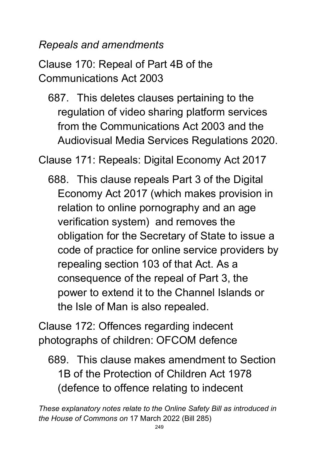*Repeals and amendments*

Clause 170: Repeal of Part 4B of the Communications Act 2003

687. This deletes clauses pertaining to the regulation of video sharing platform services from the Communications Act 2003 and the Audiovisual Media Services Regulations 2020.

Clause 171: Repeals: Digital Economy Act 2017

688. This clause repeals Part 3 of the Digital Economy Act 2017 (which makes provision in relation to online pornography and an age verification system) and removes the obligation for the Secretary of State to issue a code of practice for online service providers by repealing section 103 of that Act. As a consequence of the repeal of Part 3, the power to extend it to the Channel Islands or the Isle of Man is also repealed.

Clause 172: Offences regarding indecent photographs of children: OFCOM defence

689. This clause makes amendment to Section 1B of the Protection of Children Act 1978 (defence to offence relating to indecent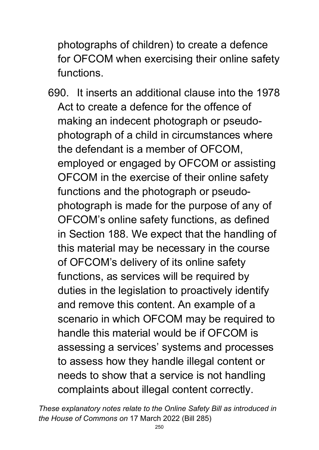photographs of children) to create a defence for OFCOM when exercising their online safety functions.

690. It inserts an additional clause into the 1978 Act to create a defence for the offence of making an indecent photograph or pseudophotograph of a child in circumstances where the defendant is a member of OFCOM, employed or engaged by OFCOM or assisting OFCOM in the exercise of their online safety functions and the photograph or pseudophotograph is made for the purpose of any of OFCOM's online safety functions, as defined in Section 188. We expect that the handling of this material may be necessary in the course of OFCOM's delivery of its online safety functions, as services will be required by duties in the legislation to proactively identify and remove this content. An example of a scenario in which OFCOM may be required to handle this material would be if OFCOM is assessing a services' systems and processes to assess how they handle illegal content or needs to show that a service is not handling complaints about illegal content correctly.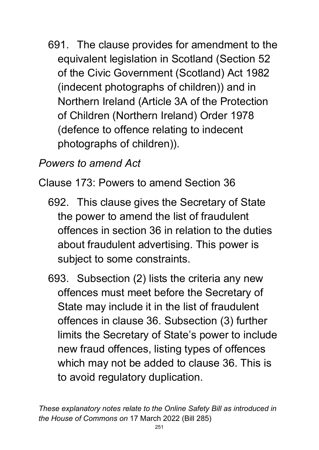691. The clause provides for amendment to the equivalent legislation in Scotland (Section 52 of the Civic Government (Scotland) Act 1982 (indecent photographs of children)) and in Northern Ireland (Article 3A of the Protection of Children (Northern Ireland) Order 1978 (defence to offence relating to indecent photographs of children)).

#### *Powers to amend Act*

Clause 173: Powers to amend Section 36

- 692. This clause gives the Secretary of State the power to amend the list of fraudulent offences in section 36 in relation to the duties about fraudulent advertising. This power is subject to some constraints.
- 693. Subsection (2) lists the criteria any new offences must meet before the Secretary of State may include it in the list of fraudulent offences in clause 36. Subsection (3) further limits the Secretary of State's power to include new fraud offences, listing types of offences which may not be added to clause 36. This is to avoid regulatory duplication.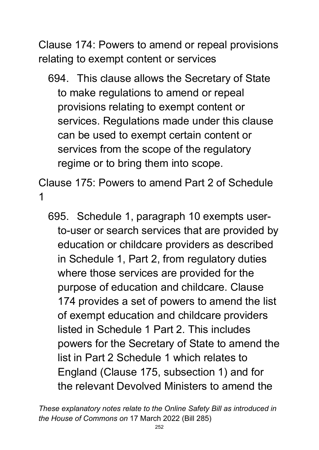Clause 174: Powers to amend or repeal provisions relating to exempt content or services

694. This clause allows the Secretary of State to make regulations to amend or repeal provisions relating to exempt content or services. Regulations made under this clause can be used to exempt certain content or services from the scope of the regulatory regime or to bring them into scope.

Clause 175: Powers to amend Part 2 of Schedule 1

695. Schedule 1, paragraph 10 exempts userto-user or search services that are provided by education or childcare providers as described in Schedule 1, Part 2, from regulatory duties where those services are provided for the purpose of education and childcare. Clause 174 provides a set of powers to amend the list of exempt education and childcare providers listed in Schedule 1 Part 2. This includes powers for the Secretary of State to amend the list in Part 2 Schedule 1 which relates to England (Clause 175, subsection 1) and for the relevant Devolved Ministers to amend the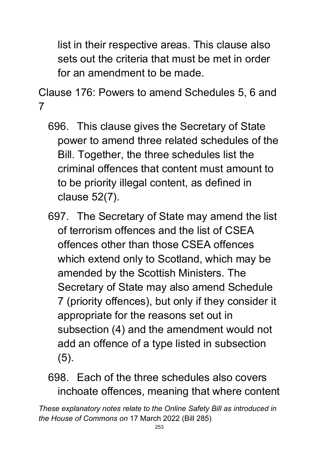list in their respective areas. This clause also sets out the criteria that must be met in order for an amendment to be made.

Clause 176: Powers to amend Schedules 5, 6 and 7

- 696. This clause gives the Secretary of State power to amend three related schedules of the Bill. Together, the three schedules list the criminal offences that content must amount to to be priority illegal content, as defined in clause 52(7).
- 697. The Secretary of State may amend the list of terrorism offences and the list of CSEA offences other than those CSEA offences which extend only to Scotland, which may be amended by the Scottish Ministers. The Secretary of State may also amend Schedule 7 (priority offences), but only if they consider it appropriate for the reasons set out in subsection (4) and the amendment would not add an offence of a type listed in subsection (5).

698. Each of the three schedules also covers inchoate offences, meaning that where content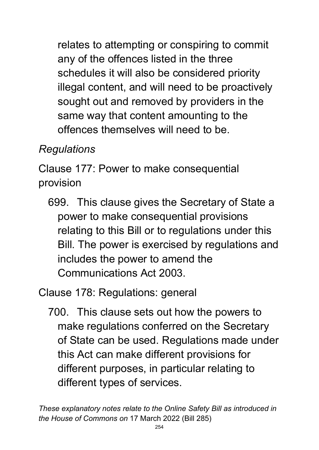relates to attempting or conspiring to commit any of the offences listed in the three schedules it will also be considered priority illegal content, and will need to be proactively sought out and removed by providers in the same way that content amounting to the offences themselves will need to be.

# *Regulations*

Clause 177: Power to make consequential provision

699. This clause gives the Secretary of State a power to make consequential provisions relating to this Bill or to regulations under this Bill. The power is exercised by regulations and includes the power to amend the Communications Act 2003.

Clause 178: Regulations: general

700. This clause sets out how the powers to make regulations conferred on the Secretary of State can be used. Regulations made under this Act can make different provisions for different purposes, in particular relating to different types of services.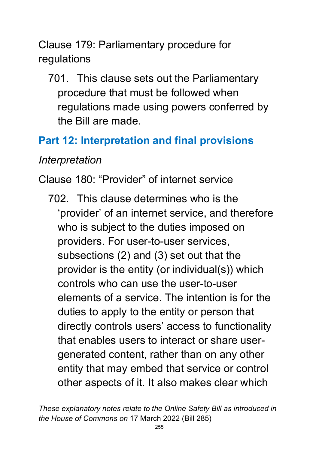Clause 179: Parliamentary procedure for regulations

701. This clause sets out the Parliamentary procedure that must be followed when regulations made using powers conferred by the Bill are made.

### **Part 12: Interpretation and final provisions**

#### *Interpretation*

Clause 180: "Provider" of internet service

702. This clause determines who is the 'provider' of an internet service, and therefore who is subject to the duties imposed on providers. For user-to-user services, subsections (2) and (3) set out that the provider is the entity (or individual(s)) which controls who can use the user-to-user elements of a service. The intention is for the duties to apply to the entity or person that directly controls users' access to functionality that enables users to interact or share usergenerated content, rather than on any other entity that may embed that service or control other aspects of it. It also makes clear which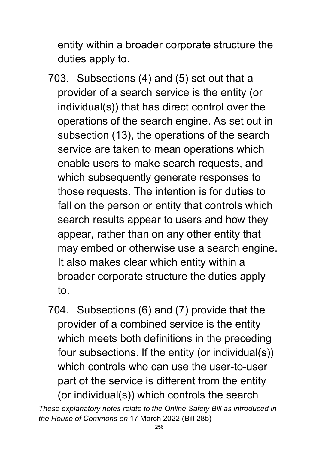entity within a broader corporate structure the duties apply to.

- 703. Subsections (4) and (5) set out that a provider of a search service is the entity (or individual(s)) that has direct control over the operations of the search engine. As set out in subsection (13), the operations of the search service are taken to mean operations which enable users to make search requests, and which subsequently generate responses to those requests. The intention is for duties to fall on the person or entity that controls which search results appear to users and how they appear, rather than on any other entity that may embed or otherwise use a search engine. It also makes clear which entity within a broader corporate structure the duties apply to.
- 704. Subsections (6) and (7) provide that the provider of a combined service is the entity which meets both definitions in the preceding four subsections. If the entity (or individual(s)) which controls who can use the user-to-user part of the service is different from the entity (or individual(s)) which controls the search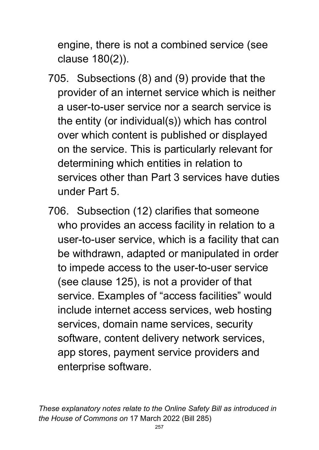engine, there is not a combined service (see clause 180(2)).

- 705. Subsections (8) and (9) provide that the provider of an internet service which is neither a user-to-user service nor a search service is the entity (or individual(s)) which has control over which content is published or displayed on the service. This is particularly relevant for determining which entities in relation to services other than Part 3 services have duties under Part 5.
- 706. Subsection (12) clarifies that someone who provides an access facility in relation to a user-to-user service, which is a facility that can be withdrawn, adapted or manipulated in order to impede access to the user-to-user service (see clause 125), is not a provider of that service. Examples of "access facilities" would include internet access services, web hosting services, domain name services, security software, content delivery network services, app stores, payment service providers and enterprise software.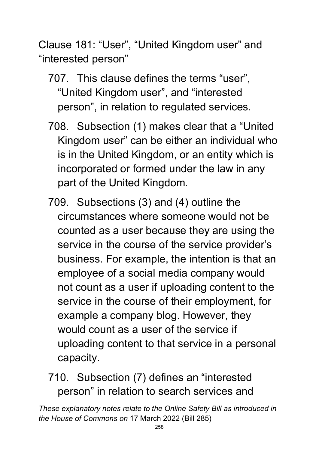Clause 181: "User", "United Kingdom user" and "interested person"

- 707. This clause defines the terms "user", "United Kingdom user", and "interested person", in relation to regulated services.
- 708. Subsection (1) makes clear that a "United Kingdom user" can be either an individual who is in the United Kingdom, or an entity which is incorporated or formed under the law in any part of the United Kingdom.
- 709. Subsections (3) and (4) outline the circumstances where someone would not be counted as a user because they are using the service in the course of the service provider's business. For example, the intention is that an employee of a social media company would not count as a user if uploading content to the service in the course of their employment, for example a company blog. However, they would count as a user of the service if uploading content to that service in a personal capacity.

710. Subsection (7) defines an "interested person" in relation to search services and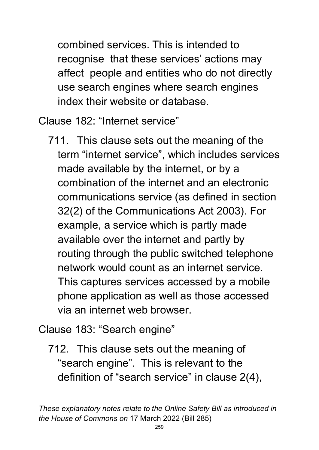combined services. This is intended to recognise that these services' actions may affect people and entities who do not directly use search engines where search engines index their website or database.

Clause 182: "Internet service"

711. This clause sets out the meaning of the term "internet service", which includes services made available by the internet, or by a combination of the internet and an electronic communications service (as defined in section 32(2) of the Communications Act 2003). For example, a service which is partly made available over the internet and partly by routing through the public switched telephone network would count as an internet service. This captures services accessed by a mobile phone application as well as those accessed via an internet web browser.

Clause 183: "Search engine"

712. This clause sets out the meaning of "search engine". This is relevant to the definition of "search service" in clause 2(4),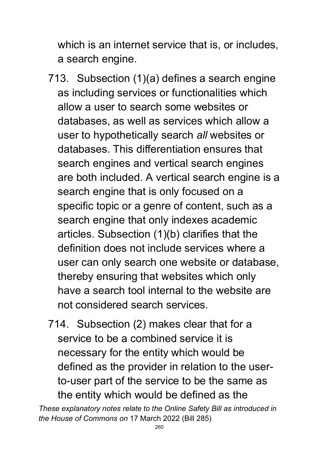which is an internet service that is, or includes, a search engine.

- 713. Subsection (1)(a) defines a search engine as including services or functionalities which allow a user to search some websites or databases, as well as services which allow a user to hypothetically search *all* websites or databases. This differentiation ensures that search engines and vertical search engines are both included. A vertical search engine is a search engine that is only focused on a specific topic or a genre of content, such as a search engine that only indexes academic articles. Subsection (1)(b) clarifies that the definition does not include services where a user can only search one website or database, thereby ensuring that websites which only have a search tool internal to the website are not considered search services.
- 714. Subsection (2) makes clear that for a service to be a combined service it is necessary for the entity which would be defined as the provider in relation to the userto-user part of the service to be the same as the entity which would be defined as the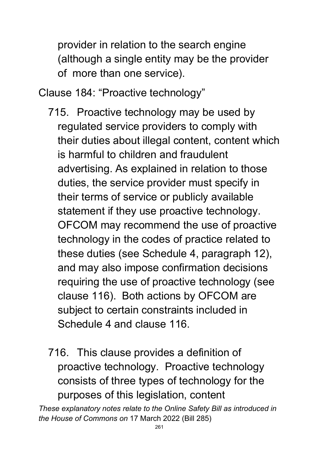provider in relation to the search engine (although a single entity may be the provider of more than one service).

Clause 184: "Proactive technology"

- 715. Proactive technology may be used by regulated service providers to comply with their duties about illegal content, content which is harmful to children and fraudulent advertising. As explained in relation to those duties, the service provider must specify in their terms of service or publicly available statement if they use proactive technology. OFCOM may recommend the use of proactive technology in the codes of practice related to these duties (see Schedule 4, paragraph 12), and may also impose confirmation decisions requiring the use of proactive technology (see clause 116). Both actions by OFCOM are subject to certain constraints included in Schedule 4 and clause 116.
- 716. This clause provides a definition of proactive technology. Proactive technology consists of three types of technology for the purposes of this legislation, content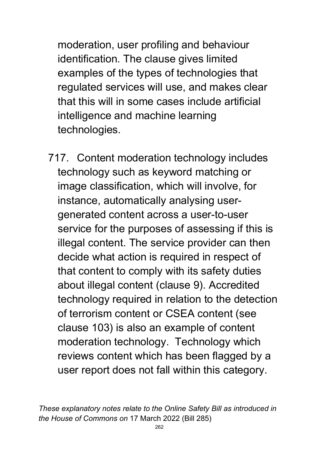moderation, user profiling and behaviour identification. The clause gives limited examples of the types of technologies that regulated services will use, and makes clear that this will in some cases include artificial intelligence and machine learning technologies.

717. Content moderation technology includes technology such as keyword matching or image classification, which will involve, for instance, automatically analysing usergenerated content across a user-to-user service for the purposes of assessing if this is illegal content. The service provider can then decide what action is required in respect of that content to comply with its safety duties about illegal content (clause 9). Accredited technology required in relation to the detection of terrorism content or CSEA content (see clause 103) is also an example of content moderation technology. Technology which reviews content which has been flagged by a user report does not fall within this category.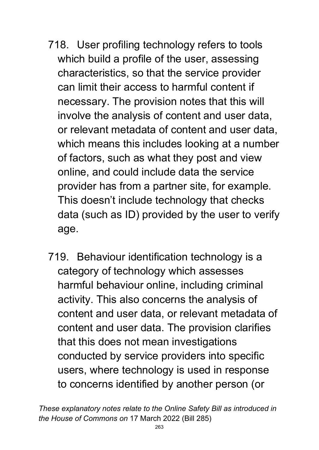- 718. User profiling technology refers to tools which build a profile of the user, assessing characteristics, so that the service provider can limit their access to harmful content if necessary. The provision notes that this will involve the analysis of content and user data, or relevant metadata of content and user data, which means this includes looking at a number of factors, such as what they post and view online, and could include data the service provider has from a partner site, for example. This doesn't include technology that checks data (such as ID) provided by the user to verify age.
- 719. Behaviour identification technology is a category of technology which assesses harmful behaviour online, including criminal activity. This also concerns the analysis of content and user data, or relevant metadata of content and user data. The provision clarifies that this does not mean investigations conducted by service providers into specific users, where technology is used in response to concerns identified by another person (or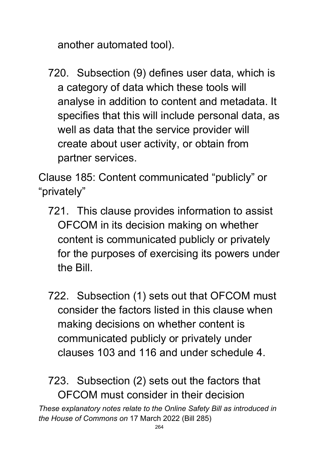another automated tool).

720. Subsection (9) defines user data, which is a category of data which these tools will analyse in addition to content and metadata. It specifies that this will include personal data, as well as data that the service provider will create about user activity, or obtain from partner services.

Clause 185: Content communicated "publicly" or "privately"

- 721. This clause provides information to assist OFCOM in its decision making on whether content is communicated publicly or privately for the purposes of exercising its powers under the Bill.
- 722. Subsection (1) sets out that OFCOM must consider the factors listed in this clause when making decisions on whether content is communicated publicly or privately under clauses 103 and 116 and under schedule 4.

*These explanatory notes relate to the Online Safety Bill as introduced in*  723. Subsection (2) sets out the factors that OFCOM must consider in their decision

*the House of Commons on* 17 March 2022 (Bill 285)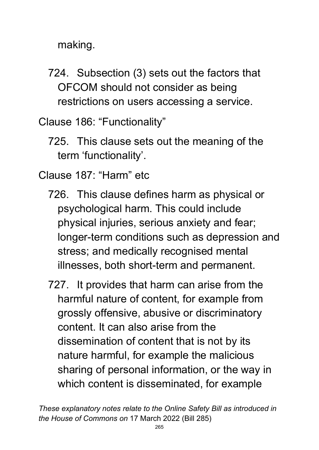making.

724. Subsection (3) sets out the factors that OFCOM should not consider as being restrictions on users accessing a service.

Clause 186: "Functionality"

725. This clause sets out the meaning of the term 'functionality'.

Clause 187: "Harm" etc

- 726. This clause defines harm as physical or psychological harm. This could include physical injuries, serious anxiety and fear; longer-term conditions such as depression and stress; and medically recognised mental illnesses, both short-term and permanent.
- 727. It provides that harm can arise from the harmful nature of content, for example from grossly offensive, abusive or discriminatory content. It can also arise from the dissemination of content that is not by its nature harmful, for example the malicious sharing of personal information, or the way in which content is disseminated, for example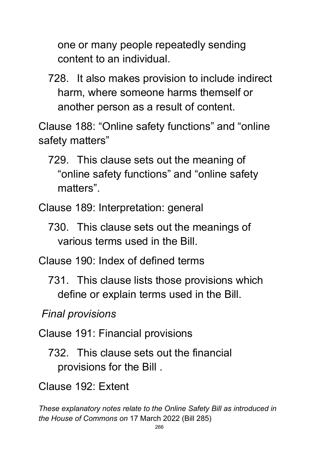one or many people repeatedly sending content to an individual.

728. It also makes provision to include indirect harm, where someone harms themself or another person as a result of content.

Clause 188: "Online safety functions" and "online safety matters"

- 729. This clause sets out the meaning of "online safety functions" and "online safety matters".
- Clause 189: Interpretation: general
	- 730. This clause sets out the meanings of various terms used in the Bill.

Clause 190: Index of defined terms

731. This clause lists those provisions which define or explain terms used in the Bill.

*Final provisions*

- Clause 191: Financial provisions
	- 732. This clause sets out the financial provisions for the Bill .
- Clause 192: Extent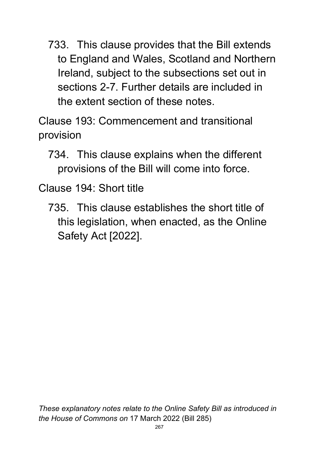733. This clause provides that the Bill extends to England and Wales, Scotland and Northern Ireland, subject to the subsections set out in sections 2-7. Further details are included in the extent section of these notes.

Clause 193: Commencement and transitional provision

734. This clause explains when the different provisions of the Bill will come into force.

Clause 194: Short title

735. This clause establishes the short title of this legislation, when enacted, as the Online Safety Act [2022].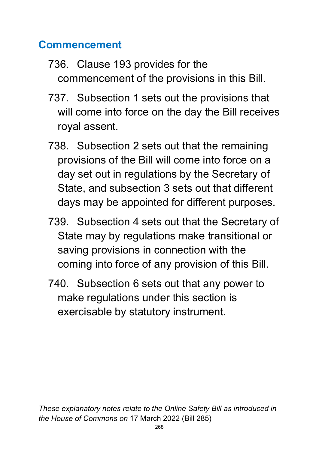### **Commencement**

- 736. Clause 193 provides for the commencement of the provisions in this Bill.
- 737. Subsection 1 sets out the provisions that will come into force on the day the Bill receives royal assent.
- 738. Subsection 2 sets out that the remaining provisions of the Bill will come into force on a day set out in regulations by the Secretary of State, and subsection 3 sets out that different days may be appointed for different purposes.
- 739. Subsection 4 sets out that the Secretary of State may by regulations make transitional or saving provisions in connection with the coming into force of any provision of this Bill.
- 740. Subsection 6 sets out that any power to make regulations under this section is exercisable by statutory instrument.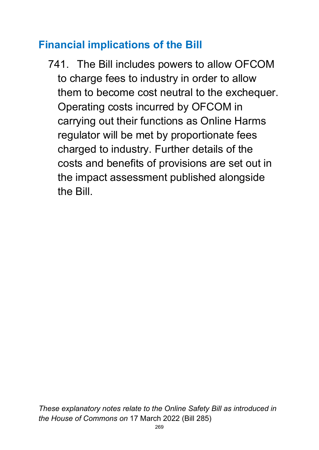### **Financial implications of the Bill**

741. The Bill includes powers to allow OFCOM to charge fees to industry in order to allow them to become cost neutral to the exchequer. Operating costs incurred by OFCOM in carrying out their functions as Online Harms regulator will be met by proportionate fees charged to industry. Further details of the costs and benefits of provisions are set out in the impact assessment published alongside the Bill.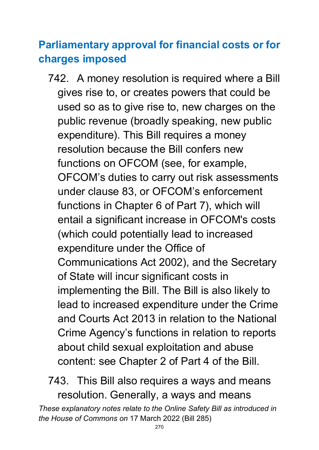# **Parliamentary approval for financial costs or for charges imposed**

742. A money resolution is required where a Bill gives rise to, or creates powers that could be used so as to give rise to, new charges on the public revenue (broadly speaking, new public expenditure). This Bill requires a money resolution because the Bill confers new functions on OFCOM (see, for example, OFCOM's duties to carry out risk assessments under clause 83, or OFCOM's enforcement functions in Chapter 6 of Part 7), which will entail a significant increase in OFCOM's costs (which could potentially lead to increased expenditure under the Office of Communications Act 2002), and the Secretary of State will incur significant costs in implementing the Bill. The Bill is also likely to lead to increased expenditure under the Crime and Courts Act 2013 in relation to the National Crime Agency's functions in relation to reports about child sexual exploitation and abuse content: see Chapter 2 of Part 4 of the Bill.

743. This Bill also requires a ways and means resolution. Generally, a ways and means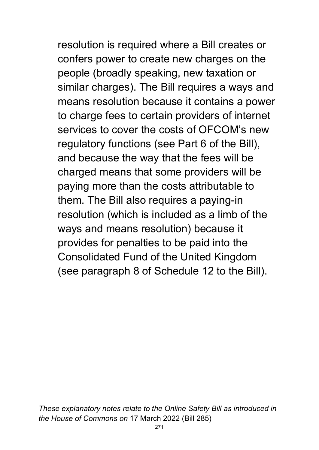resolution is required where a Bill creates or confers power to create new charges on the people (broadly speaking, new taxation or similar charges). The Bill requires a ways and means resolution because it contains a power to charge fees to certain providers of internet services to cover the costs of OFCOM's new regulatory functions (see Part 6 of the Bill), and because the way that the fees will be charged means that some providers will be paying more than the costs attributable to them. The Bill also requires a paying-in resolution (which is included as a limb of the ways and means resolution) because it provides for penalties to be paid into the Consolidated Fund of the United Kingdom (see paragraph 8 of Schedule 12 to the Bill).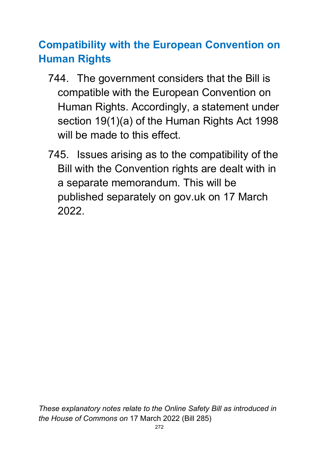# **Compatibility with the European Convention on Human Rights**

- 744. The government considers that the Bill is compatible with the European Convention on Human Rights. Accordingly, a statement under section 19(1)(a) of the Human Rights Act 1998 will be made to this effect.
- 745. Issues arising as to the compatibility of the Bill with the Convention rights are dealt with in a separate memorandum. This will be published separately on gov.uk on 17 March 2022.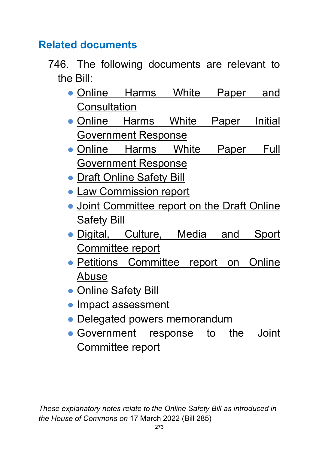### **Related documents**

- 746. The following documents are relevant to the Bill:
	- Online Harms White Paper and **[Consultation](https://assets.publishing.service.gov.uk/government/uploads/system/uploads/attachment_data/file/793360/Online_Harms_White_Paper.pdf)**
	- Online Harms White Paper Initial [Government Response](https://www.gov.uk/government/consultations/online-harms-white-paper/public-feedback/online-harms-white-paper-initial-consultation-response)
	- Online Harms White Paper Full [Government Response](https://www.gov.uk/government/consultations/online-harms-white-paper/outcome/online-harms-white-paper-full-government-response)
	- [Draft Online Safety Bill](https://assets.publishing.service.gov.uk/government/uploads/system/uploads/attachment_data/file/985033/Draft_Online_Safety_Bill_Bookmarked.pdf)
	- [Law Commission report](https://s3-eu-west-2.amazonaws.com/lawcom-prod-storage-11jsxou24uy7q/uploads/2021/07/Modernising-Communications-Offences-2021-Law-Com-No-399.pdf)
	- Joint Committee report on the Draft Online [Safety Bill](https://committees.parliament.uk/publications/8206/documents/84092/default/)
	- Digital, Culture, Media and Sport [Committee report](https://committees.parliament.uk/publications/8609/documents/86961/default/)
	- Petitions Committee report on Online [Abuse](https://committees.parliament.uk/publications/8669/documents/89002/default/)
	- Online Safety Bill
	- Impact assessment
	- Delegated powers memorandum
	- Government response to the Joint Committee report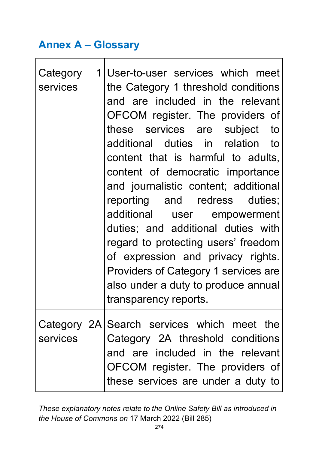### **Annex A – Glossary**

| Category<br>services | 1 User-to-user services which meet<br>the Category 1 threshold conditions<br>and are included in the relevant<br>OFCOM register. The providers of<br>these services are subject to<br>additional duties in relation to<br>content that is harmful to adults,<br>content of democratic importance<br>and journalistic content; additional<br>reporting and redress duties;<br>additional user empowerment<br>duties; and additional duties with<br>regard to protecting users' freedom<br>of expression and privacy rights.<br>Providers of Category 1 services are<br>also under a duty to produce annual<br>transparency reports. |
|----------------------|------------------------------------------------------------------------------------------------------------------------------------------------------------------------------------------------------------------------------------------------------------------------------------------------------------------------------------------------------------------------------------------------------------------------------------------------------------------------------------------------------------------------------------------------------------------------------------------------------------------------------------|
| services             | Category 2A Search services which meet the<br>Category 2A threshold conditions<br>and are included in the relevant<br>OFCOM register. The providers of<br>these services are under a duty to                                                                                                                                                                                                                                                                                                                                                                                                                                       |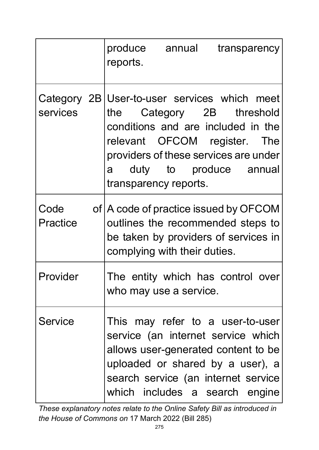|                         | produce annual<br>reports.   | transparency                                                                                                                                                                                                               |
|-------------------------|------------------------------|----------------------------------------------------------------------------------------------------------------------------------------------------------------------------------------------------------------------------|
| Category 2B<br>services | transparency reports.        | User-to-user services which meet<br>the Category 2B threshold<br>conditions and are included in the<br>relevant OFCOM register. The<br>providers of these services are under<br>a duty to produce annual                   |
| Code<br>Practice        | complying with their duties. | of   A code of practice issued by OFCOM<br>outlines the recommended steps to<br>be taken by providers of services in                                                                                                       |
| Provider                | who may use a service.       | The entity which has control over                                                                                                                                                                                          |
| <b>Service</b>          |                              | This may refer to a user-to-user<br>service (an internet service which<br>allows user-generated content to be<br>uploaded or shared by a user), a<br>search service (an internet service<br>which includes a search engine |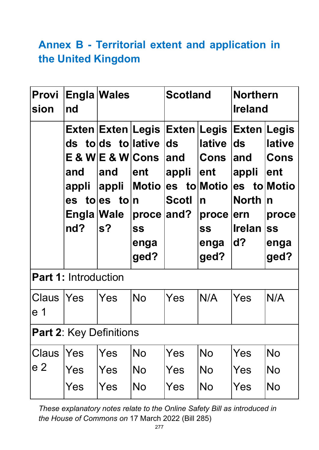# **Annex B - Territorial extent and application in the United Kingdom**

| Provi<br>sion     | nd                                | <b>Engla Wales</b>                                                                                         | <b>Scotland</b>                                                 |                                                                            |                                                                                                                              | <b>Northern</b><br><b>Ireland</b>                                                |                                                                                                |
|-------------------|-----------------------------------|------------------------------------------------------------------------------------------------------------|-----------------------------------------------------------------|----------------------------------------------------------------------------|------------------------------------------------------------------------------------------------------------------------------|----------------------------------------------------------------------------------|------------------------------------------------------------------------------------------------|
|                   | and<br>appli<br>Engla Wale<br>nd? | ds tolds tollative ds<br>$E$ & W $E$ & W $C$ ons<br>and<br><b>appli</b><br>es toles toln<br>s <sub>2</sub> | ∣ent<br><b>Motio</b><br>proce and?<br><b>SS</b><br>enga<br>ged? | Exten Exten Legis Exten Legis Exten Legis<br>land<br>appli<br><b>Scotl</b> | <b>lative</b><br><b>Cons</b><br>∣ent<br>es to Motio es to Motio<br>$\mathsf{n}$<br>$\bm{proce}$<br><b>SS</b><br>enga<br>ged? | $\mathsf{Ids}$<br>land<br>appli<br><b>North</b><br>ern<br><b>Irelan</b><br>$d$ ? | <b>lative</b><br>Cons<br>lent<br>$\overline{\mathsf{n}}$<br>proce<br><b>SS</b><br>enga<br>ged? |
|                   | <b>Part 1: Introduction</b>       |                                                                                                            |                                                                 |                                                                            |                                                                                                                              |                                                                                  |                                                                                                |
| Claus  Yes<br>e 1 |                                   | Yes                                                                                                        | <b>No</b>                                                       | Yes                                                                        | N/A                                                                                                                          | Yes                                                                              | N/A                                                                                            |
|                   | <b>Part 2: Key Definitions</b>    |                                                                                                            |                                                                 |                                                                            |                                                                                                                              |                                                                                  |                                                                                                |
| Claus<br>e 2      | Yes<br>Yes<br>Yes                 | Yes<br>Yes<br>Yes                                                                                          | <b>No</b><br><b>No</b><br><b>No</b>                             | Yes<br>Yes<br>Yes                                                          | <b>No</b><br><b>No</b><br>No                                                                                                 | Yes<br>Yes<br>Yes                                                                | <b>No</b><br>No<br><b>No</b>                                                                   |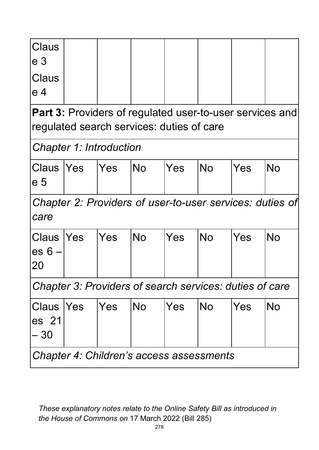| <b>Claus</b><br>e <sub>3</sub> |            |                                                                                                              |           |     |           |     |                                                          |
|--------------------------------|------------|--------------------------------------------------------------------------------------------------------------|-----------|-----|-----------|-----|----------------------------------------------------------|
| Claus<br>e 4                   |            |                                                                                                              |           |     |           |     |                                                          |
|                                |            | <b>Part 3: Providers of regulated user-to-user services and</b><br>regulated search services: duties of care |           |     |           |     |                                                          |
|                                |            | <b>Chapter 1: Introduction</b>                                                                               |           |     |           |     |                                                          |
| Claus  Yes<br>e 5              |            | <b>Yes</b>                                                                                                   | <b>No</b> | Yes | <b>No</b> | Yes | <b>No</b>                                                |
| care                           |            |                                                                                                              |           |     |           |     | Chapter 2: Providers of user-to-user services: duties of |
| Claus<br>$es 6 -$<br>20        | <b>Yes</b> | Yes                                                                                                          | <b>No</b> | Yes | <b>No</b> | Yes | <b>No</b>                                                |
|                                |            | Chapter 3: Providers of search services: duties of care                                                      |           |     |           |     |                                                          |
| <b>Claus</b><br>es 21<br>- 30  | <b>Yes</b> | lYes                                                                                                         | <b>No</b> | Yes | No.       | Yes | No                                                       |
|                                |            | Chapter 4: Children's access assessments                                                                     |           |     |           |     |                                                          |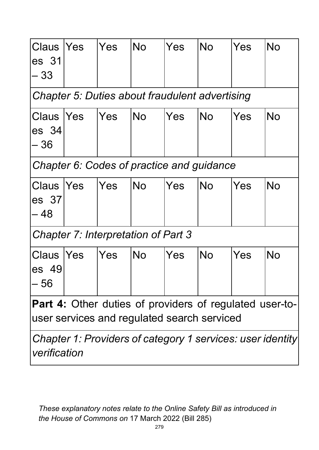| Claus<br>es 31<br>- 33                                                                                        | <b>Yes</b>                                 | <b>Yes</b> | <b>No</b> | Yes | <b>No</b>                                             | Yes | <b>No</b>                                                  |
|---------------------------------------------------------------------------------------------------------------|--------------------------------------------|------------|-----------|-----|-------------------------------------------------------|-----|------------------------------------------------------------|
|                                                                                                               |                                            |            |           |     | <b>Chapter 5: Duties about fraudulent advertising</b> |     |                                                            |
| Claus  Yes<br>es 34<br>- 36                                                                                   |                                            | lYes       | No        | Yes | No.                                                   | Yes | <b>No</b>                                                  |
|                                                                                                               |                                            |            |           |     | Chapter 6: Codes of practice and guidance             |     |                                                            |
| <b>Claus  Yes</b><br>es 37<br>– 48                                                                            |                                            | lYes       | No.       | Yes | <b>No</b>                                             | Yes | <b>No</b>                                                  |
|                                                                                                               | <b>Chapter 7: Interpretation of Part 3</b> |            |           |     |                                                       |     |                                                            |
| <b>Claus  Yes</b><br>es 49<br>- 56                                                                            |                                            | lYes       | <b>No</b> | Yes | <b>No</b>                                             | Yes | <b>No</b>                                                  |
| <b>Part 4:</b> Other duties of providers of regulated user-to-<br>user services and regulated search serviced |                                            |            |           |     |                                                       |     |                                                            |
| verification                                                                                                  |                                            |            |           |     |                                                       |     | Chapter 1: Providers of category 1 services: user identity |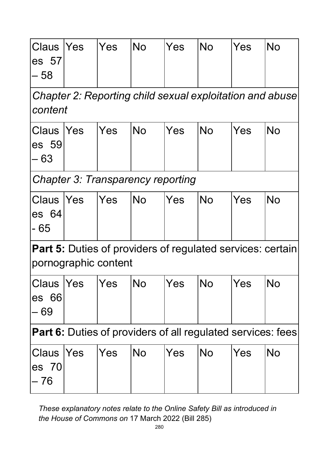| Claus  Yes<br>$\left  \mathsf{es}\right $ 57<br>l- 58        |                                                                     | Yes        | <b>No</b>                                                         | Yes | <b>No</b> | Yes | <b>No</b> |  |  |  |
|--------------------------------------------------------------|---------------------------------------------------------------------|------------|-------------------------------------------------------------------|-----|-----------|-----|-----------|--|--|--|
|                                                              | Chapter 2: Reporting child sexual exploitation and abuse<br>content |            |                                                                   |     |           |     |           |  |  |  |
| <b>Claus  Yes</b><br>$\left  \mathsf{es}\right $ 59<br>$-63$ |                                                                     | Yes        | <b>No</b>                                                         | Yes | <b>No</b> | Yes | <b>No</b> |  |  |  |
|                                                              |                                                                     |            | <b>Chapter 3: Transparency reporting</b>                          |     |           |     |           |  |  |  |
| <b>Claus</b><br>$\left  \mathsf{es}\right $ 64<br> - 65      | <b>IYes</b>                                                         | <b>Yes</b> | <b>No</b>                                                         | Yes | <b>No</b> | Yes | <b>No</b> |  |  |  |
|                                                              | pornographic content                                                |            | <b>Part 5:</b> Duties of providers of regulated services: certain |     |           |     |           |  |  |  |
| Claus  Yes<br>$\mathsf{les}$ 66<br>l— 69                     |                                                                     | Yes        | <b>No</b>                                                         | Yes | <b>No</b> | Yes | <b>No</b> |  |  |  |
|                                                              | <b>Part 6:</b> Duties of providers of all regulated services: fees  |            |                                                                   |     |           |     |           |  |  |  |
| Claus  Yes<br>$\left  \mathsf{es}\right $ 70<br>– 76         |                                                                     | Yes        | <b>No</b>                                                         | Yes | <b>No</b> | Yes | <b>No</b> |  |  |  |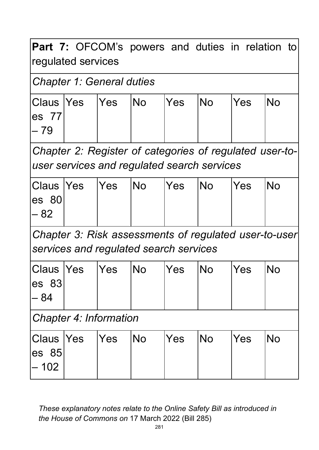Part 7: OFCOM's powers and duties in relation to regulated services

#### *Chapter 1: General duties*

|         | Claus Yes Yes No | Yes | No | Yes | IN <sub>O</sub> |
|---------|------------------|-----|----|-----|-----------------|
| les 771 |                  |     |    |     |                 |
| l– 79   |                  |     |    |     |                 |
|         |                  |     |    |     |                 |

*Chapter 2: Register of categories of regulated user-touser services and regulated search services*

|         | Claus  Yes  Yes  No | $ Yes$ $ No$ | <b>Yes</b> | <b>INo</b> |
|---------|---------------------|--------------|------------|------------|
| les 801 |                     |              |            |            |
| l– 82   |                     |              |            |            |
|         |                     |              |            |            |

*Chapter 3: Risk assessments of regulated user-to-user services and regulated search services*

| Claus  Yes  Yes  No |  | Yes | <b>No</b> | <b>Yes</b> | INo |
|---------------------|--|-----|-----------|------------|-----|
| les 831             |  |     |           |            |     |
| l- 84               |  |     |           |            |     |

*Chapter 4: Information*

| Claus Yes Yes                  |  | <b>INo</b> | <b>Yes</b> | INo | Yes | <b>INo</b> |
|--------------------------------|--|------------|------------|-----|-----|------------|
| $\left  \text{es } 85 \right $ |  |            |            |     |     |            |
| $ -102 $                       |  |            |            |     |     |            |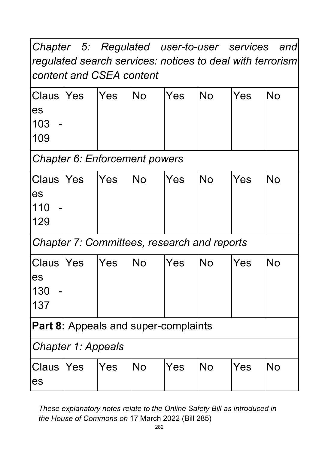*Chapter 5: Regulated user-to-user services and regulated search services: notices to deal with terrorism content and CSEA content*

|                        | Claus  Yes  Yes | <b>No</b> | Yes | <b>No</b> | Yes | <b>No</b> |
|------------------------|-----------------|-----------|-----|-----------|-----|-----------|
| les                    |                 |           |     |           |     |           |
| 103 <br>$\blacksquare$ |                 |           |     |           |     |           |
| 109                    |                 |           |     |           |     |           |
|                        |                 |           |     |           |     |           |

*Chapter 6: Enforcement powers*

|     | Claus  Yes  Yes  No | Yes | No | Yes | <b>No</b> |
|-----|---------------------|-----|----|-----|-----------|
| les |                     |     |    |     |           |
| 110 |                     |     |    |     |           |
| 129 |                     |     |    |     |           |

*Chapter 7: Committees, research and reports*

|                       | Claus  Yes  Yes | No | Yes | No | Yes | No |
|-----------------------|-----------------|----|-----|----|-----|----|
| les                   |                 |    |     |    |     |    |
| 130<br>$\blacksquare$ |                 |    |     |    |     |    |
| 137                   |                 |    |     |    |     |    |

**Part 8:** Appeals and super-complaints

*Chapter 1: Appeals*

| Claus Yes Yes |  | <b>INo</b> | <b>Yes</b> | No | Yes | 'No |
|---------------|--|------------|------------|----|-----|-----|
| les           |  |            |            |    |     |     |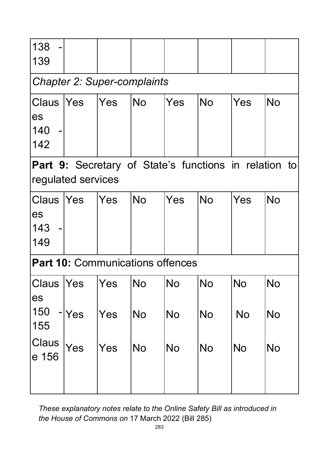| 138<br>139                                                                  |              |            |                                         |                        |                        |                 |                        |  |  |  |  |  |
|-----------------------------------------------------------------------------|--------------|------------|-----------------------------------------|------------------------|------------------------|-----------------|------------------------|--|--|--|--|--|
| <b>Chapter 2: Super-complaints</b>                                          |              |            |                                         |                        |                        |                 |                        |  |  |  |  |  |
| Claus<br>es<br>140<br>142                                                   | <b>Yes</b>   | Yes        | <b>No</b>                               | Yes                    | <b>No</b>              | Yes             | <b>No</b>              |  |  |  |  |  |
| Part 9: Secretary of State's functions in relation to<br>regulated services |              |            |                                         |                        |                        |                 |                        |  |  |  |  |  |
| Claus  Yes<br>es<br>143<br>149                                              |              | Yes        | <b>No</b>                               | Yes                    | <b>No</b>              | Yes             | <b>No</b>              |  |  |  |  |  |
|                                                                             |              |            | <b>Part 10: Communications offences</b> |                        |                        |                 |                        |  |  |  |  |  |
| <b>Claus  Yes</b><br>es<br>150<br>155                                       | $\lceil$ Yes | Yes<br>Yes | No<br><b>No</b>                         | <b>No</b><br><b>No</b> | <b>No</b><br><b>No</b> | No<br><b>No</b> | <b>No</b><br><b>No</b> |  |  |  |  |  |
| Claus<br>e 156                                                              | Yes          | Yes        | <b>No</b>                               | <b>No</b>              | <b>No</b>              | <b>No</b>       | <b>No</b>              |  |  |  |  |  |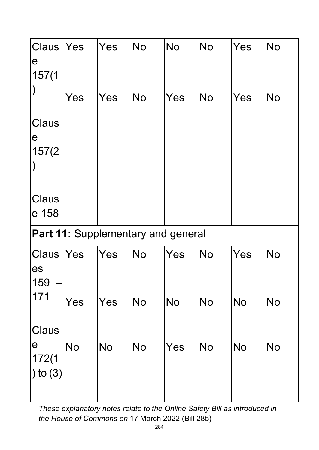| Claus<br>$\mathbf e$<br>157(1) | <b>Yes</b>               | Yes       | <b>No</b>                | <b>No</b>                                 | <b>No</b> | Yes       | <b>No</b> |
|--------------------------------|--------------------------|-----------|--------------------------|-------------------------------------------|-----------|-----------|-----------|
|                                | Yes                      | Yes       | <b>No</b>                | Yes                                       | <b>No</b> | Yes       | <b>No</b> |
| Claus<br>$\mathbf e$<br>157(2) |                          |           |                          |                                           |           |           |           |
| Claus<br>e 158                 |                          |           |                          |                                           |           |           |           |
|                                |                          |           |                          | <b>Part 11: Supplementary and general</b> |           |           |           |
| Claus  Yes<br>es<br>159        |                          | Yes       | <b>No</b>                | Yes                                       | <b>No</b> | Yes       | <b>No</b> |
| 171                            | Yes                      | Yes       | $\overline{\textsf{No}}$ | No                                        | <b>No</b> | No        | No        |
| Claus<br>$\mathbf e$<br>172(1  | $\overline{\mathsf{No}}$ | <b>No</b> | <b>No</b>                | Yes                                       | <b>No</b> | <b>No</b> | <b>No</b> |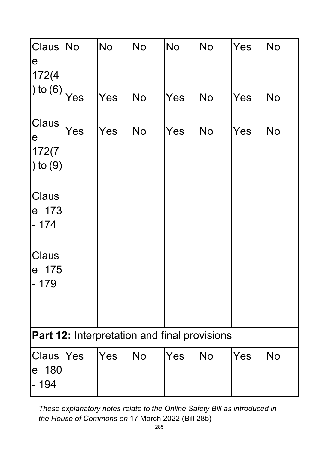| Claus<br>$\mathbf e$<br>172(4)                      | No         | No  | <b>No</b> | <b>No</b> | <b>No</b> | Yes | <b>No</b> |  |  |  |
|-----------------------------------------------------|------------|-----|-----------|-----------|-----------|-----|-----------|--|--|--|
| $\ket{0}$ to (6) $\ket{Yes}$                        |            | Yes | <b>No</b> | Yes       | <b>No</b> | Yes | <b>No</b> |  |  |  |
| Claus<br>$\mathbf e$<br>172(7)<br>$\vert$ ) to (9)  | Yes        | Yes | <b>No</b> | Yes       | <b>No</b> | Yes | <b>No</b> |  |  |  |
| Claus<br>e 173<br>$-174$                            |            |     |           |           |           |     |           |  |  |  |
| Claus<br>175<br>$\mathbf e$<br>$-179$               |            |     |           |           |           |     |           |  |  |  |
| <b>Part 12: Interpretation and final provisions</b> |            |     |           |           |           |     |           |  |  |  |
| Claus<br>e 180<br>- 194                             | <b>Yes</b> | Yes | <b>No</b> | Yes       | <b>No</b> | Yes | <b>No</b> |  |  |  |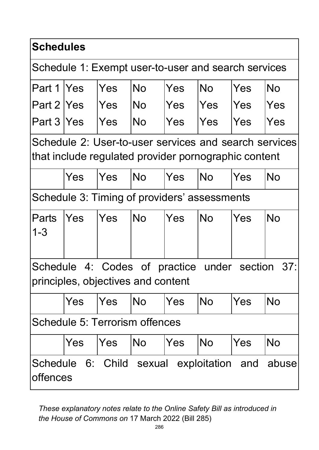| <b>Schedules</b>                                                                                              |                                                                                          |     |           |     |                                              |            |            |  |  |  |  |
|---------------------------------------------------------------------------------------------------------------|------------------------------------------------------------------------------------------|-----|-----------|-----|----------------------------------------------|------------|------------|--|--|--|--|
| Schedule 1: Exempt user-to-user and search services                                                           |                                                                                          |     |           |     |                                              |            |            |  |  |  |  |
| Part 1   Yes                                                                                                  |                                                                                          | Yes | <b>No</b> | Yes | <b>No</b>                                    | Yes        | <b>No</b>  |  |  |  |  |
| Part 2 Yes                                                                                                    |                                                                                          | Yes | <b>No</b> | Yes | Yes                                          | <b>Yes</b> | <b>Yes</b> |  |  |  |  |
| Part 3 Yes                                                                                                    |                                                                                          | Yes | <b>No</b> | Yes | Yes                                          | Yes        | Yes        |  |  |  |  |
| Schedule 2: User-to-user services and search services<br>that include regulated provider pornographic content |                                                                                          |     |           |     |                                              |            |            |  |  |  |  |
|                                                                                                               | Yes                                                                                      | Yes | <b>No</b> | Yes | <b>No</b>                                    | Yes        | <b>No</b>  |  |  |  |  |
|                                                                                                               |                                                                                          |     |           |     | Schedule 3: Timing of providers' assessments |            |            |  |  |  |  |
| Parts<br>$1 - 3$                                                                                              | Yes                                                                                      | Yes | No        | Yes | No.                                          | Yes        | <b>No</b>  |  |  |  |  |
|                                                                                                               | Schedule 4: Codes of practice under section<br>37:<br>principles, objectives and content |     |           |     |                                              |            |            |  |  |  |  |
|                                                                                                               | Yes                                                                                      | Yes | <b>No</b> | Yes | <b>No</b>                                    | Yes        | <b>No</b>  |  |  |  |  |
|                                                                                                               | Schedule 5: Terrorism offences                                                           |     |           |     |                                              |            |            |  |  |  |  |
|                                                                                                               | Yes                                                                                      | Yes | <b>No</b> | Yes | <b>No</b>                                    | Yes        | <b>No</b>  |  |  |  |  |
|                                                                                                               | Schedule 6: Child sexual exploitation and<br>abuse<br>offences                           |     |           |     |                                              |            |            |  |  |  |  |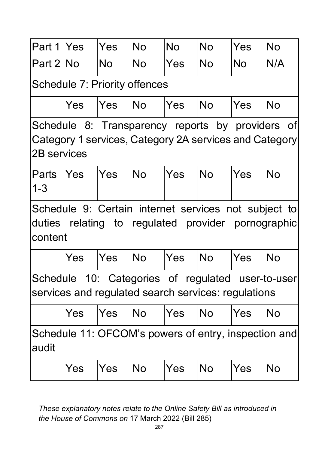| Part 1 Yes                                                                                                                       |                                                                                                          | Yes        | <b>No</b> | <b>No</b> | <b>No</b> | Yes       | <b>No</b>                                                                                                  |  |  |  |  |
|----------------------------------------------------------------------------------------------------------------------------------|----------------------------------------------------------------------------------------------------------|------------|-----------|-----------|-----------|-----------|------------------------------------------------------------------------------------------------------------|--|--|--|--|
| Part 2 INo                                                                                                                       |                                                                                                          | No         | No        | Yes       | No        | <b>No</b> | N/A                                                                                                        |  |  |  |  |
| <b>Schedule 7: Priority offences</b>                                                                                             |                                                                                                          |            |           |           |           |           |                                                                                                            |  |  |  |  |
|                                                                                                                                  | Yes                                                                                                      | lYes       | INo       | Yes       | <b>No</b> | Yes       | <b>No</b>                                                                                                  |  |  |  |  |
| Schedule 8: Transparency reports by providers of<br>Category 1 services, Category 2A services and Category<br><b>2B</b> services |                                                                                                          |            |           |           |           |           |                                                                                                            |  |  |  |  |
| <b>Parts</b><br>$1 - 3$                                                                                                          | lYes                                                                                                     | <b>Yes</b> | <b>No</b> | Yes       | <b>No</b> | Yes       | <b>No</b>                                                                                                  |  |  |  |  |
| content                                                                                                                          |                                                                                                          |            |           |           |           |           | Schedule 9: Certain internet services not subject to<br>duties relating to regulated provider pornographic |  |  |  |  |
|                                                                                                                                  | Yes                                                                                                      | Yes        | <b>No</b> | Yes       | <b>No</b> | Yes       | <b>No</b>                                                                                                  |  |  |  |  |
|                                                                                                                                  | Schedule 10: Categories of regulated user-to-user<br>services and regulated search services: regulations |            |           |           |           |           |                                                                                                            |  |  |  |  |
|                                                                                                                                  | Yes                                                                                                      | Yes        | <b>No</b> | Yes       | <b>No</b> | Yes       | <b>No</b>                                                                                                  |  |  |  |  |
| audit                                                                                                                            |                                                                                                          |            |           |           |           |           | Schedule 11: OFCOM's powers of entry, inspection and                                                       |  |  |  |  |
|                                                                                                                                  | Yes                                                                                                      | <b>Yes</b> | <b>No</b> | Yes       | <b>No</b> | Yes       | <b>No</b>                                                                                                  |  |  |  |  |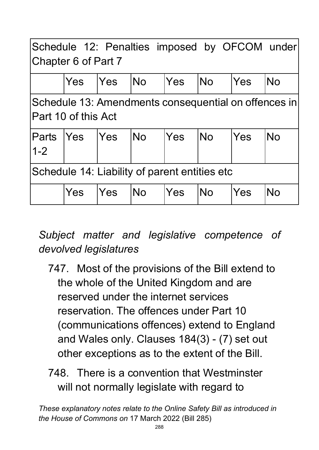| Schedule 12: Penalties imposed by OFCOM under<br>Chapter 6 of Part 7 |                                                                             |            |            |            |           |     |           |  |  |  |
|----------------------------------------------------------------------|-----------------------------------------------------------------------------|------------|------------|------------|-----------|-----|-----------|--|--|--|
|                                                                      | Yes                                                                         | lYes       | <b>INo</b> | Yes        | lNo       | Yes | <b>No</b> |  |  |  |
|                                                                      | Schedule 13: Amendments consequential on offences in<br>Part 10 of this Act |            |            |            |           |     |           |  |  |  |
| <b>Parts</b><br>$1 - 2$                                              | <b>Yes</b>                                                                  | <b>Yes</b> | INo        | <b>Yes</b> | <b>No</b> | Yes | <b>No</b> |  |  |  |
| Schedule 14: Liability of parent entities etc                        |                                                                             |            |            |            |           |     |           |  |  |  |
|                                                                      | Yes                                                                         | <b>Yes</b> | <b>No</b>  | Yes        | <b>No</b> | Yes | <b>No</b> |  |  |  |

# *Subject matter and legislative competence of devolved legislatures*

- 747. Most of the provisions of the Bill extend to the whole of the United Kingdom and are reserved under the internet services reservation. The offences under Part 10 (communications offences) extend to England and Wales only. Clauses 184(3) - (7) set out other exceptions as to the extent of the Bill.
- 748. There is a convention that Westminster will not normally legislate with regard to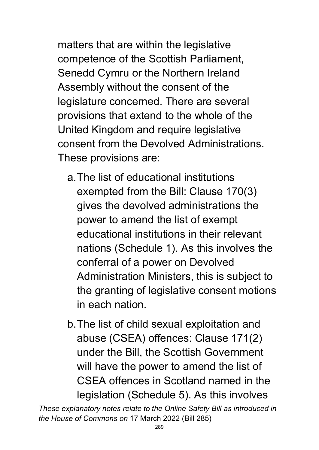matters that are within the legislative competence of the Scottish Parliament, Senedd Cymru or the Northern Ireland Assembly without the consent of the legislature concerned. There are several provisions that extend to the whole of the United Kingdom and require legislative consent from the Devolved Administrations. These provisions are:

- a.The list of educational institutions exempted from the Bill: Clause 170(3) gives the devolved administrations the power to amend the list of exempt educational institutions in their relevant nations (Schedule 1). As this involves the conferral of a power on Devolved Administration Ministers, this is subject to the granting of legislative consent motions in each nation.
- b.The list of child sexual exploitation and abuse (CSEA) offences: Clause 171(2) under the Bill, the Scottish Government will have the power to amend the list of CSEA offences in Scotland named in the legislation (Schedule 5). As this involves

*These explanatory notes relate to the Online Safety Bill as introduced in the House of Commons on* 17 March 2022 (Bill 285)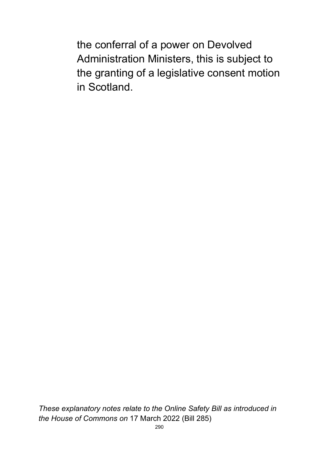the conferral of a power on Devolved Administration Ministers, this is subject to the granting of a legislative consent motion in Scotland.

*These explanatory notes relate to the Online Safety Bill as introduced in the House of Commons on* 17 March 2022 (Bill 285)